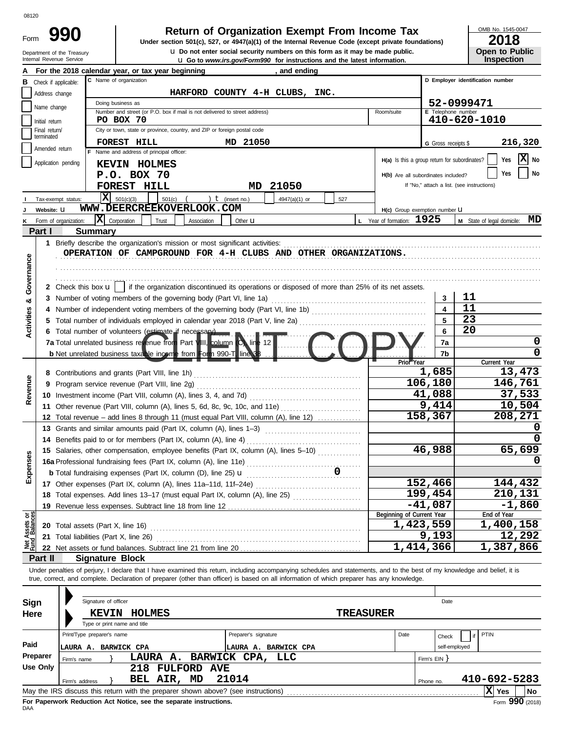Department of the Treasury<br>Internal Revenue Service Form

up Go to *www.irs.gov/Form990* for instructions and the latest information. **u** Do not enter social security numbers on this form as it may be made public. **990 1990 2018 2018 Depend of Organization Exempt From Income Tax 2018** 

OMB No. 1545-0047

| 2018                  |
|-----------------------|
| <b>Open to Public</b> |
| <b>Inspection</b>     |

|                                |                 | and to <i>www.ii.s.gov/i office for magaditions</i> and the latest imormation                                                                                              |                                               |                           |                                            |  |  |  |  |  |
|--------------------------------|-----------------|----------------------------------------------------------------------------------------------------------------------------------------------------------------------------|-----------------------------------------------|---------------------------|--------------------------------------------|--|--|--|--|--|
|                                |                 | For the 2018 calendar year, or tax year beginning<br>and ending<br>C Name of organization                                                                                  |                                               |                           | D Employer identification number           |  |  |  |  |  |
| в                              |                 | Check if applicable:                                                                                                                                                       |                                               |                           |                                            |  |  |  |  |  |
|                                | Address change  | HARFORD COUNTY 4-H CLUBS, INC.                                                                                                                                             |                                               |                           |                                            |  |  |  |  |  |
|                                | Name change     | Doing business as<br>Number and street (or P.O. box if mail is not delivered to street address)                                                                            | Room/suite                                    | <b>E</b> Telephone number | 52-0999471                                 |  |  |  |  |  |
|                                | Initial return  | PO BOX 70                                                                                                                                                                  |                                               |                           | 410-620-1010                               |  |  |  |  |  |
|                                | Final return/   | City or town, state or province, country, and ZIP or foreign postal code                                                                                                   |                                               |                           |                                            |  |  |  |  |  |
|                                | terminated      |                                                                                                                                                                            |                                               |                           |                                            |  |  |  |  |  |
|                                | Amended return  | FOREST HILL<br>MD 21050                                                                                                                                                    |                                               | G Gross receipts \$       | 216,320                                    |  |  |  |  |  |
|                                |                 | F Name and address of principal officer:                                                                                                                                   | H(a) Is this a group return for subordinates? |                           | X No<br>Yes                                |  |  |  |  |  |
|                                |                 | Application pending<br><b>KEVIN HOLMES</b>                                                                                                                                 |                                               |                           |                                            |  |  |  |  |  |
|                                |                 | P.O. BOX 70                                                                                                                                                                | H(b) Are all subordinates included?           |                           | No<br>Yes                                  |  |  |  |  |  |
|                                |                 | FOREST HILL<br>21050<br>MD                                                                                                                                                 |                                               |                           | If "No," attach a list. (see instructions) |  |  |  |  |  |
|                                |                 | $\mathbf{X}$ 501(c)(3)<br>) $t$ (insert no.)<br>501(c)<br>4947(a)(1) or<br>527<br>Tax-exempt status:                                                                       |                                               |                           |                                            |  |  |  |  |  |
|                                | Website: U      | WWW.DEERCREEKOVERLOOK.COM                                                                                                                                                  | H(c) Group exemption number LI                |                           |                                            |  |  |  |  |  |
|                                |                 | $ \mathbf{X} $ Corporation<br>Form of organization:<br>Trust<br>Association<br>Other <b>u</b>                                                                              | L Year of formation: 1925                     |                           | MD<br>M State of legal domicile:           |  |  |  |  |  |
|                                | Part I          | <b>Summary</b>                                                                                                                                                             |                                               |                           |                                            |  |  |  |  |  |
|                                |                 |                                                                                                                                                                            |                                               |                           |                                            |  |  |  |  |  |
|                                |                 | 1 Briefly describe the organization's mission or most significant activities:                                                                                              |                                               |                           |                                            |  |  |  |  |  |
|                                |                 | OPERATION OF CAMPGROUND FOR 4-H CLUBS AND OTHER ORGANIZATIONS.                                                                                                             |                                               |                           |                                            |  |  |  |  |  |
| Governance                     |                 |                                                                                                                                                                            |                                               |                           |                                            |  |  |  |  |  |
|                                |                 |                                                                                                                                                                            |                                               |                           |                                            |  |  |  |  |  |
|                                |                 | 2 Check this box $\mathbf{u}$   if the organization discontinued its operations or disposed of more than 25% of its net assets.                                            |                                               |                           |                                            |  |  |  |  |  |
| ಯ                              |                 |                                                                                                                                                                            |                                               | 3                         | 11                                         |  |  |  |  |  |
|                                |                 |                                                                                                                                                                            |                                               |                           | 11                                         |  |  |  |  |  |
| Activities                     | 5.              |                                                                                                                                                                            |                                               | 5                         | 23                                         |  |  |  |  |  |
|                                |                 | 6 Total number of volunteers (estimate if necessary)                                                                                                                       |                                               | 6                         | 20                                         |  |  |  |  |  |
|                                |                 | 7a Total unrelated business revenue from Part VIII, column (C) line 12                                                                                                     |                                               |                           | 0                                          |  |  |  |  |  |
|                                |                 |                                                                                                                                                                            |                                               | 7a                        | 0                                          |  |  |  |  |  |
|                                |                 | b Net unrelated business taxable income from Form 990-T line 38                                                                                                            | Prior Year                                    | 7b                        |                                            |  |  |  |  |  |
|                                |                 |                                                                                                                                                                            |                                               | 1,685                     | Current Year<br>13,473                     |  |  |  |  |  |
|                                | 8               |                                                                                                                                                                            |                                               |                           |                                            |  |  |  |  |  |
| Revenue                        | 9               |                                                                                                                                                                            |                                               | 106,180                   | 146,761<br>37,533                          |  |  |  |  |  |
|                                |                 |                                                                                                                                                                            |                                               | 41,088                    |                                            |  |  |  |  |  |
|                                |                 | 11 Other revenue (Part VIII, column (A), lines 5, 6d, 8c, 9c, 10c, and 11e)                                                                                                |                                               | 9,414                     | 10,504                                     |  |  |  |  |  |
|                                | 12.             | Total revenue – add lines 8 through 11 (must equal Part VIII, column (A), line 12)                                                                                         |                                               | 158,367                   | 208,271                                    |  |  |  |  |  |
|                                |                 | 13 Grants and similar amounts paid (Part IX, column (A), lines 1–3)                                                                                                        |                                               |                           | O                                          |  |  |  |  |  |
|                                |                 | 14 Benefits paid to or for members (Part IX, column (A), line 4)                                                                                                           |                                               |                           |                                            |  |  |  |  |  |
|                                |                 | 15 Salaries, other compensation, employee benefits (Part IX, column (A), lines 5-10)                                                                                       |                                               | 46,988                    | 65,699                                     |  |  |  |  |  |
| penses                         |                 | 16a Professional fundraising fees (Part IX, column (A), line 11e)                                                                                                          |                                               |                           | 0                                          |  |  |  |  |  |
|                                |                 | 0<br><b>b</b> Total fundraising expenses (Part IX, column (D), line 25) <b>u</b>                                                                                           |                                               |                           |                                            |  |  |  |  |  |
| ⋒                              |                 |                                                                                                                                                                            |                                               | 152,466                   | 144,432                                    |  |  |  |  |  |
|                                |                 |                                                                                                                                                                            |                                               | $\overline{1}$ 99,454     |                                            |  |  |  |  |  |
|                                |                 | 18 Total expenses. Add lines 13-17 (must equal Part IX, column (A), line 25) [                                                                                             |                                               |                           | 210, 131                                   |  |  |  |  |  |
|                                | 19              | Revenue less expenses. Subtract line 18 from line 12                                                                                                                       |                                               | $-41,087$                 | $-1,860$                                   |  |  |  |  |  |
| Net Assets or<br>Fund Balances |                 |                                                                                                                                                                            | Beginning of Current Year                     | 1,423,559                 | End of Year<br>1,400,158                   |  |  |  |  |  |
|                                |                 | 20 Total assets (Part X, line 16)                                                                                                                                          |                                               |                           |                                            |  |  |  |  |  |
|                                | 21              | Total liabilities (Part X, line 26)                                                                                                                                        |                                               | 9,193                     | 12,292                                     |  |  |  |  |  |
|                                | 22              |                                                                                                                                                                            |                                               | 1,414,366                 | 1,387,866                                  |  |  |  |  |  |
|                                | Part II         | <b>Signature Block</b>                                                                                                                                                     |                                               |                           |                                            |  |  |  |  |  |
|                                |                 | Under penalties of perjury, I declare that I have examined this return, including accompanying schedules and statements, and to the best of my knowledge and belief, it is |                                               |                           |                                            |  |  |  |  |  |
|                                |                 | true, correct, and complete. Declaration of preparer (other than officer) is based on all information of which preparer has any knowledge.                                 |                                               |                           |                                            |  |  |  |  |  |
|                                |                 |                                                                                                                                                                            |                                               |                           |                                            |  |  |  |  |  |
| <b>Sign</b>                    |                 | Signature of officer                                                                                                                                                       |                                               | Date                      |                                            |  |  |  |  |  |
| Here                           |                 | <b>KEVIN HOLMES</b>                                                                                                                                                        | <b>TREASURER</b>                              |                           |                                            |  |  |  |  |  |
|                                |                 | Type or print name and title                                                                                                                                               |                                               |                           |                                            |  |  |  |  |  |
|                                |                 | Print/Type preparer's name<br>Preparer's signature                                                                                                                         | Date                                          |                           | PTIN<br>if                                 |  |  |  |  |  |
| Paid                           |                 |                                                                                                                                                                            |                                               | Check                     |                                            |  |  |  |  |  |
|                                | Preparer        | LAURA A. BARWICK CPA<br>LAURA A. BARWICK CPA                                                                                                                               |                                               | self-employed             |                                            |  |  |  |  |  |
|                                |                 | BARWICK CPA,<br>LLC<br>LAURA A.<br>Firm's name                                                                                                                             |                                               | Firm's EIN                |                                            |  |  |  |  |  |
|                                | <b>Use Only</b> | 218<br>FULFORD AVE                                                                                                                                                         |                                               |                           |                                            |  |  |  |  |  |
|                                |                 | 21014<br>BEL AIR, MD<br>Firm's address                                                                                                                                     |                                               | Phone no.                 | 410-692-5283                               |  |  |  |  |  |
|                                |                 | May the IRS discuss this return with the preparer shown above? (see instructions)                                                                                          |                                               |                           | $ X $ Yes<br>No                            |  |  |  |  |  |

| Sign     | Signature of officer                                                              |                    |              | Date                                     |
|----------|-----------------------------------------------------------------------------------|--------------------|--------------|------------------------------------------|
| Here     | HOLMES<br><b>KEVIN</b><br>Type or print name and title                            |                    |              |                                          |
|          | Print/Type preparer's name<br>Preparer's signature                                |                    | Date         | $\vert$ if PTIN<br>Check                 |
| Paid     | <b>BARWICK CPA</b><br>LAURA A.<br>LAURA A.                                        | <b>BARWICK CPA</b> |              | self-employed                            |
| Preparer | LAURA A. BARWICK CPA, LLC<br>Firm's name                                          |                    | Firm's EIN Y |                                          |
| Use Only | 218<br><b>FULFORD</b><br><b>AVE</b>                                               |                    |              |                                          |
|          | 21014<br>BEL AIR,<br>MD<br>Firm's address                                         |                    | Phone no.    | 410-692-5283                             |
|          | May the IRS discuss this return with the preparer shown above? (see instructions) |                    |              | ΙxΙ<br>  No<br>Yes                       |
|          | Fee Denomical, Dedication, Act Nation, and the concepts inctrustions              |                    |              | $000 \ldots$<br>$\overline{\phantom{0}}$ |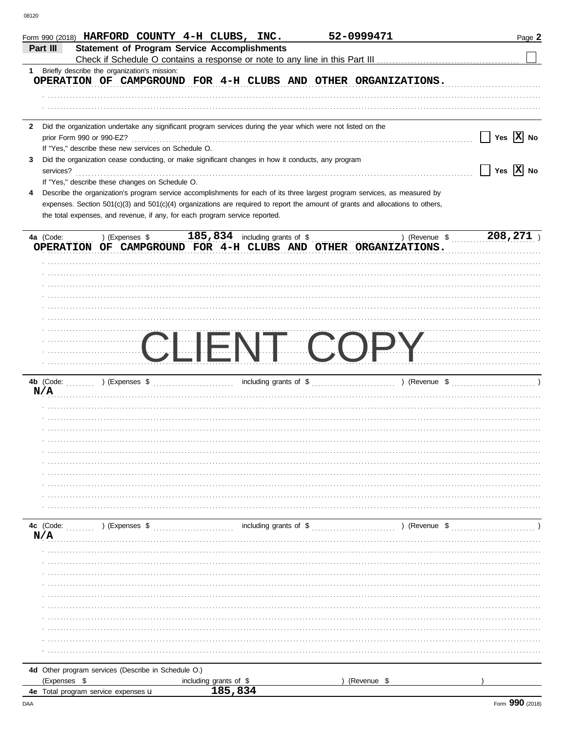|                           |                                                      | Form 990 (2018) HARFORD COUNTY 4-H CLUBS, INC.                                                                                 | 52-0999471                          | Page 2                |
|---------------------------|------------------------------------------------------|--------------------------------------------------------------------------------------------------------------------------------|-------------------------------------|-----------------------|
| Part III                  |                                                      | <b>Statement of Program Service Accomplishments</b>                                                                            |                                     |                       |
|                           |                                                      |                                                                                                                                |                                     |                       |
| 1                         | Briefly describe the organization's mission:         |                                                                                                                                |                                     |                       |
|                           |                                                      | OPERATION OF CAMPGROUND FOR 4-H CLUBS AND OTHER ORGANIZATIONS.                                                                 |                                     |                       |
|                           |                                                      |                                                                                                                                |                                     |                       |
|                           |                                                      |                                                                                                                                |                                     |                       |
|                           |                                                      |                                                                                                                                |                                     |                       |
| $\mathbf{2}$              |                                                      | Did the organization undertake any significant program services during the year which were not listed on the                   |                                     |                       |
| prior Form 990 or 990-EZ? |                                                      |                                                                                                                                |                                     | Yes $ \mathbf{X} $ No |
|                           | If "Yes," describe these new services on Schedule O. |                                                                                                                                |                                     |                       |
| 3                         |                                                      | Did the organization cease conducting, or make significant changes in how it conducts, any program                             |                                     |                       |
| services?                 |                                                      |                                                                                                                                |                                     | Yes $ \mathbf{X} $ No |
|                           | If "Yes," describe these changes on Schedule O.      |                                                                                                                                |                                     |                       |
| 4                         |                                                      | Describe the organization's program service accomplishments for each of its three largest program services, as measured by     |                                     |                       |
|                           |                                                      | expenses. Section 501(c)(3) and 501(c)(4) organizations are required to report the amount of grants and allocations to others, |                                     |                       |
|                           |                                                      | the total expenses, and revenue, if any, for each program service reported.                                                    |                                     |                       |
|                           |                                                      |                                                                                                                                |                                     |                       |
| 4a (Code:                 | ) (Expenses \$                                       | $185,834$ including grants of \$                                                                                               | ) (Revenue \$                       | 208,271               |
|                           |                                                      | OPERATION OF CAMPGROUND FOR 4-H CLUBS AND OTHER ORGANIZATIONS.                                                                 |                                     |                       |
|                           |                                                      |                                                                                                                                |                                     |                       |
|                           |                                                      |                                                                                                                                |                                     |                       |
|                           |                                                      |                                                                                                                                |                                     |                       |
|                           |                                                      |                                                                                                                                |                                     |                       |
|                           |                                                      |                                                                                                                                |                                     |                       |
|                           |                                                      |                                                                                                                                |                                     |                       |
|                           |                                                      |                                                                                                                                |                                     |                       |
|                           |                                                      |                                                                                                                                |                                     | $\sqrt{\frac{1}{2}}$  |
|                           |                                                      | $\begin{pmatrix} 1 & 1 \\ 1 & 1 \end{pmatrix}$                                                                                 |                                     |                       |
|                           |                                                      |                                                                                                                                |                                     |                       |
|                           |                                                      |                                                                                                                                |                                     |                       |
|                           |                                                      |                                                                                                                                |                                     |                       |
| N/A                       |                                                      |                                                                                                                                |                                     |                       |
|                           |                                                      |                                                                                                                                |                                     |                       |
|                           |                                                      |                                                                                                                                |                                     |                       |
|                           |                                                      |                                                                                                                                |                                     |                       |
|                           |                                                      |                                                                                                                                |                                     |                       |
|                           |                                                      |                                                                                                                                |                                     |                       |
|                           |                                                      |                                                                                                                                |                                     |                       |
|                           |                                                      |                                                                                                                                |                                     |                       |
|                           |                                                      |                                                                                                                                |                                     |                       |
|                           |                                                      |                                                                                                                                |                                     |                       |
|                           |                                                      |                                                                                                                                |                                     |                       |
|                           |                                                      |                                                                                                                                |                                     |                       |
| 4c (Code:                 | ) (Expenses \$                                       |                                                                                                                                | including grants of \$ (Revenue \$) |                       |
| N/A                       |                                                      |                                                                                                                                |                                     |                       |
|                           |                                                      |                                                                                                                                |                                     |                       |
|                           |                                                      |                                                                                                                                |                                     |                       |
|                           |                                                      |                                                                                                                                |                                     |                       |
|                           |                                                      |                                                                                                                                |                                     |                       |
|                           |                                                      |                                                                                                                                |                                     |                       |
|                           |                                                      |                                                                                                                                |                                     |                       |
|                           |                                                      |                                                                                                                                |                                     |                       |
|                           |                                                      |                                                                                                                                |                                     |                       |
|                           |                                                      |                                                                                                                                |                                     |                       |
|                           |                                                      |                                                                                                                                |                                     |                       |
|                           |                                                      |                                                                                                                                |                                     |                       |
|                           |                                                      |                                                                                                                                |                                     |                       |
|                           | 4d Other program services (Describe in Schedule O.)  |                                                                                                                                |                                     |                       |
| (Expenses \$              |                                                      | including grants of \$                                                                                                         | ) (Revenue \$                       |                       |
|                           | 4e Total program service expenses u                  | 185,834                                                                                                                        |                                     |                       |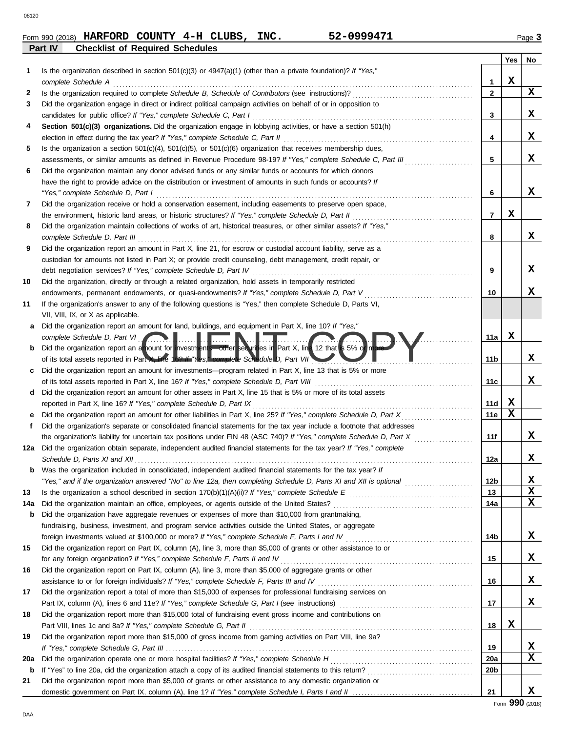| Form 990 (2018) | <b>HARFORD</b>                         | <b>COUNTY</b> | 4-H CLUBS, | <b>INC.</b> | 52-0999471 |                | Page |
|-----------------|----------------------------------------|---------------|------------|-------------|------------|----------------|------|
| Part IV         | <b>Checklist of Required Schedules</b> |               |            |             |            |                |      |
|                 |                                        |               |            |             |            | $V_{\rm{max}}$ |      |

|     |                                                                                                                         |                | <b>Yes</b> | No          |
|-----|-------------------------------------------------------------------------------------------------------------------------|----------------|------------|-------------|
|     | Is the organization described in section $501(c)(3)$ or $4947(a)(1)$ (other than a private foundation)? If "Yes,"       |                |            |             |
|     | complete Schedule A                                                                                                     | 1              | х          |             |
| 2   |                                                                                                                         | $\mathbf{2}$   |            | $\mathbf x$ |
| 3   | Did the organization engage in direct or indirect political campaign activities on behalf of or in opposition to        |                |            |             |
|     | candidates for public office? If "Yes," complete Schedule C, Part I                                                     | 3              |            | x           |
| 4   | Section 501(c)(3) organizations. Did the organization engage in lobbying activities, or have a section 501(h)           |                |            |             |
|     |                                                                                                                         | 4              |            | x           |
| 5   | Is the organization a section $501(c)(4)$ , $501(c)(5)$ , or $501(c)(6)$ organization that receives membership dues,    |                |            |             |
|     | assessments, or similar amounts as defined in Revenue Procedure 98-19? If "Yes," complete Schedule C, Part III          | 5              |            | x           |
| 6   | Did the organization maintain any donor advised funds or any similar funds or accounts for which donors                 |                |            |             |
|     | have the right to provide advice on the distribution or investment of amounts in such funds or accounts? If             |                |            |             |
|     | "Yes," complete Schedule D, Part I                                                                                      | 6              |            | X           |
| 7   | Did the organization receive or hold a conservation easement, including easements to preserve open space,               |                |            |             |
|     |                                                                                                                         | $\overline{7}$ | х          |             |
| 8   | Did the organization maintain collections of works of art, historical treasures, or other similar assets? If "Yes,"     |                |            |             |
|     | complete Schedule D, Part III                                                                                           | 8              |            | X           |
| 9   | Did the organization report an amount in Part X, line 21, for escrow or custodial account liability, serve as a         |                |            |             |
|     | custodian for amounts not listed in Part X; or provide credit counseling, debt management, credit repair, or            |                |            |             |
|     | debt negotiation services? If "Yes," complete Schedule D, Part IV                                                       | 9              |            | X           |
| 10  | Did the organization, directly or through a related organization, hold assets in temporarily restricted                 |                |            |             |
|     | endowments, permanent endowments, or quasi-endowments? If "Yes," complete Schedule D, Part V                            | 10             |            | X           |
| 11  | If the organization's answer to any of the following questions is "Yes," then complete Schedule D, Parts VI,            |                |            |             |
|     | VII, VIII, IX, or X as applicable.                                                                                      |                |            |             |
| a   | Did the organization report an amount for land, buildings, and equipment in Part X, line 10? If "Yes,"                  |                |            |             |
|     | complete Schedule D, Part VI. <b>1999. In the U.S. Part VI. A. Part II. Rev. 1999.</b>                                  | 11a            | x          |             |
| b   | Did the organization report an amount for investments—other securities in Part X, line 12 that is 5% or more            |                |            | X           |
|     | of its total assets reported in Part in e 162 If "Yes," complete Schedule D, Part VII                                   | 11b            |            |             |
| c   | Did the organization report an amount for investments—program related in Part X, line 13 that is 5% or more             | 11c            |            | X           |
| d   | Did the organization report an amount for other assets in Part X, line 15 that is 5% or more of its total assets        |                |            |             |
|     | reported in Part X, line 16? If "Yes," complete Schedule D, Part IX                                                     | 11d            | X          |             |
|     |                                                                                                                         | 11e            | X          |             |
| f   | Did the organization's separate or consolidated financial statements for the tax year include a footnote that addresses |                |            |             |
|     | the organization's liability for uncertain tax positions under FIN 48 (ASC 740)? If "Yes," complete Schedule D, Part X  | 11f            |            | X           |
| 12a | Did the organization obtain separate, independent audited financial statements for the tax year? If "Yes," complete     |                |            |             |
|     |                                                                                                                         | 12a            |            | x           |
| b   | Was the organization included in consolidated, independent audited financial statements for the tax year? If            |                |            |             |
|     |                                                                                                                         | 12b            |            | X           |
| 13  |                                                                                                                         | 13             |            | х           |
| 14a |                                                                                                                         | 14a            |            | x           |
| b   | Did the organization have aggregate revenues or expenses of more than \$10,000 from grantmaking,                        |                |            |             |
|     | fundraising, business, investment, and program service activities outside the United States, or aggregate               |                |            |             |
|     | foreign investments valued at \$100,000 or more? If "Yes," complete Schedule F, Parts I and IV [[[[[[[[[[[[[[[          | 14b            |            | x           |
| 15  | Did the organization report on Part IX, column (A), line 3, more than \$5,000 of grants or other assistance to or       |                |            |             |
|     | for any foreign organization? If "Yes," complete Schedule F, Parts II and IV                                            | 15             |            | x           |
| 16  | Did the organization report on Part IX, column (A), line 3, more than \$5,000 of aggregate grants or other              |                |            |             |
|     |                                                                                                                         | 16             |            | x           |
| 17  | Did the organization report a total of more than \$15,000 of expenses for professional fundraising services on          |                |            |             |
|     |                                                                                                                         | 17             |            | x           |
| 18  | Did the organization report more than \$15,000 total of fundraising event gross income and contributions on             |                |            |             |
|     |                                                                                                                         | 18             | X          |             |
| 19  | Did the organization report more than \$15,000 of gross income from gaming activities on Part VIII, line 9a?            |                |            |             |
|     |                                                                                                                         | 19             |            | x           |
| 20a |                                                                                                                         | <b>20a</b>     |            | x           |
| b   |                                                                                                                         | 20b            |            |             |
| 21  | Did the organization report more than \$5,000 of grants or other assistance to any domestic organization or             |                |            |             |
|     |                                                                                                                         | 21             |            | x           |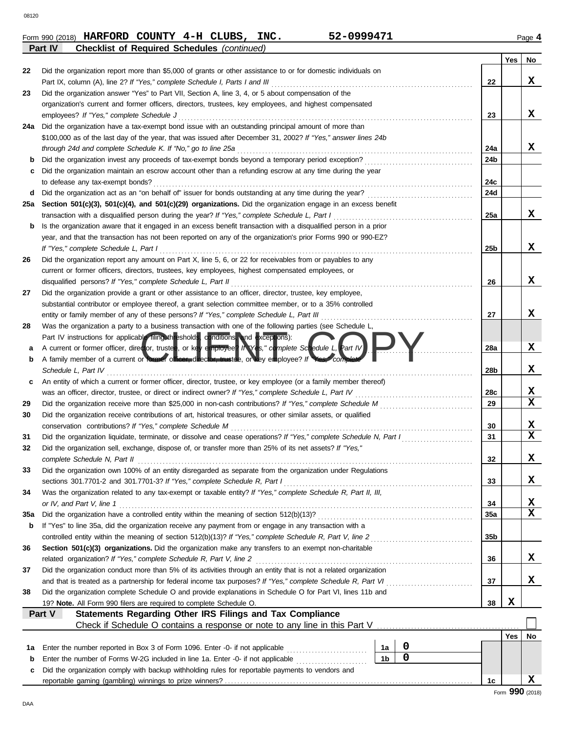|                | Form 990 (2018) HARFORD COUNTY 4-H CLUBS,          |  | INC. | 52-0999471 | Page 4 |
|----------------|----------------------------------------------------|--|------|------------|--------|
| <b>Part IV</b> | <b>Checklist of Required Schedules (continued)</b> |  |      |            |        |

**Checklist of Required Schedules** (continued)

|     |                                                                                                                                                                                  |                               |                 | Yes | No          |
|-----|----------------------------------------------------------------------------------------------------------------------------------------------------------------------------------|-------------------------------|-----------------|-----|-------------|
| 22  | Did the organization report more than \$5,000 of grants or other assistance to or for domestic individuals on                                                                    |                               |                 |     |             |
|     | Part IX, column (A), line 2? If "Yes," complete Schedule I, Parts I and III                                                                                                      |                               | 22              |     | X           |
| 23  | Did the organization answer "Yes" to Part VII, Section A, line 3, 4, or 5 about compensation of the                                                                              |                               |                 |     |             |
|     | organization's current and former officers, directors, trustees, key employees, and highest compensated                                                                          |                               |                 |     |             |
|     | employees? If "Yes," complete Schedule J                                                                                                                                         |                               | 23              |     | X           |
| 24a | Did the organization have a tax-exempt bond issue with an outstanding principal amount of more than                                                                              |                               |                 |     |             |
|     | \$100,000 as of the last day of the year, that was issued after December 31, 2002? If "Yes," answer lines 24b                                                                    |                               |                 |     | x           |
|     | through 24d and complete Schedule K. If "No," go to line 25a                                                                                                                     |                               | 24a<br>24b      |     |             |
| b   | Did the organization maintain an escrow account other than a refunding escrow at any time during the year                                                                        |                               |                 |     |             |
| с   | to defease any tax-exempt bonds?                                                                                                                                                 |                               | 24c             |     |             |
| d   | Did the organization act as an "on behalf of" issuer for bonds outstanding at any time during the year?                                                                          |                               | 24d             |     |             |
| 25a | Section 501(c)(3), 501(c)(4), and 501(c)(29) organizations. Did the organization engage in an excess benefit                                                                     |                               |                 |     |             |
|     | transaction with a disqualified person during the year? If "Yes," complete Schedule L, Part I                                                                                    |                               | 25a             |     | X           |
| b   | Is the organization aware that it engaged in an excess benefit transaction with a disqualified person in a prior                                                                 |                               |                 |     |             |
|     | year, and that the transaction has not been reported on any of the organization's prior Forms 990 or 990-EZ?                                                                     |                               |                 |     |             |
|     | If "Yes," complete Schedule L, Part I                                                                                                                                            |                               | 25 <sub>b</sub> |     | X           |
| 26  | Did the organization report any amount on Part X, line 5, 6, or 22 for receivables from or payables to any                                                                       |                               |                 |     |             |
|     | current or former officers, directors, trustees, key employees, highest compensated employees, or                                                                                |                               |                 |     |             |
|     | disqualified persons? If "Yes," complete Schedule L, Part II                                                                                                                     |                               | 26              |     | X           |
| 27  | Did the organization provide a grant or other assistance to an officer, director, trustee, key employee,                                                                         |                               |                 |     |             |
|     | substantial contributor or employee thereof, a grant selection committee member, or to a 35% controlled                                                                          |                               |                 |     |             |
|     | entity or family member of any of these persons? If "Yes," complete Schedule L, Part III                                                                                         |                               | 27              |     | x           |
| 28  | Was the organization a party to a business transaction with one of the following parties (see Schedule L.                                                                        |                               |                 |     |             |
|     | Part IV instructions for applicable filing thresholds, conditions, and exceptions):                                                                                              |                               |                 |     |             |
| а   | A current or former officer, director, trustee, or key employee? $h \vee e$ s," complete Schedule L, Part IV                                                                     |                               | 28a             |     | X           |
| b   | A family member of a current or former officer, director, trustee, or key employee? If Yes, com                                                                                  |                               |                 |     |             |
|     | Schedule L, Part IV                                                                                                                                                              |                               | 28b             |     | X           |
| c   | An entity of which a current or former officer, director, trustee, or key employee (or a family member thereof)                                                                  |                               |                 |     |             |
|     | was an officer, director, trustee, or direct or indirect owner? If "Yes," complete Schedule L, Part IV                                                                           |                               | 28c             |     | X           |
| 29  |                                                                                                                                                                                  |                               | 29              |     | $\mathbf x$ |
| 30  | Did the organization receive contributions of art, historical treasures, or other similar assets, or qualified                                                                   |                               |                 |     |             |
|     | conservation contributions? If "Yes," complete Schedule M                                                                                                                        |                               | 30              |     | X           |
| 31  | Did the organization liquidate, terminate, or dissolve and cease operations? If "Yes," complete Schedule N, Part I                                                               |                               | 31              |     | $\mathbf x$ |
| 32  | Did the organization sell, exchange, dispose of, or transfer more than 25% of its net assets? If "Yes,"                                                                          |                               |                 |     |             |
|     | complete Schedule N, Part II                                                                                                                                                     |                               | 32              |     | x           |
| 33  | Did the organization own 100% of an entity disregarded as separate from the organization under Regulations                                                                       |                               |                 |     |             |
|     |                                                                                                                                                                                  |                               | 33              |     | X           |
| 34  | Was the organization related to any tax-exempt or taxable entity? If "Yes," complete Schedule R, Part II, III,                                                                   |                               |                 |     |             |
|     | or IV, and Part V, line 1                                                                                                                                                        |                               | 34              |     | х           |
| 35a |                                                                                                                                                                                  |                               | 35a             |     | $\mathbf x$ |
| b   | If "Yes" to line 35a, did the organization receive any payment from or engage in any transaction with a                                                                          |                               |                 |     |             |
|     |                                                                                                                                                                                  |                               | 35 <sub>b</sub> |     |             |
| 36  | Section 501(c)(3) organizations. Did the organization make any transfers to an exempt non-charitable                                                                             |                               |                 |     |             |
|     |                                                                                                                                                                                  |                               | 36              |     | x           |
| 37  | Did the organization conduct more than 5% of its activities through an entity that is not a related organization                                                                 |                               | 37              |     | x           |
|     |                                                                                                                                                                                  |                               |                 |     |             |
| 38  | Did the organization complete Schedule O and provide explanations in Schedule O for Part VI, lines 11b and<br>19? Note. All Form 990 filers are required to complete Schedule O. |                               | 38              | X   |             |
|     | Statements Regarding Other IRS Filings and Tax Compliance<br>Part V                                                                                                              |                               |                 |     |             |
|     |                                                                                                                                                                                  |                               |                 |     |             |
|     |                                                                                                                                                                                  |                               |                 | Yes | No          |
| 1а  | Enter the number reported in Box 3 of Form 1096. Enter -0- if not applicable                                                                                                     | 0<br>1a                       |                 |     |             |
| b   | Enter the number of Forms W-2G included in line 1a. Enter -0- if not applicable                                                                                                  | $\mathbf 0$<br>1 <sub>b</sub> |                 |     |             |
| c   | Did the organization comply with backup withholding rules for reportable payments to vendors and                                                                                 |                               |                 |     |             |
|     |                                                                                                                                                                                  |                               | 1c              |     | X           |
|     |                                                                                                                                                                                  |                               |                 |     |             |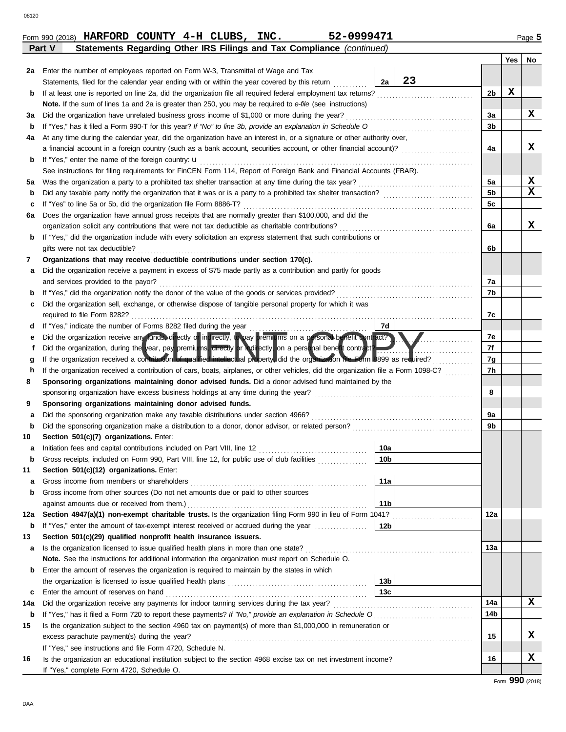|        | Form 990 (2018) HARFORD COUNTY 4-H CLUBS,                             |  | INC. | 52-0999471 |  |     | Page 5 |
|--------|-----------------------------------------------------------------------|--|------|------------|--|-----|--------|
| Part V | Statements Regarding Other IRS Filings and Tax Compliance (continued) |  |      |            |  |     |        |
|        |                                                                       |  |      |            |  | Yes | No     |
|        |                                                                       |  |      |            |  |     |        |

| 2a  | Enter the number of employees reported on Form W-3, Transmittal of Wage and Tax                                                    |                 |    |                |   |   |  |  |  |
|-----|------------------------------------------------------------------------------------------------------------------------------------|-----------------|----|----------------|---|---|--|--|--|
|     | Statements, filed for the calendar year ending with or within the year covered by this return                                      | 2a              | 23 |                |   |   |  |  |  |
| b   | If at least one is reported on line 2a, did the organization file all required federal employment tax returns?                     |                 |    | 2 <sub>b</sub> | х |   |  |  |  |
|     | Note. If the sum of lines 1a and 2a is greater than 250, you may be required to e-file (see instructions)                          |                 |    |                |   |   |  |  |  |
| За  | Did the organization have unrelated business gross income of \$1,000 or more during the year?                                      |                 |    | За             |   | x |  |  |  |
| b   |                                                                                                                                    |                 |    | 3 <sub>b</sub> |   |   |  |  |  |
| 4a  | At any time during the calendar year, did the organization have an interest in, or a signature or other authority over,            |                 |    |                |   |   |  |  |  |
|     | a financial account in a foreign country (such as a bank account, securities account, or other financial account)?                 |                 |    | 4a             |   | x |  |  |  |
| b   | If "Yes," enter the name of the foreign country: <b>u</b>                                                                          |                 |    |                |   |   |  |  |  |
|     | See instructions for filing requirements for FinCEN Form 114, Report of Foreign Bank and Financial Accounts (FBAR).                |                 |    |                |   |   |  |  |  |
| 5а  | Was the organization a party to a prohibited tax shelter transaction at any time during the tax year?                              |                 |    | 5a             |   | X |  |  |  |
| b   |                                                                                                                                    |                 |    |                |   |   |  |  |  |
| c   | If "Yes" to line 5a or 5b, did the organization file Form 8886-T?                                                                  |                 |    | 5c             |   |   |  |  |  |
| 6а  | Does the organization have annual gross receipts that are normally greater than \$100,000, and did the                             |                 |    |                |   |   |  |  |  |
|     | organization solicit any contributions that were not tax deductible as charitable contributions?                                   |                 |    | 6a             |   | x |  |  |  |
| b   | If "Yes," did the organization include with every solicitation an express statement that such contributions or                     |                 |    |                |   |   |  |  |  |
|     | gifts were not tax deductible?                                                                                                     |                 |    | 6b             |   |   |  |  |  |
| 7   | Organizations that may receive deductible contributions under section 170(c).                                                      |                 |    |                |   |   |  |  |  |
| а   | Did the organization receive a payment in excess of \$75 made partly as a contribution and partly for goods                        |                 |    |                |   |   |  |  |  |
|     | and services provided to the payor?                                                                                                |                 |    | 7a             |   |   |  |  |  |
| b   |                                                                                                                                    |                 |    | 7b             |   |   |  |  |  |
| c   | Did the organization sell, exchange, or otherwise dispose of tangible personal property for which it was                           |                 |    |                |   |   |  |  |  |
|     |                                                                                                                                    |                 |    | 7c             |   |   |  |  |  |
| d   | If "Yes," indicate the number of Forms 8282 filed during the year                                                                  | 7d              |    |                |   |   |  |  |  |
| е   | Did the organization receive any funds, directly or incirectly, to pay premiums on a porsonal benefit ontract?                     |                 |    | 7e             |   |   |  |  |  |
| f   | Did the organization, during the year, pay premiums, directly or indirectly, on a personal benefit contract?                       |                 |    | 7f             |   |   |  |  |  |
| g   | If the organization received a contribution of qualified intellectual property, did the organization file Form 8899 as required?   |                 |    | 7g             |   |   |  |  |  |
| h   | If the organization received a contribution of cars, boats, airplanes, or other vehicles, did the organization file a Form 1098-C? |                 |    | 7h             |   |   |  |  |  |
| 8   | Sponsoring organizations maintaining donor advised funds. Did a donor advised fund maintained by the                               |                 |    |                |   |   |  |  |  |
|     | sponsoring organization have excess business holdings at any time during the year?                                                 |                 |    | 8              |   |   |  |  |  |
| 9   | Sponsoring organizations maintaining donor advised funds.                                                                          |                 |    |                |   |   |  |  |  |
| а   | Did the sponsoring organization make any taxable distributions under section 4966?                                                 |                 |    | 9a             |   |   |  |  |  |
| b   |                                                                                                                                    |                 |    | 9b             |   |   |  |  |  |
| 10  | Section 501(c)(7) organizations. Enter:                                                                                            |                 |    |                |   |   |  |  |  |
| а   |                                                                                                                                    | 10a             |    |                |   |   |  |  |  |
| b   | Gross receipts, included on Form 990, Part VIII, line 12, for public use of club facilities                                        | 10 <sub>b</sub> |    |                |   |   |  |  |  |
| 11  | Section 501(c)(12) organizations. Enter:                                                                                           |                 |    |                |   |   |  |  |  |
| а   | Gross income from members or shareholders                                                                                          | │ 11a           |    |                |   |   |  |  |  |
| b   | Gross income from other sources (Do not net amounts due or paid to other sources                                                   |                 |    |                |   |   |  |  |  |
|     | against amounts due or received from them.)                                                                                        | 11 <sub>b</sub> |    |                |   |   |  |  |  |
| 12a | Section 4947(a)(1) non-exempt charitable trusts. Is the organization filing Form 990 in lieu of Form 1041?                         |                 |    | 12a            |   |   |  |  |  |
| b   | If "Yes," enter the amount of tax-exempt interest received or accrued during the year                                              | 12b             |    |                |   |   |  |  |  |
| 13  | Section 501(c)(29) qualified nonprofit health insurance issuers.                                                                   |                 |    |                |   |   |  |  |  |
| a   | Is the organization licensed to issue qualified health plans in more than one state?                                               |                 |    | 13a            |   |   |  |  |  |
|     | Note. See the instructions for additional information the organization must report on Schedule O.                                  |                 |    |                |   |   |  |  |  |
| b   | Enter the amount of reserves the organization is required to maintain by the states in which                                       |                 |    |                |   |   |  |  |  |
|     |                                                                                                                                    | 13b             |    |                |   |   |  |  |  |
| c   | Enter the amount of reserves on hand                                                                                               | 13c             |    |                |   |   |  |  |  |
| 14a | Did the organization receive any payments for indoor tanning services during the tax year?                                         |                 |    | 14a            |   | x |  |  |  |
| b   | If "Yes," has it filed a Form 720 to report these payments? If "No," provide an explanation in Schedule O                          |                 |    | 14b            |   |   |  |  |  |
| 15  | Is the organization subject to the section 4960 tax on payment(s) of more than \$1,000,000 in remuneration or                      |                 |    |                |   |   |  |  |  |
|     | excess parachute payment(s) during the year?                                                                                       |                 |    | 15             |   | x |  |  |  |
|     | If "Yes," see instructions and file Form 4720, Schedule N.                                                                         |                 |    |                |   |   |  |  |  |
| 16  | Is the organization an educational institution subject to the section 4968 excise tax on net investment income?                    |                 |    | 16             |   | x |  |  |  |
|     | If "Yes," complete Form 4720, Schedule O.                                                                                          |                 |    |                |   |   |  |  |  |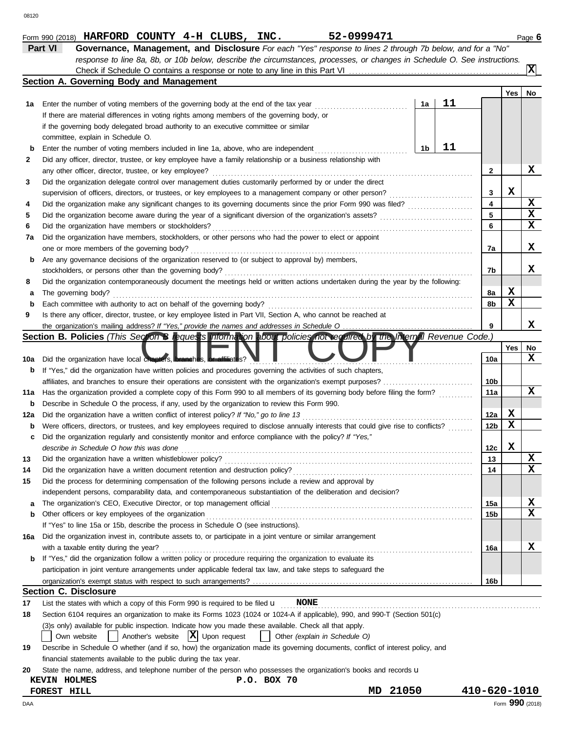|        | Check if Schedule O contains a response or note to any line in this Part VI                                                                                                                          |    |    |                 |             | $\overline{\mathbf{x}}$ |
|--------|------------------------------------------------------------------------------------------------------------------------------------------------------------------------------------------------------|----|----|-----------------|-------------|-------------------------|
|        | Section A. Governing Body and Management                                                                                                                                                             |    |    |                 |             |                         |
|        |                                                                                                                                                                                                      |    |    |                 | Yes         | No                      |
| 1a     | Enter the number of voting members of the governing body at the end of the tax year                                                                                                                  | 1a | 11 |                 |             |                         |
|        | If there are material differences in voting rights among members of the governing body, or                                                                                                           |    |    |                 |             |                         |
|        | if the governing body delegated broad authority to an executive committee or similar                                                                                                                 |    |    |                 |             |                         |
|        | committee, explain in Schedule O.                                                                                                                                                                    |    |    |                 |             |                         |
| b      | Enter the number of voting members included in line 1a, above, who are independent                                                                                                                   | 1b | 11 |                 |             |                         |
| 2      | Did any officer, director, trustee, or key employee have a family relationship or a business relationship with                                                                                       |    |    |                 |             |                         |
|        | any other officer, director, trustee, or key employee?                                                                                                                                               |    |    | 2               |             | x                       |
| 3      | Did the organization delegate control over management duties customarily performed by or under the direct                                                                                            |    |    |                 |             |                         |
|        | supervision of officers, directors, or trustees, or key employees to a management company or other person?                                                                                           |    |    | 3               | х           |                         |
| 4      |                                                                                                                                                                                                      |    |    | 4               |             | x                       |
| 5      |                                                                                                                                                                                                      |    |    | 5               |             | X                       |
| 6      | Did the organization have members or stockholders?                                                                                                                                                   |    |    | 6               |             | x                       |
| 7a     | Did the organization have members, stockholders, or other persons who had the power to elect or appoint                                                                                              |    |    |                 |             | x                       |
|        | one or more members of the governing body?                                                                                                                                                           |    |    | 7a              |             |                         |
| b      | Are any governance decisions of the organization reserved to (or subject to approval by) members,                                                                                                    |    |    | 7b              |             | x                       |
|        | stockholders, or persons other than the governing body?                                                                                                                                              |    |    |                 |             |                         |
| 8<br>а | Did the organization contemporaneously document the meetings held or written actions undertaken during the year by the following:<br>The governing body?                                             |    |    | 8a              | X           |                         |
| b      | Each committee with authority to act on behalf of the governing body?                                                                                                                                |    |    | 8b              | $\mathbf x$ |                         |
| 9      | Is there any officer, director, trustee, or key employee listed in Part VII, Section A, who cannot be reached at                                                                                     |    |    |                 |             |                         |
|        |                                                                                                                                                                                                      |    |    | 9               |             | x                       |
|        | Section B. Policies (This Section B requests information about policies not required by the Internal Revenue Code.)                                                                                  |    |    |                 |             |                         |
|        |                                                                                                                                                                                                      |    |    |                 | Yes         | No                      |
| 10a    | Did the organization have local chapters, <b>branches</b> , or affiliates?                                                                                                                           |    |    | 10a             |             | x                       |
| b      | If "Yes," did the organization have written policies and procedures governing the activities of such chapters,                                                                                       |    |    |                 |             |                         |
|        |                                                                                                                                                                                                      |    |    | 10b             |             |                         |
| 11a    | Has the organization provided a complete copy of this Form 990 to all members of its governing body before filing the form?                                                                          |    |    | 11a             |             | x                       |
| b      | Describe in Schedule O the process, if any, used by the organization to review this Form 990.                                                                                                        |    |    |                 |             |                         |
| 12a    | Did the organization have a written conflict of interest policy? If "No," go to line 13                                                                                                              |    |    | 12a             | X           |                         |
| b      | Were officers, directors, or trustees, and key employees required to disclose annually interests that could give rise to conflicts?                                                                  |    |    | 12 <sub>b</sub> | X           |                         |
| c      | Did the organization regularly and consistently monitor and enforce compliance with the policy? If "Yes,"                                                                                            |    |    |                 |             |                         |
|        | describe in Schedule O how this was done                                                                                                                                                             |    |    | 12c             | х           |                         |
| 13     | Did the organization have a written whistleblower policy?                                                                                                                                            |    |    | 13              |             | x                       |
| 14     |                                                                                                                                                                                                      |    |    | 14              |             | X                       |
| 15     | Did the process for determining compensation of the following persons include a review and approval by                                                                                               |    |    |                 |             |                         |
|        | independent persons, comparability data, and contemporaneous substantiation of the deliberation and decision?                                                                                        |    |    |                 |             |                         |
| а      | The organization's CEO, Executive Director, or top management official                                                                                                                               |    |    | 15a             |             | X                       |
| b      | Other officers or key employees of the organization                                                                                                                                                  |    |    | 15 <sub>b</sub> |             | x                       |
|        | If "Yes" to line 15a or 15b, describe the process in Schedule O (see instructions).                                                                                                                  |    |    |                 |             |                         |
| 16a    | Did the organization invest in, contribute assets to, or participate in a joint venture or similar arrangement                                                                                       |    |    |                 |             |                         |
|        | with a taxable entity during the year?                                                                                                                                                               |    |    | 16a             |             | x                       |
| b      | If "Yes," did the organization follow a written policy or procedure requiring the organization to evaluate its                                                                                       |    |    |                 |             |                         |
|        | participation in joint venture arrangements under applicable federal tax law, and take steps to safeguard the                                                                                        |    |    |                 |             |                         |
|        |                                                                                                                                                                                                      |    |    | 16b             |             |                         |
|        | <b>Section C. Disclosure</b>                                                                                                                                                                         |    |    |                 |             |                         |
| 17     | List the states with which a copy of this Form 990 is required to be filed $\mathbf u$<br><b>NONE</b>                                                                                                |    |    |                 |             |                         |
| 18     | Section 6104 requires an organization to make its Forms 1023 (1024 or 1024-A if applicable), 990, and 990-T (Section 501(c)                                                                          |    |    |                 |             |                         |
|        | (3) sonly) available for public inspection. Indicate how you made these available. Check all that apply.<br>$ \mathbf{X} $ Upon request                                                              |    |    |                 |             |                         |
|        | Another's website<br>Other (explain in Schedule O)<br>Own website                                                                                                                                    |    |    |                 |             |                         |
| 19     | Describe in Schedule O whether (and if so, how) the organization made its governing documents, conflict of interest policy, and<br>financial statements available to the public during the tax year. |    |    |                 |             |                         |
| 20     | State the name, address, and telephone number of the person who possesses the organization's books and records u                                                                                     |    |    |                 |             |                         |
|        | P.O. BOX 70<br><b>KEVIN HOLMES</b>                                                                                                                                                                   |    |    |                 |             |                         |
|        | 21050<br>MD<br><b>FOREST HILL</b>                                                                                                                                                                    |    |    | 410-620-1010    |             |                         |
| DAA    |                                                                                                                                                                                                      |    |    |                 |             | Form 990 (2018)         |
|        |                                                                                                                                                                                                      |    |    |                 |             |                         |

**Form 990 (2018) HARFORD COUNTY 4-H CLUBS, INC.** 52-0999471 Page 6

*response to line 8a, 8b, or 10b below, describe the circumstances, processes, or changes in Schedule O. See instructions.*

| Form 990 (2018) HARFORD COUNTY 4-H CLUBS, INC. |  |  |                                                                                                                           |  |
|------------------------------------------------|--|--|---------------------------------------------------------------------------------------------------------------------------|--|
|                                                |  |  | <b>Part VI</b> Governance, Management, and Disclosure For each "Yes" response to lines 2 through 7b below, and for a "No" |  |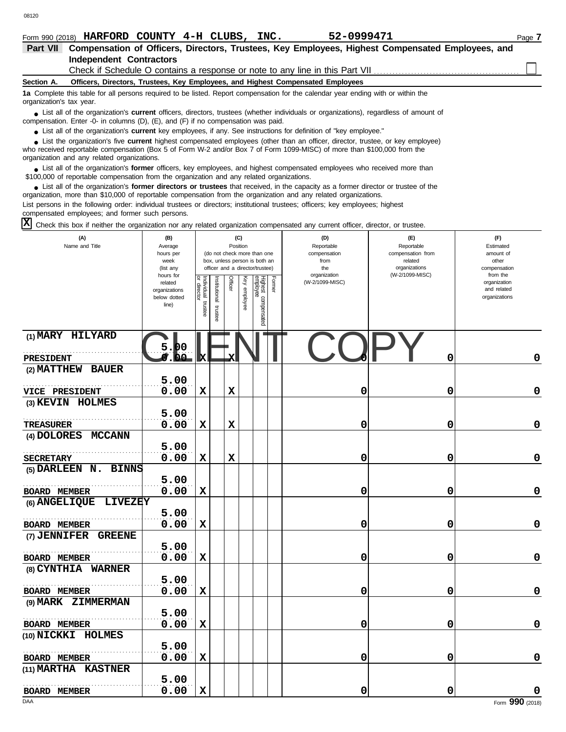| Form 990 (2018) HARFORD COUNTY $4-H$ CLUBS, INC.                             |  |  | 52-0999471 |                                                                                                           | Page $\overline{a}$ |
|------------------------------------------------------------------------------|--|--|------------|-----------------------------------------------------------------------------------------------------------|---------------------|
|                                                                              |  |  |            | Part VII Compensation of Officers, Directors, Trustees, Key Employees, Highest Compensated Employees, and |                     |
| Independent Contractors                                                      |  |  |            |                                                                                                           |                     |
| Check if Schedule O contains a response or note to any line in this Part VII |  |  |            |                                                                                                           |                     |

## **Section A. Officers, Directors, Trustees, Key Employees, and Highest Compensated Employees**

**1a** Complete this table for all persons required to be listed. Report compensation for the calendar year ending with or within the organization's tax year.

■ List all of the organization's **current** officers, directors, trustees (whether individuals or organizations), regardless of amount of compensation. Enter -0- in columns (D), (E), and (F) if no compensation was paid.

● List all of the organization's **current** key employees, if any. See instructions for definition of "key employee."

who received reportable compensation (Box 5 of Form W-2 and/or Box 7 of Form 1099-MISC) of more than \$100,000 from the organization and any related organizations. ■ List the organization's five **current** highest compensated employees (other than an officer, director, trustee, or key employee)<br> **•** Pregiund reportable compensation (Box 5 of Ferm W 2 and/or Box 7 of Ferm 1000 MISC) o

■ List all of the organization's **former** officers, key employees, and highest compensated employees who received more than<br> **•** 00.000 of reportable compensation from the examization and any related examizations \$100,000 of reportable compensation from the organization and any related organizations.

■ List all of the organization's **former directors or trustees** that received, in the capacity as a former director or trustee of the practization more than \$10,000 of reportable compensation from the organization and any organization, more than \$10,000 of reportable compensation from the organization and any related organizations. List persons in the following order: individual trustees or directors; institutional trustees; officers; key employees; highest compensated employees; and former such persons.

Check this box if neither the organization nor any related organization compensated any current officer, director, or trustee. **X**

| (A)                             | (B)                           |                             |               | (C)         |          |                                 |        | (D)                        | (E)                              | (F)                          |
|---------------------------------|-------------------------------|-----------------------------|---------------|-------------|----------|---------------------------------|--------|----------------------------|----------------------------------|------------------------------|
| Name and Title                  | Average<br>hours per          |                             |               | Position    |          | (do not check more than one     |        | Reportable<br>compensation | Reportable<br>compensation from  | Estimated<br>amount of       |
|                                 | week                          |                             |               |             |          | box, unless person is both an   |        | from                       | related                          | other                        |
|                                 | (list any<br>hours for        |                             |               |             |          | officer and a director/trustee) |        | the<br>organization        | organizations<br>(W-2/1099-MISC) | compensation<br>from the     |
|                                 | related                       | Individual 1<br>or director | Institutional | Officer     | Ķey      |                                 | Former | (W-2/1099-MISC)            |                                  | organization                 |
|                                 | organizations<br>below dotted |                             |               |             |          |                                 |        |                            |                                  | and related<br>organizations |
|                                 | line)                         | trustee                     |               |             | employee |                                 |        |                            |                                  |                              |
|                                 |                               |                             | trustee       |             |          | Highest compensated<br>employee |        |                            |                                  |                              |
|                                 |                               |                             |               |             |          |                                 |        |                            |                                  |                              |
| (1) MARY HILYARD                |                               |                             |               |             |          |                                 |        |                            |                                  |                              |
|                                 | DO<br>فظ                      |                             |               |             |          |                                 |        |                            |                                  |                              |
| <b>PRESIDENT</b>                |                               | ĸ                           |               | х           |          |                                 |        |                            | 0                                | 0                            |
| (2) MATTHEW BAUER               |                               |                             |               |             |          |                                 |        |                            |                                  |                              |
|                                 | 5.00<br>0.00                  | X                           |               | $\mathbf x$ |          |                                 |        | 0                          | 0                                | 0                            |
| <b>VICE PRESIDENT</b>           |                               |                             |               |             |          |                                 |        |                            |                                  |                              |
| (3) KEVIN HOLMES                |                               |                             |               |             |          |                                 |        |                            |                                  |                              |
|                                 | 5.00                          |                             |               |             |          |                                 |        |                            |                                  |                              |
| <b>TREASURER</b>                | 0.00                          | $\mathbf x$                 |               | $\mathbf x$ |          |                                 |        | 0                          | 0                                | 0                            |
| (4) DOLORES MCCANN              |                               |                             |               |             |          |                                 |        |                            |                                  |                              |
|                                 | 5.00                          |                             |               |             |          |                                 |        |                            |                                  |                              |
| <b>SECRETARY</b>                | 0.00                          | $\mathbf x$                 |               | $\mathbf x$ |          |                                 |        | 0                          | 0                                | 0                            |
| (5) DARLEEN N. BINNS            |                               |                             |               |             |          |                                 |        |                            |                                  |                              |
|                                 | 5.00                          |                             |               |             |          |                                 |        |                            |                                  |                              |
| BOARD MEMBER                    | 0.00                          | X                           |               |             |          |                                 |        | 0                          | 0                                | 0                            |
| (6) ANGELIQUE<br><b>LIVEZEY</b> |                               |                             |               |             |          |                                 |        |                            |                                  |                              |
|                                 | 5.00                          |                             |               |             |          |                                 |        |                            |                                  |                              |
| BOARD MEMBER                    | 0.00                          | $\mathbf x$                 |               |             |          |                                 |        | 0                          | 0                                | 0                            |
| (7) JENNIFER<br><b>GREENE</b>   |                               |                             |               |             |          |                                 |        |                            |                                  |                              |
|                                 | 5.00                          |                             |               |             |          |                                 |        |                            |                                  |                              |
| BOARD MEMBER                    | 0.00                          | $\mathbf x$                 |               |             |          |                                 |        | 0                          | 0                                | 0                            |
| (8) CYNTHIA WARNER              |                               |                             |               |             |          |                                 |        |                            |                                  |                              |
|                                 | 5.00                          |                             |               |             |          |                                 |        |                            |                                  |                              |
| BOARD MEMBER                    | 0.00                          | $\mathbf x$                 |               |             |          |                                 |        | 0                          | 0                                | 0                            |
| (9) MARK ZIMMERMAN              |                               |                             |               |             |          |                                 |        |                            |                                  |                              |
|                                 | 5.00                          |                             |               |             |          |                                 |        |                            |                                  |                              |
| <b>BOARD MEMBER</b>             | 0.00                          | X                           |               |             |          |                                 |        | 0                          | 0                                | 0                            |
| (10) NICKKI HOLMES              |                               |                             |               |             |          |                                 |        |                            |                                  |                              |
|                                 | 5.00                          |                             |               |             |          |                                 |        |                            |                                  |                              |
| <b>BOARD MEMBER</b>             | 0.00                          | X                           |               |             |          |                                 |        | 0                          | 0                                | 0                            |
| (11) MARTHA KASTNER             |                               |                             |               |             |          |                                 |        |                            |                                  |                              |
|                                 | 5.00                          |                             |               |             |          |                                 |        |                            |                                  |                              |
| <b>BOARD MEMBER</b>             | 0.00                          | $\mathbf x$                 |               |             |          |                                 |        | 0                          | 0                                | 0                            |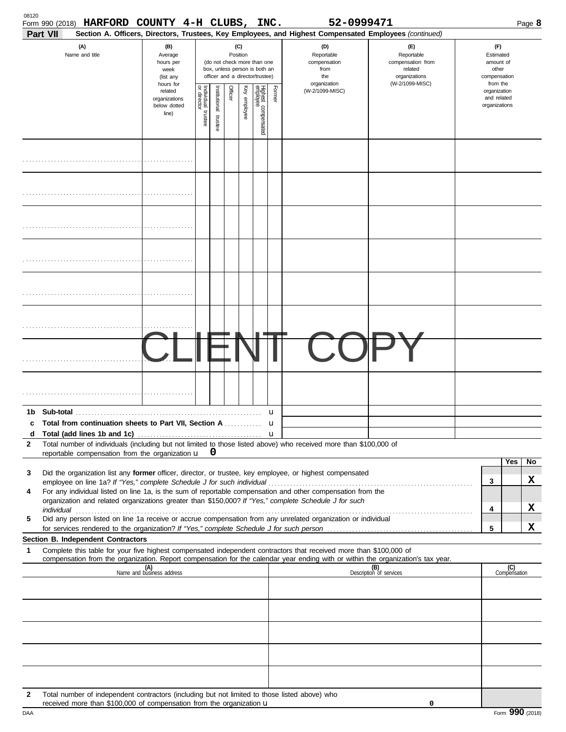|              | Form 990 (2018) HARFORD COUNTY 4-H CLUBS, INC.<br>Part VII                                                                                                                                                                                                                                                                                    |                                                                |                         |                         |          |              |                                                                                                 |                       | 52-0999471<br>Section A. Officers, Directors, Trustees, Key Employees, and Highest Compensated Employees (continued) |                                                                    |                                                          |                     | Page 8 |
|--------------|-----------------------------------------------------------------------------------------------------------------------------------------------------------------------------------------------------------------------------------------------------------------------------------------------------------------------------------------------|----------------------------------------------------------------|-------------------------|-------------------------|----------|--------------|-------------------------------------------------------------------------------------------------|-----------------------|----------------------------------------------------------------------------------------------------------------------|--------------------------------------------------------------------|----------------------------------------------------------|---------------------|--------|
|              | (A)<br>Name and title                                                                                                                                                                                                                                                                                                                         | (B)<br>Average<br>hours per<br>week<br>(list any               |                         |                         | Position | (C)          | (do not check more than one<br>box, unless person is both an<br>officer and a director/trustee) |                       | (D)<br>Reportable<br>compensation<br>from<br>the                                                                     | (E)<br>Reportable<br>compensation from<br>related<br>organizations | (F)<br>Estimated<br>amount of<br>other<br>compensation   |                     |        |
|              |                                                                                                                                                                                                                                                                                                                                               | hours for<br>related<br>organizations<br>below dotted<br>line) | Individual 1<br>trustee | nstitutional<br>trustee | Officer  | Key employee | Highest compensated<br>employee                                                                 | Former                | organization<br>(W-2/1099-MISC)                                                                                      | (W-2/1099-MISC)                                                    | from the<br>organization<br>and related<br>organizations |                     |        |
|              |                                                                                                                                                                                                                                                                                                                                               |                                                                |                         |                         |          |              |                                                                                                 |                       |                                                                                                                      |                                                                    |                                                          |                     |        |
|              |                                                                                                                                                                                                                                                                                                                                               |                                                                |                         |                         |          |              |                                                                                                 |                       |                                                                                                                      |                                                                    |                                                          |                     |        |
|              |                                                                                                                                                                                                                                                                                                                                               |                                                                |                         |                         |          |              |                                                                                                 |                       |                                                                                                                      |                                                                    |                                                          |                     |        |
|              |                                                                                                                                                                                                                                                                                                                                               |                                                                |                         |                         |          |              |                                                                                                 |                       |                                                                                                                      |                                                                    |                                                          |                     |        |
|              |                                                                                                                                                                                                                                                                                                                                               |                                                                |                         |                         |          |              |                                                                                                 |                       |                                                                                                                      |                                                                    |                                                          |                     |        |
|              |                                                                                                                                                                                                                                                                                                                                               |                                                                |                         |                         |          |              |                                                                                                 |                       |                                                                                                                      |                                                                    |                                                          |                     |        |
|              |                                                                                                                                                                                                                                                                                                                                               |                                                                |                         |                         |          |              |                                                                                                 |                       |                                                                                                                      |                                                                    |                                                          |                     |        |
|              |                                                                                                                                                                                                                                                                                                                                               |                                                                |                         |                         |          |              |                                                                                                 |                       |                                                                                                                      |                                                                    |                                                          |                     |        |
| c<br>d       | Total from continuation sheets to Part VII, Section A                                                                                                                                                                                                                                                                                         |                                                                |                         |                         |          |              |                                                                                                 | u<br>u<br>$\mathbf u$ |                                                                                                                      |                                                                    |                                                          |                     |        |
| $\mathbf{2}$ | Total number of individuals (including but not limited to those listed above) who received more than \$100,000 of<br>reportable compensation from the organization u                                                                                                                                                                          |                                                                |                         | 0                       |          |              |                                                                                                 |                       |                                                                                                                      |                                                                    |                                                          |                     |        |
| 3            | Did the organization list any former officer, director, or trustee, key employee, or highest compensated                                                                                                                                                                                                                                      |                                                                |                         |                         |          |              |                                                                                                 |                       |                                                                                                                      |                                                                    |                                                          | Yes                 | No     |
| 4            | employee on line 1a? If "Yes," complete Schedule J for such individual material content content to the set of the schedule J for such individual material content of the set of the set of the set of the set of the set of th<br>For any individual listed on line 1a, is the sum of reportable compensation and other compensation from the |                                                                |                         |                         |          |              |                                                                                                 |                       |                                                                                                                      |                                                                    | 3                                                        |                     | X      |
|              | organization and related organizations greater than \$150,000? If "Yes," complete Schedule J for such                                                                                                                                                                                                                                         |                                                                |                         |                         |          |              |                                                                                                 |                       |                                                                                                                      |                                                                    | 4                                                        |                     | x      |
| 5            | Did any person listed on line 1a receive or accrue compensation from any unrelated organization or individual                                                                                                                                                                                                                                 |                                                                |                         |                         |          |              |                                                                                                 |                       |                                                                                                                      |                                                                    | 5                                                        |                     | x      |
| 1            | Section B. Independent Contractors<br>Complete this table for your five highest compensated independent contractors that received more than \$100,000 of                                                                                                                                                                                      |                                                                |                         |                         |          |              |                                                                                                 |                       |                                                                                                                      |                                                                    |                                                          |                     |        |
|              | compensation from the organization. Report compensation for the calendar year ending with or within the organization's tax year.                                                                                                                                                                                                              | (A)<br>Name and business address                               |                         |                         |          |              |                                                                                                 |                       |                                                                                                                      | (B)<br>Description of services                                     |                                                          | (C)<br>Compensation |        |
|              |                                                                                                                                                                                                                                                                                                                                               |                                                                |                         |                         |          |              |                                                                                                 |                       |                                                                                                                      |                                                                    |                                                          |                     |        |
|              |                                                                                                                                                                                                                                                                                                                                               |                                                                |                         |                         |          |              |                                                                                                 |                       |                                                                                                                      |                                                                    |                                                          |                     |        |
|              |                                                                                                                                                                                                                                                                                                                                               |                                                                |                         |                         |          |              |                                                                                                 |                       |                                                                                                                      |                                                                    |                                                          |                     |        |
|              |                                                                                                                                                                                                                                                                                                                                               |                                                                |                         |                         |          |              |                                                                                                 |                       |                                                                                                                      |                                                                    |                                                          |                     |        |
| 2            | Total number of independent contractors (including but not limited to those listed above) who<br>received more than \$100,000 of compensation from the organization u                                                                                                                                                                         |                                                                |                         |                         |          |              |                                                                                                 |                       |                                                                                                                      | 0                                                                  |                                                          |                     |        |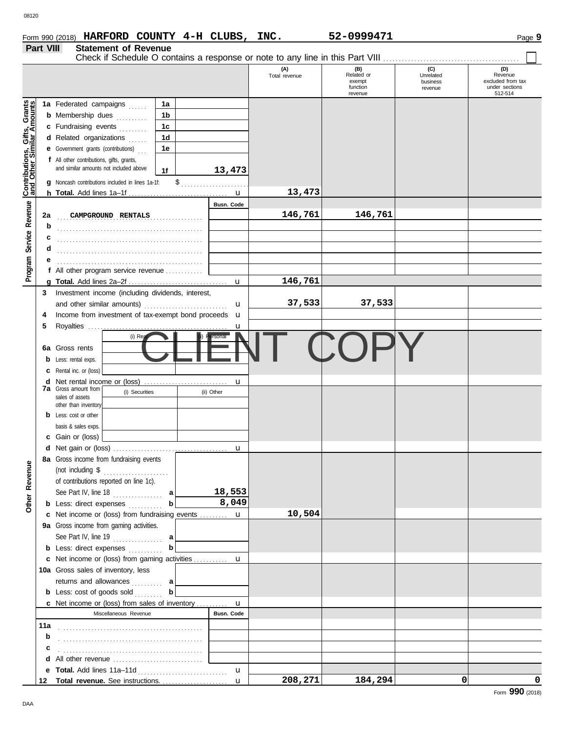|                                                           | Part VIII<br><b>Statement of Revenue</b> |                                                                                     |               |                               |                       |                              |  |  |  |  |  |
|-----------------------------------------------------------|------------------------------------------|-------------------------------------------------------------------------------------|---------------|-------------------------------|-----------------------|------------------------------|--|--|--|--|--|
|                                                           |                                          |                                                                                     | (A)           |                               | (C)                   | (D)                          |  |  |  |  |  |
|                                                           |                                          |                                                                                     | Total revenue | $(B)$<br>Related or<br>exempt | Unrelated<br>business | Revenue<br>excluded from tax |  |  |  |  |  |
|                                                           |                                          |                                                                                     |               | function<br>revenue           | revenue               | under sections<br>512-514    |  |  |  |  |  |
|                                                           |                                          | 1a Federated campaigns<br>1a                                                        |               |                               |                       |                              |  |  |  |  |  |
|                                                           |                                          | 1b<br><b>b</b> Membership dues                                                      |               |                               |                       |                              |  |  |  |  |  |
|                                                           |                                          | 1 <sub>c</sub><br>c Fundraising events                                              |               |                               |                       |                              |  |  |  |  |  |
|                                                           |                                          | 1 <sub>d</sub><br>d Related organizations                                           |               |                               |                       |                              |  |  |  |  |  |
|                                                           |                                          | 1e<br><b>e</b> Government grants (contributions)                                    |               |                               |                       |                              |  |  |  |  |  |
|                                                           |                                          | f All other contributions, gifts, grants,                                           |               |                               |                       |                              |  |  |  |  |  |
|                                                           |                                          | and similar amounts not included above<br>13,473<br>1f                              |               |                               |                       |                              |  |  |  |  |  |
| Contributions, Gifts, Grants<br>and Other Similar Amounts |                                          | g Noncash contributions included in lines 1a-1f:                                    |               |                               |                       |                              |  |  |  |  |  |
|                                                           |                                          | $\mathbf u$                                                                         | 13,473        |                               |                       |                              |  |  |  |  |  |
| Service Revenue                                           |                                          | <b>Busn. Code</b>                                                                   |               |                               |                       |                              |  |  |  |  |  |
|                                                           | 2a                                       | CAMPGROUND RENTALS<br>.                                                             | 146,761       | 146,761                       |                       |                              |  |  |  |  |  |
|                                                           | b                                        |                                                                                     |               |                               |                       |                              |  |  |  |  |  |
|                                                           | с                                        |                                                                                     |               |                               |                       |                              |  |  |  |  |  |
|                                                           | d                                        |                                                                                     |               |                               |                       |                              |  |  |  |  |  |
| Program                                                   |                                          | f All other program service revenue                                                 |               |                               |                       |                              |  |  |  |  |  |
|                                                           | a                                        | $\mathbf{u}$                                                                        | 146,761       |                               |                       |                              |  |  |  |  |  |
|                                                           | 3                                        | Investment income (including dividends, interest,                                   |               |                               |                       |                              |  |  |  |  |  |
|                                                           |                                          | u                                                                                   | 37,533        | 37,533                        |                       |                              |  |  |  |  |  |
|                                                           | 4                                        | Income from investment of tax-exempt bond proceeds <b>u</b>                         |               |                               |                       |                              |  |  |  |  |  |
|                                                           | 5                                        | Royalties<br>u                                                                      |               |                               |                       |                              |  |  |  |  |  |
|                                                           |                                          | $(i)$ Re<br>rsonal                                                                  |               |                               |                       |                              |  |  |  |  |  |
|                                                           | 6a                                       | Gross rents                                                                         |               |                               |                       |                              |  |  |  |  |  |
|                                                           |                                          | Less: rental exps.                                                                  |               |                               |                       |                              |  |  |  |  |  |
|                                                           | С                                        | Rental inc. or (loss)                                                               |               |                               |                       |                              |  |  |  |  |  |
|                                                           | d<br>7a                                  | Net rental income or (loss)<br>u<br>Gross amount from                               |               |                               |                       |                              |  |  |  |  |  |
|                                                           |                                          | (i) Securities<br>(ii) Other<br>sales of assets                                     |               |                               |                       |                              |  |  |  |  |  |
|                                                           |                                          | other than inventory<br>Less: cost or other                                         |               |                               |                       |                              |  |  |  |  |  |
|                                                           |                                          | basis & sales exps.                                                                 |               |                               |                       |                              |  |  |  |  |  |
|                                                           |                                          | Gain or (loss)                                                                      |               |                               |                       |                              |  |  |  |  |  |
|                                                           |                                          | u                                                                                   |               |                               |                       |                              |  |  |  |  |  |
|                                                           |                                          | 8a Gross income from fundraising events                                             |               |                               |                       |                              |  |  |  |  |  |
|                                                           |                                          | (not including $\$\dots$                                                            |               |                               |                       |                              |  |  |  |  |  |
|                                                           |                                          | of contributions reported on line 1c).                                              |               |                               |                       |                              |  |  |  |  |  |
| Other Revenue                                             |                                          | 18,553<br>See Part IV, line 18 $\ldots$ a                                           |               |                               |                       |                              |  |  |  |  |  |
|                                                           |                                          | 8,049<br>b<br><b>b</b> Less: direct expenses                                        |               |                               |                       |                              |  |  |  |  |  |
|                                                           |                                          | c Net income or (loss) from fundraising events  u                                   | 10,504        |                               |                       |                              |  |  |  |  |  |
|                                                           |                                          | 9a Gross income from gaming activities.                                             |               |                               |                       |                              |  |  |  |  |  |
|                                                           |                                          | See Part IV, line 19 $\ldots$ a                                                     |               |                               |                       |                              |  |  |  |  |  |
|                                                           |                                          | b<br><b>b</b> Less: direct expenses                                                 |               |                               |                       |                              |  |  |  |  |  |
|                                                           |                                          | 10a Gross sales of inventory, less                                                  |               |                               |                       |                              |  |  |  |  |  |
|                                                           |                                          | returns and allowances  a                                                           |               |                               |                       |                              |  |  |  |  |  |
|                                                           |                                          | b<br><b>b</b> Less: cost of goods sold                                              |               |                               |                       |                              |  |  |  |  |  |
|                                                           |                                          | <b>c</b> Net income or (loss) from sales of inventory<br>u                          |               |                               |                       |                              |  |  |  |  |  |
|                                                           |                                          | <b>Busn. Code</b><br>Miscellaneous Revenue                                          |               |                               |                       |                              |  |  |  |  |  |
|                                                           | 11a                                      |                                                                                     |               |                               |                       |                              |  |  |  |  |  |
|                                                           | b                                        |                                                                                     |               |                               |                       |                              |  |  |  |  |  |
|                                                           | с                                        |                                                                                     |               |                               |                       |                              |  |  |  |  |  |
|                                                           |                                          | <b>d</b> All other revenue $\ldots, \ldots, \ldots, \ldots, \ldots, \ldots, \ldots$ |               |                               |                       |                              |  |  |  |  |  |
|                                                           | е                                        | u                                                                                   |               |                               |                       |                              |  |  |  |  |  |
|                                                           | 12                                       | Total revenue. See instructions.<br>$\mathbf{u}$                                    | 208, 271      | 184,294                       | 0                     | 0                            |  |  |  |  |  |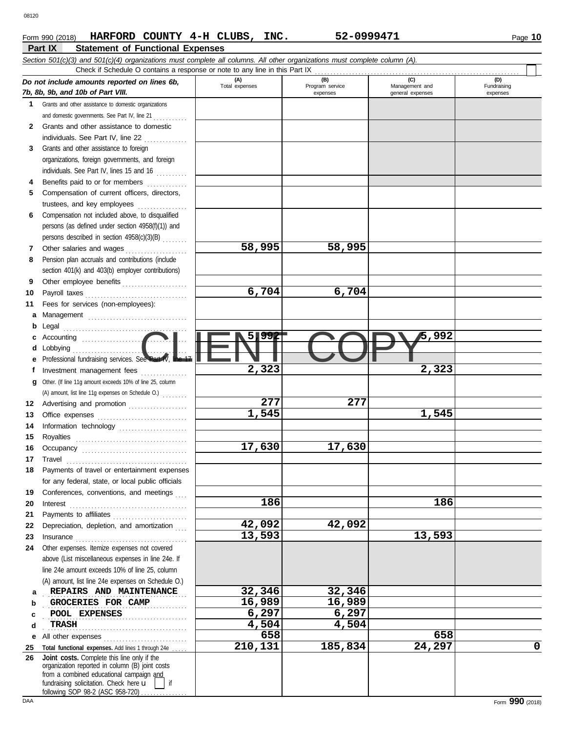## **Part IX Statement of Functional Expenses Form 990 (2018) HARFORD COUNTY 4-H CLUBS, INC.** 52-0999471 Page 10

|    | Check if Schedule O contains a response or note to any line in this Part IX                                                                                                                                                                                                                                                                                                                                                                         |                       |                        |                       |                    |
|----|-----------------------------------------------------------------------------------------------------------------------------------------------------------------------------------------------------------------------------------------------------------------------------------------------------------------------------------------------------------------------------------------------------------------------------------------------------|-----------------------|------------------------|-----------------------|--------------------|
|    | Do not include amounts reported on lines 6b,<br>7b, 8b, 9b, and 10b of Part VIII.                                                                                                                                                                                                                                                                                                                                                                   | (A)<br>Total expenses | (B)<br>Program service | (C)<br>Management and | (D)<br>Fundraising |
| 1  | Grants and other assistance to domestic organizations                                                                                                                                                                                                                                                                                                                                                                                               |                       | expenses               | general expenses      | expenses           |
|    |                                                                                                                                                                                                                                                                                                                                                                                                                                                     |                       |                        |                       |                    |
|    | and domestic governments. See Part IV, line 21                                                                                                                                                                                                                                                                                                                                                                                                      |                       |                        |                       |                    |
| 2  | Grants and other assistance to domestic                                                                                                                                                                                                                                                                                                                                                                                                             |                       |                        |                       |                    |
|    | individuals. See Part IV, line 22                                                                                                                                                                                                                                                                                                                                                                                                                   |                       |                        |                       |                    |
| 3  | Grants and other assistance to foreign                                                                                                                                                                                                                                                                                                                                                                                                              |                       |                        |                       |                    |
|    | organizations, foreign governments, and foreign                                                                                                                                                                                                                                                                                                                                                                                                     |                       |                        |                       |                    |
|    | individuals. See Part IV, lines 15 and 16                                                                                                                                                                                                                                                                                                                                                                                                           |                       |                        |                       |                    |
| 4  | Benefits paid to or for members                                                                                                                                                                                                                                                                                                                                                                                                                     |                       |                        |                       |                    |
| 5  | Compensation of current officers, directors,                                                                                                                                                                                                                                                                                                                                                                                                        |                       |                        |                       |                    |
|    | trustees, and key employees                                                                                                                                                                                                                                                                                                                                                                                                                         |                       |                        |                       |                    |
| 6  | Compensation not included above, to disqualified                                                                                                                                                                                                                                                                                                                                                                                                    |                       |                        |                       |                    |
|    | persons (as defined under section 4958(f)(1)) and                                                                                                                                                                                                                                                                                                                                                                                                   |                       |                        |                       |                    |
|    | persons described in section 4958(c)(3)(B)                                                                                                                                                                                                                                                                                                                                                                                                          |                       |                        |                       |                    |
| 7  | Other salaries and wages<br>.                                                                                                                                                                                                                                                                                                                                                                                                                       | 58,995                | 58,995                 |                       |                    |
| 8  | Pension plan accruals and contributions (include                                                                                                                                                                                                                                                                                                                                                                                                    |                       |                        |                       |                    |
|    | section 401(k) and 403(b) employer contributions)                                                                                                                                                                                                                                                                                                                                                                                                   |                       |                        |                       |                    |
| 9  | Other employee benefits                                                                                                                                                                                                                                                                                                                                                                                                                             |                       |                        |                       |                    |
| 10 |                                                                                                                                                                                                                                                                                                                                                                                                                                                     | 6,704                 | 6,704                  |                       |                    |
| 11 | Fees for services (non-employees):                                                                                                                                                                                                                                                                                                                                                                                                                  |                       |                        |                       |                    |
| а  |                                                                                                                                                                                                                                                                                                                                                                                                                                                     |                       |                        |                       |                    |
| b  |                                                                                                                                                                                                                                                                                                                                                                                                                                                     |                       |                        |                       |                    |
|    |                                                                                                                                                                                                                                                                                                                                                                                                                                                     | 5,992                 |                        | 5,992                 |                    |
| d  | Lobbying                                                                                                                                                                                                                                                                                                                                                                                                                                            |                       |                        |                       |                    |
|    | Professional fundraising services. See Part IV, line 1.                                                                                                                                                                                                                                                                                                                                                                                             |                       |                        |                       |                    |
|    | Investment management fees                                                                                                                                                                                                                                                                                                                                                                                                                          | 2,323                 |                        | 2,323                 |                    |
| g  | Other. (If line 11g amount exceeds 10% of line 25, column                                                                                                                                                                                                                                                                                                                                                                                           |                       |                        |                       |                    |
|    | (A) amount, list line 11g expenses on Schedule O.)                                                                                                                                                                                                                                                                                                                                                                                                  |                       |                        |                       |                    |
| 12 | Advertising and promotion                                                                                                                                                                                                                                                                                                                                                                                                                           | 277                   | 277                    |                       |                    |
| 13 |                                                                                                                                                                                                                                                                                                                                                                                                                                                     | 1,545                 |                        | 1,545                 |                    |
| 14 |                                                                                                                                                                                                                                                                                                                                                                                                                                                     |                       |                        |                       |                    |
|    | Information technology                                                                                                                                                                                                                                                                                                                                                                                                                              |                       |                        |                       |                    |
| 15 |                                                                                                                                                                                                                                                                                                                                                                                                                                                     | 17,630                | 17,630                 |                       |                    |
| 16 |                                                                                                                                                                                                                                                                                                                                                                                                                                                     |                       |                        |                       |                    |
| 17 | $\begin{minipage}{0.5\textwidth} \centering \begin{tabular}{@{}c@{}} \textbf{True} & \textbf{True} \\ \textbf{True} & \textbf{True} \\ \textbf{True} & \textbf{True} \\ \end{tabular} \end{minipage}$                                                                                                                                                                                                                                               |                       |                        |                       |                    |
|    | Payments of travel or entertainment expenses                                                                                                                                                                                                                                                                                                                                                                                                        |                       |                        |                       |                    |
|    | for any federal, state, or local public officials                                                                                                                                                                                                                                                                                                                                                                                                   |                       |                        |                       |                    |
| 19 | Conferences, conventions, and meetings                                                                                                                                                                                                                                                                                                                                                                                                              |                       |                        |                       |                    |
| 20 | $Interest$                                                                                                                                                                                                                                                                                                                                                                                                                                          | 186                   |                        | 186                   |                    |
| 21 |                                                                                                                                                                                                                                                                                                                                                                                                                                                     |                       |                        |                       |                    |
| 22 | Depreciation, depletion, and amortization                                                                                                                                                                                                                                                                                                                                                                                                           | 42,092                | 42,092                 |                       |                    |
| 23 | $In \textbf{surance} \begin{tabular}{@{}l@{}} \hline \textbf{m} & \textbf{m} & \textbf{m} & \textbf{m} \\ \hline \textbf{m} & \textbf{m} & \textbf{m} & \textbf{m} \\ \hline \textbf{m} & \textbf{m} & \textbf{m} & \textbf{m} \\ \hline \textbf{m} & \textbf{m} & \textbf{m} & \textbf{m} \\ \hline \textbf{m} & \textbf{m} & \textbf{m} & \textbf{m} \\ \hline \textbf{m} & \textbf{m} & \textbf{m} & \textbf{m} \\ \hline \textbf{m} & \textbf{$ | 13,593                |                        | 13,593                |                    |
| 24 | Other expenses. Itemize expenses not covered                                                                                                                                                                                                                                                                                                                                                                                                        |                       |                        |                       |                    |
|    | above (List miscellaneous expenses in line 24e. If                                                                                                                                                                                                                                                                                                                                                                                                  |                       |                        |                       |                    |
|    | line 24e amount exceeds 10% of line 25, column                                                                                                                                                                                                                                                                                                                                                                                                      |                       |                        |                       |                    |
|    | (A) amount, list line 24e expenses on Schedule O.)                                                                                                                                                                                                                                                                                                                                                                                                  |                       |                        |                       |                    |
| a  | REPAIRS AND MAINTENANCE                                                                                                                                                                                                                                                                                                                                                                                                                             | 32,346                | 32,346                 |                       |                    |
| b  | GROCERIES FOR CAMP                                                                                                                                                                                                                                                                                                                                                                                                                                  | 16,989                | 16,989                 |                       |                    |
| с  | POOL EXPENSES                                                                                                                                                                                                                                                                                                                                                                                                                                       | 6,297                 | 6,297                  |                       |                    |
| d  | TRASH                                                                                                                                                                                                                                                                                                                                                                                                                                               | 4,504                 | 4,504                  |                       |                    |
| е  | All other expenses                                                                                                                                                                                                                                                                                                                                                                                                                                  | 658                   |                        | 658                   |                    |
| 25 | Total functional expenses. Add lines 1 through 24e                                                                                                                                                                                                                                                                                                                                                                                                  | 210,131               | 185,834                | 24,297                |                    |
| 26 | Joint costs. Complete this line only if the<br>organization reported in column (B) joint costs<br>from a combined educational campaign and<br>fundraising solicitation. Check here u<br>if<br>following SOP 98-2 (ASC 958-720)                                                                                                                                                                                                                      |                       |                        |                       |                    |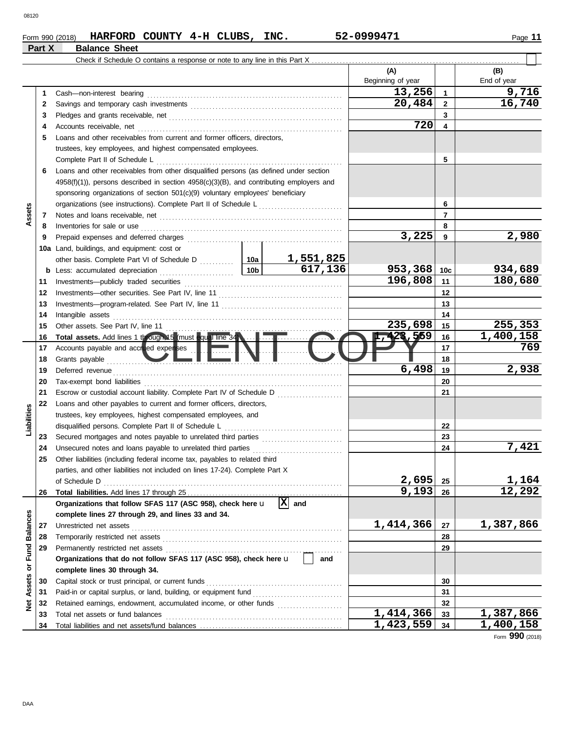## **Form 990 (2018) HARFORD COUNTY 4-H CLUBS, INC.** 52-0999471 Page 11 **Part X Balance Sheet**

 $\Box$ 

|                      |          |                                                                                                                                                            | (A)<br>Beginning of year |                         | (B)<br>End of year |
|----------------------|----------|------------------------------------------------------------------------------------------------------------------------------------------------------------|--------------------------|-------------------------|--------------------|
|                      | 1        |                                                                                                                                                            | 13,256                   | $\mathbf{1}$            | 9,716              |
|                      | 2        |                                                                                                                                                            | 20,484                   | $\overline{2}$          | 16,740             |
|                      | 3        |                                                                                                                                                            |                          | 3                       |                    |
|                      | 4        | Accounts receivable, net                                                                                                                                   | 720                      | $\overline{\mathbf{4}}$ |                    |
|                      | 5        | Loans and other receivables from current and former officers, directors,                                                                                   |                          |                         |                    |
|                      |          | trustees, key employees, and highest compensated employees.                                                                                                |                          |                         |                    |
|                      |          | Complete Part II of Schedule L                                                                                                                             |                          | 5                       |                    |
|                      | 6        | Loans and other receivables from other disqualified persons (as defined under section                                                                      |                          |                         |                    |
|                      |          | $4958(f)(1)$ ), persons described in section $4958(c)(3)(B)$ , and contributing employers and                                                              |                          |                         |                    |
|                      |          | sponsoring organizations of section 501(c)(9) voluntary employees' beneficiary                                                                             |                          |                         |                    |
|                      |          |                                                                                                                                                            |                          | 6                       |                    |
| Assets               | 7        |                                                                                                                                                            |                          | $\overline{7}$          |                    |
|                      | 8        | Inventories for sale or use                                                                                                                                |                          | 8                       |                    |
|                      | 9        | Prepaid expenses and deferred charges                                                                                                                      | 3,225                    | 9                       | 2,980              |
|                      |          | 10a Land, buildings, and equipment: cost or                                                                                                                |                          |                         |                    |
|                      |          | <u>1,551,825</u>                                                                                                                                           |                          |                         |                    |
|                      |          | 617, 136<br>10 <sub>b</sub><br><b>b</b> Less: accumulated depreciation                                                                                     | 953,368                  | 10 <sub>c</sub>         | 934,689            |
|                      | 11       | Investments-publicly traded securities                                                                                                                     | 196,808                  | 11                      | 180,680            |
|                      | 12       |                                                                                                                                                            |                          | 12                      |                    |
|                      | 13       |                                                                                                                                                            |                          | 13                      |                    |
|                      | 14       | Intangible assets                                                                                                                                          |                          | 14                      |                    |
|                      | 15       | Other assets. See Part IV, line 11                                                                                                                         | 235,698                  | 15                      | 255,353            |
|                      | 16       |                                                                                                                                                            | 1,423,559                | 16                      | 1,400,158          |
|                      | 17       | Accounts payable and accrued expenses                                                                                                                      |                          | 17                      | 769                |
|                      | 18       | Grants payable                                                                                                                                             |                          | 18                      |                    |
|                      | 19       | Deferred revenue                                                                                                                                           | 6,498                    | 19                      | 2,938              |
|                      | 20       | Tax-exempt bond liabilities                                                                                                                                |                          | 20                      |                    |
|                      | 21       | Escrow or custodial account liability. Complete Part IV of Schedule D                                                                                      |                          | 21                      |                    |
|                      | 22       | Loans and other payables to current and former officers, directors,                                                                                        |                          |                         |                    |
|                      |          | trustees, key employees, highest compensated employees, and                                                                                                |                          |                         |                    |
| Liabilities          |          | disqualified persons. Complete Part II of Schedule L                                                                                                       |                          | 22                      |                    |
|                      | 23       |                                                                                                                                                            |                          | 23                      | 7,421              |
|                      | 24<br>25 | Unsecured notes and loans payable to unrelated third parties                                                                                               |                          | 24                      |                    |
|                      |          | Other liabilities (including federal income tax, payables to related third<br>parties, and other liabilities not included on lines 17-24). Complete Part X |                          |                         |                    |
|                      |          | of Schedule D                                                                                                                                              | 2,695                    | 25                      | 1,164              |
|                      | 26       |                                                                                                                                                            | 9,193                    | 26                      | 12,292             |
|                      |          | 冈<br>Organizations that follow SFAS 117 (ASC 958), check here u<br>and                                                                                     |                          |                         |                    |
|                      |          | complete lines 27 through 29, and lines 33 and 34.                                                                                                         |                          |                         |                    |
|                      | 27       | Unrestricted net assets                                                                                                                                    | 1,414,366                | 27                      | 1,387,866          |
|                      | 28       | Temporarily restricted net assets                                                                                                                          |                          | 28                      |                    |
| <b>Fund Balances</b> | 29       | Permanently restricted net assets                                                                                                                          |                          | 29                      |                    |
|                      |          | Organizations that do not follow SFAS 117 (ASC 958), check here u<br>and                                                                                   |                          |                         |                    |
| $\overline{\sigma}$  |          | complete lines 30 through 34.                                                                                                                              |                          |                         |                    |
| <b>Net Assets</b>    | 30       | Capital stock or trust principal, or current funds                                                                                                         |                          | 30                      |                    |
|                      | 31       | Paid-in or capital surplus, or land, building, or equipment fund                                                                                           |                          | 31                      |                    |
|                      | 32       | Retained earnings, endowment, accumulated income, or other funds                                                                                           |                          | 32                      |                    |
|                      | 33       | Total net assets or fund balances                                                                                                                          | $\overline{1,414,366}$   | 33                      | 1,387,866          |
|                      | 34       |                                                                                                                                                            | 1,423,559                | 34                      | 1,400,158          |

Form **990** (2018)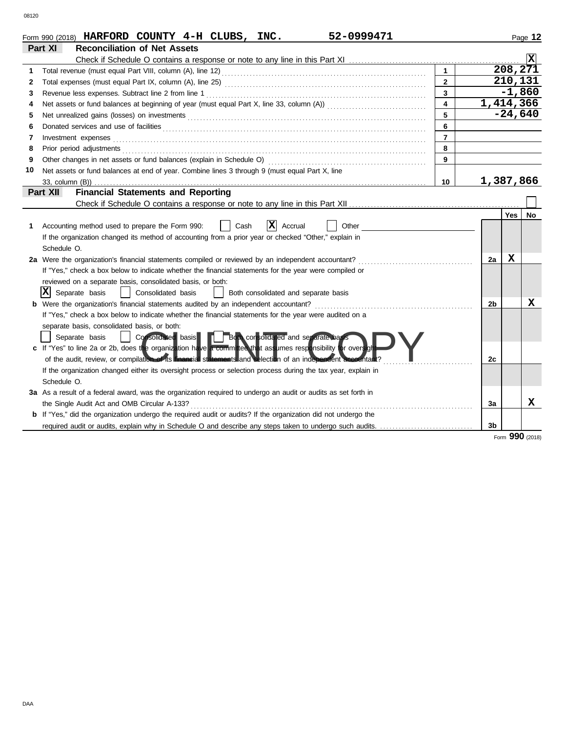|    | 52-0999471<br>Form 990 (2018) HARFORD COUNTY $4-H$ CLUBS, INC.                                                                                                                                                                       |                |                |                      | Page 12        |
|----|--------------------------------------------------------------------------------------------------------------------------------------------------------------------------------------------------------------------------------------|----------------|----------------|----------------------|----------------|
|    | <b>Reconciliation of Net Assets</b><br>Part XI                                                                                                                                                                                       |                |                |                      |                |
|    |                                                                                                                                                                                                                                      |                |                |                      | $ \mathbf{x} $ |
| 1. |                                                                                                                                                                                                                                      |                |                | $\overline{208,271}$ |                |
| 2  |                                                                                                                                                                                                                                      | $\overline{2}$ |                | 210,131              |                |
| 3  | Revenue less expenses. Subtract line 2 from line 1                                                                                                                                                                                   | $\overline{3}$ |                | $-1,860$             |                |
| 4  |                                                                                                                                                                                                                                      | $\mathbf{A}$   | 1,414,366      |                      |                |
| 5  |                                                                                                                                                                                                                                      | 5              |                | $-24,640$            |                |
| 6  | Donated services and use of facilities <b>constants and interview of the service of the services</b> and use of facilities                                                                                                           | 6              |                |                      |                |
| 7  | Investment expenses <b>contract and the contract of the contract of the contract of the contract of the contract of the contract of the contract of the contract of the contract of the contract of the contract of the contract</b> | $\overline{7}$ |                |                      |                |
| 8  |                                                                                                                                                                                                                                      | 8              |                |                      |                |
| 9  |                                                                                                                                                                                                                                      | 9              |                |                      |                |
| 10 | Net assets or fund balances at end of year. Combine lines 3 through 9 (must equal Part X, line                                                                                                                                       |                |                |                      |                |
|    |                                                                                                                                                                                                                                      | 10             | 1,387,866      |                      |                |
|    | <b>Financial Statements and Reporting</b><br>Part XII                                                                                                                                                                                |                |                |                      |                |
|    |                                                                                                                                                                                                                                      |                |                |                      |                |
|    |                                                                                                                                                                                                                                      |                |                | <b>Yes</b>           | No             |
| 1. | X<br>Other<br>Accounting method used to prepare the Form 990:<br>Cash<br>Accrual                                                                                                                                                     |                |                |                      |                |
|    | If the organization changed its method of accounting from a prior year or checked "Other," explain in                                                                                                                                |                |                |                      |                |
|    | Schedule O.                                                                                                                                                                                                                          |                |                |                      |                |
|    | 2a Were the organization's financial statements compiled or reviewed by an independent accountant?                                                                                                                                   |                | 2a             | X                    |                |
|    | If "Yes," check a box below to indicate whether the financial statements for the year were compiled or                                                                                                                               |                |                |                      |                |
|    | reviewed on a separate basis, consolidated basis, or both:                                                                                                                                                                           |                |                |                      |                |
|    | X <br>Separate basis<br>Consolidated basis<br>Both consolidated and separate basis<br>$\perp$                                                                                                                                        |                |                |                      |                |
|    | Were the organization's financial statements audited by an independent accountant?                                                                                                                                                   |                | 2b             |                      | x              |
|    | If "Yes," check a box below to indicate whether the financial statements for the year were audited on a                                                                                                                              |                |                |                      |                |
|    | separate basis, consolidated basis, or both:                                                                                                                                                                                         |                |                |                      |                |
|    | Consolidated basis <b>The Both consolidated</b> and separate basis<br>Separate basis                                                                                                                                                 |                |                |                      |                |
|    | c If "Yes" to line 2a or 2b, does the organization have a committed that assumes responsibility for oversigh                                                                                                                         |                |                |                      |                |
|    | of the audit, review, or compilation of its <b>financial statements</b> and selection of an independent accountant?                                                                                                                  |                | 2c             |                      |                |
|    | If the organization changed either its oversight process or selection process during the tax year, explain in                                                                                                                        |                |                |                      |                |
|    | Schedule O.                                                                                                                                                                                                                          |                |                |                      |                |
|    | 3a As a result of a federal award, was the organization required to undergo an audit or audits as set forth in                                                                                                                       |                |                |                      |                |
|    | the Single Audit Act and OMB Circular A-133?                                                                                                                                                                                         |                | За             |                      | x              |
|    | <b>b</b> If "Yes," did the organization undergo the required audit or audits? If the organization did not undergo the                                                                                                                |                |                |                      |                |
|    | required audit or audits, explain why in Schedule O and describe any steps taken to undergo such audits.                                                                                                                             |                | 3 <sub>b</sub> |                      |                |

Form **990** (2018)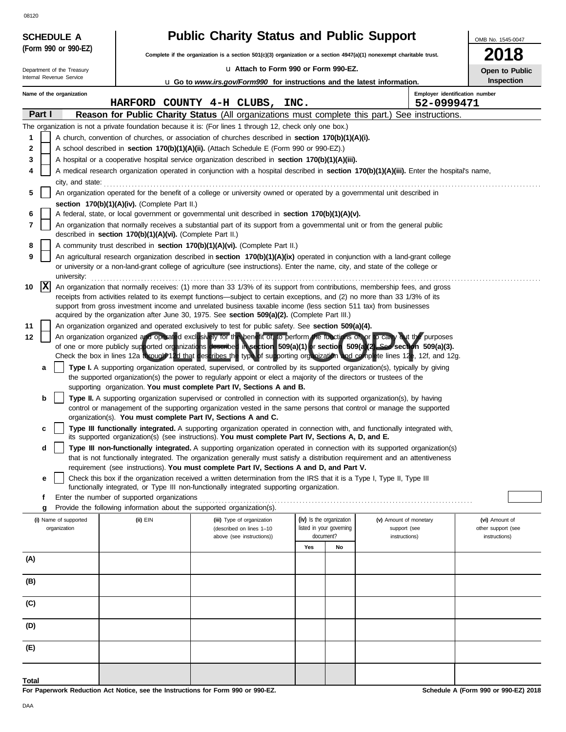|        |            | <b>SCHEDULE A</b>                     |                                                            | <b>Public Charity Status and Public Support</b>                                                                                                                                                                                                                |     |                                                      |                                        | OMB No. 1545-0047                    |
|--------|------------|---------------------------------------|------------------------------------------------------------|----------------------------------------------------------------------------------------------------------------------------------------------------------------------------------------------------------------------------------------------------------------|-----|------------------------------------------------------|----------------------------------------|--------------------------------------|
|        |            | (Form 990 or 990-EZ)                  |                                                            | Complete if the organization is a section 501(c)(3) organization or a section $4947(a)(1)$ nonexempt charitable trust.                                                                                                                                         |     |                                                      |                                        | 2018                                 |
|        |            | Department of the Treasury            |                                                            | Lu Attach to Form 990 or Form 990-EZ.                                                                                                                                                                                                                          |     |                                                      |                                        | Open to Public                       |
|        |            | Internal Revenue Service              |                                                            | <b>u</b> Go to <i>www.irs.gov/Form990</i> for instructions and the latest information.                                                                                                                                                                         |     |                                                      |                                        | <b>Inspection</b>                    |
|        |            | Name of the organization              |                                                            |                                                                                                                                                                                                                                                                |     |                                                      |                                        | Employer identification number       |
|        |            |                                       |                                                            | HARFORD COUNTY 4-H CLUBS, INC.                                                                                                                                                                                                                                 |     |                                                      | 52-0999471                             |                                      |
|        | Part I     |                                       |                                                            | Reason for Public Charity Status (All organizations must complete this part.) See instructions.                                                                                                                                                                |     |                                                      |                                        |                                      |
|        |            |                                       |                                                            | The organization is not a private foundation because it is: (For lines 1 through 12, check only one box.)                                                                                                                                                      |     |                                                      |                                        |                                      |
| 1      |            |                                       |                                                            | A church, convention of churches, or association of churches described in section 170(b)(1)(A)(i).                                                                                                                                                             |     |                                                      |                                        |                                      |
| 2<br>3 |            |                                       |                                                            | A school described in <b>section 170(b)(1)(A)(ii).</b> (Attach Schedule E (Form 990 or 990-EZ).)<br>A hospital or a cooperative hospital service organization described in section 170(b)(1)(A)(iii).                                                          |     |                                                      |                                        |                                      |
| 4      |            |                                       |                                                            | A medical research organization operated in conjunction with a hospital described in section 170(b)(1)(A)(iii). Enter the hospital's name,                                                                                                                     |     |                                                      |                                        |                                      |
|        |            | city, and state:                      |                                                            |                                                                                                                                                                                                                                                                |     |                                                      |                                        |                                      |
| 5      |            |                                       |                                                            | An organization operated for the benefit of a college or university owned or operated by a governmental unit described in                                                                                                                                      |     |                                                      |                                        |                                      |
|        |            |                                       | section 170(b)(1)(A)(iv). (Complete Part II.)              |                                                                                                                                                                                                                                                                |     |                                                      |                                        |                                      |
| 6      |            |                                       |                                                            | A federal, state, or local government or governmental unit described in section 170(b)(1)(A)(v).                                                                                                                                                               |     |                                                      |                                        |                                      |
| 7      |            |                                       | described in section 170(b)(1)(A)(vi). (Complete Part II.) | An organization that normally receives a substantial part of its support from a governmental unit or from the general public                                                                                                                                   |     |                                                      |                                        |                                      |
| 8      |            |                                       |                                                            | A community trust described in section 170(b)(1)(A)(vi). (Complete Part II.)                                                                                                                                                                                   |     |                                                      |                                        |                                      |
| 9      |            |                                       |                                                            | An agricultural research organization described in section 170(b)(1)(A)(ix) operated in conjunction with a land-grant college                                                                                                                                  |     |                                                      |                                        |                                      |
|        |            | university:                           |                                                            | or university or a non-land-grant college of agriculture (see instructions). Enter the name, city, and state of the college or                                                                                                                                 |     |                                                      |                                        |                                      |
| 10     | $ {\bf x}$ |                                       |                                                            | An organization that normally receives: (1) more than 33 1/3% of its support from contributions, membership fees, and gross                                                                                                                                    |     |                                                      |                                        |                                      |
|        |            |                                       |                                                            | receipts from activities related to its exempt functions—subject to certain exceptions, and (2) no more than 33 1/3% of its                                                                                                                                    |     |                                                      |                                        |                                      |
|        |            |                                       |                                                            | support from gross investment income and unrelated business taxable income (less section 511 tax) from businesses<br>acquired by the organization after June 30, 1975. See section 509(a)(2). (Complete Part III.)                                             |     |                                                      |                                        |                                      |
| 11     |            |                                       |                                                            | An organization organized and operated exclusively to test for public safety. See section 509(a)(4).                                                                                                                                                           |     |                                                      |                                        |                                      |
| 12     |            |                                       |                                                            | An organization organized and operated exclusively for the benefit of to perform the functions of, or to carry out the purposes                                                                                                                                |     |                                                      |                                        |                                      |
|        |            |                                       |                                                            | of one or more publicly supported organizations described in section 509(a)(1) or section 509(a)(2). Sec section 509(a)(3).                                                                                                                                    |     |                                                      |                                        |                                      |
|        | a          |                                       |                                                            | Check the box in lines 12a through 12d that describes the type of supporting organization and complete lines 12e, 12f, and 12g.<br>Type I. A supporting organization operated, supervised, or controlled by its supported organization(s), typically by giving |     |                                                      |                                        |                                      |
|        |            |                                       |                                                            | the supported organization(s) the power to regularly appoint or elect a majority of the directors or trustees of the<br>supporting organization. You must complete Part IV, Sections A and B.                                                                  |     |                                                      |                                        |                                      |
|        | b          |                                       |                                                            | Type II. A supporting organization supervised or controlled in connection with its supported organization(s), by having                                                                                                                                        |     |                                                      |                                        |                                      |
|        |            |                                       |                                                            | control or management of the supporting organization vested in the same persons that control or manage the supported                                                                                                                                           |     |                                                      |                                        |                                      |
|        |            |                                       |                                                            | organization(s). You must complete Part IV, Sections A and C.                                                                                                                                                                                                  |     |                                                      |                                        |                                      |
|        | c          |                                       |                                                            | Type III functionally integrated. A supporting organization operated in connection with, and functionally integrated with,<br>its supported organization(s) (see instructions). You must complete Part IV, Sections A, D, and E.                               |     |                                                      |                                        |                                      |
|        | d          |                                       |                                                            | Type III non-functionally integrated. A supporting organization operated in connection with its supported organization(s)                                                                                                                                      |     |                                                      |                                        |                                      |
|        |            |                                       |                                                            | that is not functionally integrated. The organization generally must satisfy a distribution requirement and an attentiveness                                                                                                                                   |     |                                                      |                                        |                                      |
|        | е          |                                       |                                                            | requirement (see instructions). You must complete Part IV, Sections A and D, and Part V.<br>Check this box if the organization received a written determination from the IRS that it is a Type I, Type II, Type III                                            |     |                                                      |                                        |                                      |
|        |            |                                       |                                                            | functionally integrated, or Type III non-functionally integrated supporting organization.                                                                                                                                                                      |     |                                                      |                                        |                                      |
|        | f          |                                       | Enter the number of supported organizations                |                                                                                                                                                                                                                                                                |     |                                                      |                                        |                                      |
|        | g          |                                       |                                                            | Provide the following information about the supported organization(s).                                                                                                                                                                                         |     |                                                      |                                        |                                      |
|        |            | (i) Name of supported<br>organization | (ii) EIN                                                   | (iii) Type of organization<br>(described on lines 1-10                                                                                                                                                                                                         |     | (iv) Is the organization<br>listed in your governing | (v) Amount of monetary<br>support (see | (vi) Amount of<br>other support (see |
|        |            |                                       |                                                            | above (see instructions))                                                                                                                                                                                                                                      |     | document?                                            | instructions)                          | instructions)                        |
|        |            |                                       |                                                            |                                                                                                                                                                                                                                                                | Yes | No                                                   |                                        |                                      |
| (A)    |            |                                       |                                                            |                                                                                                                                                                                                                                                                |     |                                                      |                                        |                                      |
| (B)    |            |                                       |                                                            |                                                                                                                                                                                                                                                                |     |                                                      |                                        |                                      |
|        |            |                                       |                                                            |                                                                                                                                                                                                                                                                |     |                                                      |                                        |                                      |
| (C)    |            |                                       |                                                            |                                                                                                                                                                                                                                                                |     |                                                      |                                        |                                      |
| (D)    |            |                                       |                                                            |                                                                                                                                                                                                                                                                |     |                                                      |                                        |                                      |
| (E)    |            |                                       |                                                            |                                                                                                                                                                                                                                                                |     |                                                      |                                        |                                      |
|        |            |                                       |                                                            |                                                                                                                                                                                                                                                                |     |                                                      |                                        |                                      |
| Total  |            |                                       |                                                            |                                                                                                                                                                                                                                                                |     |                                                      |                                        |                                      |

**For Paperwork Reduction Act Notice, see the Instructions for Form 990 or 990-EZ.**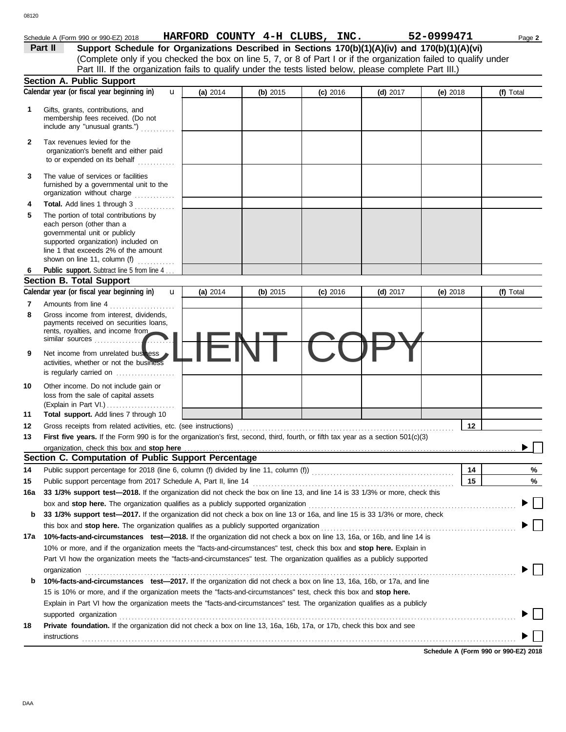|        | Schedule A (Form 990 or 990-EZ) 2018                                                                                                                                                                                          |          |          | HARFORD COUNTY 4-H CLUBS, INC. |            | 52-0999471 | Page 2    |
|--------|-------------------------------------------------------------------------------------------------------------------------------------------------------------------------------------------------------------------------------|----------|----------|--------------------------------|------------|------------|-----------|
|        | Support Schedule for Organizations Described in Sections 170(b)(1)(A)(iv) and 170(b)(1)(A)(vi)<br>Part II                                                                                                                     |          |          |                                |            |            |           |
|        | (Complete only if you checked the box on line 5, 7, or 8 of Part I or if the organization failed to qualify under                                                                                                             |          |          |                                |            |            |           |
|        | Part III. If the organization fails to qualify under the tests listed below, please complete Part III.)                                                                                                                       |          |          |                                |            |            |           |
|        | <b>Section A. Public Support</b>                                                                                                                                                                                              |          |          |                                |            |            |           |
|        | Calendar year (or fiscal year beginning in)<br>$\mathbf{u}$                                                                                                                                                                   | (a) 2014 | (b) 2015 | $(c)$ 2016                     | (d) $2017$ | (e) $2018$ | (f) Total |
| 1      | Gifts, grants, contributions, and<br>membership fees received. (Do not<br>include any "unusual grants.")                                                                                                                      |          |          |                                |            |            |           |
| 2      | Tax revenues levied for the<br>organization's benefit and either paid<br>to or expended on its behalf                                                                                                                         |          |          |                                |            |            |           |
| 3      | The value of services or facilities<br>furnished by a governmental unit to the<br>organization without charge                                                                                                                 |          |          |                                |            |            |           |
| 4      | Total. Add lines 1 through 3                                                                                                                                                                                                  |          |          |                                |            |            |           |
| 5      | The portion of total contributions by<br>each person (other than a<br>governmental unit or publicly<br>supported organization) included on<br>line 1 that exceeds 2% of the amount<br>shown on line 11, column (f)            |          |          |                                |            |            |           |
|        | Public support. Subtract line 5 from line 4.                                                                                                                                                                                  |          |          |                                |            |            |           |
|        | <b>Section B. Total Support</b>                                                                                                                                                                                               |          |          |                                |            |            |           |
|        | Calendar year (or fiscal year beginning in)<br>u                                                                                                                                                                              | (a) 2014 | (b) 2015 | $(c)$ 2016                     | (d) $2017$ | (e) $2018$ | (f) Total |
| 7      | Amounts from line 4                                                                                                                                                                                                           |          |          |                                |            |            |           |
| 8<br>9 | Gross income from interest, dividends,<br>payments received on securities loans,<br>rents, royalties, and income from<br>similar sources<br>Net income from unrelated business                                                |          |          |                                |            |            |           |
|        | activities, whether or not the business<br>is regularly carried on $\ldots$ , $\ldots$                                                                                                                                        |          |          |                                |            |            |           |
| 10     | Other income. Do not include gain or<br>loss from the sale of capital assets                                                                                                                                                  |          |          |                                |            |            |           |
| 11     | Total support. Add lines 7 through 10                                                                                                                                                                                         |          |          |                                |            |            |           |
| 12     | Gross receipts from related activities, etc. (see instructions)                                                                                                                                                               |          |          |                                |            | 12         |           |
| 13     | First five years. If the Form 990 is for the organization's first, second, third, fourth, or fifth tax year as a section $501(c)(3)$                                                                                          |          |          |                                |            |            |           |
|        |                                                                                                                                                                                                                               |          |          |                                |            |            |           |
|        | Section C. Computation of Public Support Percentage                                                                                                                                                                           |          |          |                                |            |            |           |
| 14     |                                                                                                                                                                                                                               |          |          |                                |            | 14         | %         |
| 15     |                                                                                                                                                                                                                               |          |          |                                |            | 15         | %         |
| 16a    | 33 1/3% support test-2018. If the organization did not check the box on line 13, and line 14 is 33 1/3% or more, check this                                                                                                   |          |          |                                |            |            |           |
|        | box and stop here. The organization qualifies as a publicly supported organization                                                                                                                                            |          |          |                                |            |            |           |
| b      | 33 1/3% support test-2017. If the organization did not check a box on line 13 or 16a, and line 15 is 33 1/3% or more, check<br>this box and <b>stop here.</b> The organization qualifies as a publicly supported organization |          |          |                                |            |            |           |
|        | 17a 10%-facts-and-circumstances test-2018. If the organization did not check a box on line 13, 16a, or 16b, and line 14 is                                                                                                    |          |          |                                |            |            |           |
|        | 10% or more, and if the organization meets the "facts-and-circumstances" test, check this box and stop here. Explain in                                                                                                       |          |          |                                |            |            |           |
|        | Part VI how the organization meets the "facts-and-circumstances" test. The organization qualifies as a publicly supported                                                                                                     |          |          |                                |            |            |           |
|        | organization                                                                                                                                                                                                                  |          |          |                                |            |            |           |
| b      | 10%-facts-and-circumstances test-2017. If the organization did not check a box on line 13, 16a, 16b, or 17a, and line                                                                                                         |          |          |                                |            |            |           |
|        | 15 is 10% or more, and if the organization meets the "facts-and-circumstances" test, check this box and stop here.                                                                                                            |          |          |                                |            |            |           |
|        | Explain in Part VI how the organization meets the "facts-and-circumstances" test. The organization qualifies as a publicly                                                                                                    |          |          |                                |            |            |           |
| 18     | supported organization<br>Private foundation. If the organization did not check a box on line 13, 16a, 16b, 17a, or 17b, check this box and see                                                                               |          |          |                                |            |            |           |
|        | instructions                                                                                                                                                                                                                  |          |          |                                |            |            |           |

**Schedule A (Form 990 or 990-EZ) 2018**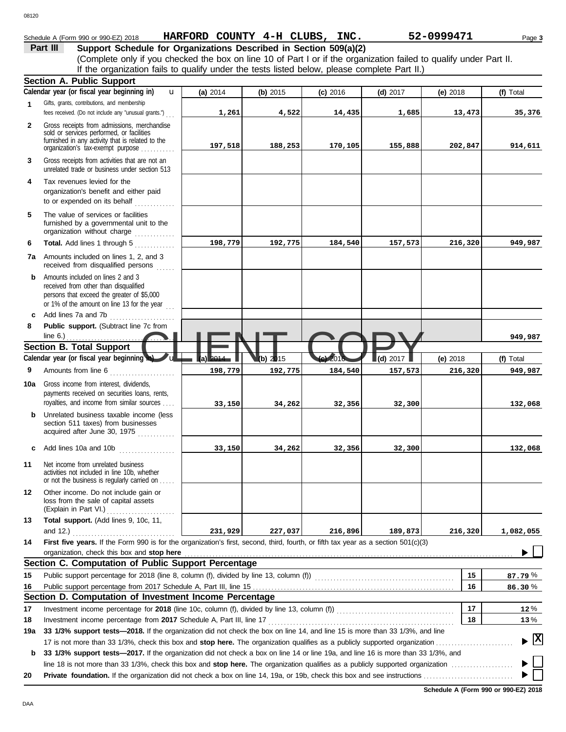# Schedule A (Form 990 or 990-EZ) 2018 Page **3 HARFORD COUNTY 4-H CLUBS, INC. 52-0999471**

**Part III Support Schedule for Organizations Described in Section 509(a)(2)** (Complete only if you checked the box on line 10 of Part I or if the organization failed to qualify under Part II. If the organization fails to qualify under the tests listed below, please complete Part II.)

|              | <b>Section A. Public Support</b>                                                                                                                                                  |          |          |                           |            |            |                                    |
|--------------|-----------------------------------------------------------------------------------------------------------------------------------------------------------------------------------|----------|----------|---------------------------|------------|------------|------------------------------------|
|              | Calendar year (or fiscal year beginning in)<br>u                                                                                                                                  | (a) 2014 | (b) 2015 | $(c)$ 2016                | $(d)$ 2017 | $(e)$ 2018 | (f) Total                          |
| $\mathbf{1}$ | Gifts, grants, contributions, and membership<br>fees received. (Do not include any "unusual grants.")                                                                             | 1,261    | 4,522    | 14,435                    | 1,685      | 13,473     | 35,376                             |
| $\mathbf{2}$ | Gross receipts from admissions, merchandise<br>sold or services performed, or facilities<br>furnished in any activity that is related to the<br>organization's tax-exempt purpose | 197,518  | 188,253  | 170,105                   | 155,888    | 202,847    | 914,611                            |
| 3            | Gross receipts from activities that are not an<br>unrelated trade or business under section 513                                                                                   |          |          |                           |            |            |                                    |
| 4            | Tax revenues levied for the<br>organization's benefit and either paid                                                                                                             |          |          |                           |            |            |                                    |
| 5            | The value of services or facilities<br>furnished by a governmental unit to the<br>organization without charge                                                                     |          |          |                           |            |            |                                    |
| 6            | Total. Add lines 1 through 5                                                                                                                                                      | 198,779  | 192,775  | 184,540                   | 157,573    | 216,320    | 949,987                            |
|              | 7a Amounts included on lines 1, 2, and 3<br>received from disqualified persons                                                                                                    |          |          |                           |            |            |                                    |
| b            | Amounts included on lines 2 and 3<br>received from other than disqualified<br>persons that exceed the greater of \$5,000<br>or 1% of the amount on line 13 for the year $\ldots$  |          |          |                           |            |            |                                    |
| c            | Add lines 7a and 7b<br>.                                                                                                                                                          |          |          |                           |            |            |                                    |
| 8            | Public support. (Subtract line 7c from                                                                                                                                            |          |          |                           |            |            |                                    |
|              | line $6.$ )                                                                                                                                                                       |          |          |                           |            |            | 949,987                            |
|              | <b>Section B. Total Support</b>                                                                                                                                                   |          |          |                           |            |            |                                    |
|              | Calendar year (or fiscal year beginning in)                                                                                                                                       | la)      | (b) 2015 | $\left($ e $\right)$ 2016 | (d) 2017   | (e) 2018   | (f) Total                          |
| 9            | Amounts from line 6<br><u> 1986 - Johann Barnett, markat er skrivet er s</u>                                                                                                      | 198,779  | 192,775  | 184,540                   | 157,573    | 216,320    | 949,987                            |
| 10a          | Gross income from interest, dividends,<br>payments received on securities loans, rents,<br>royalties, and income from similar sources                                             | 33,150   | 34,262   | 32,356                    | 32,300     |            | 132,068                            |
| b            | Unrelated business taxable income (less<br>section 511 taxes) from businesses<br>acquired after June 30, 1975                                                                     |          |          |                           |            |            |                                    |
| c            | Add lines 10a and 10b                                                                                                                                                             | 33,150   | 34,262   | 32,356                    | 32,300     |            | 132,068                            |
| 11           | Net income from unrelated business<br>activities not included in line 10b, whether<br>or not the business is regularly carried on                                                 |          |          |                           |            |            |                                    |
| $12 \,$      | Other income. Do not include gain or<br>loss from the sale of capital assets<br>(Explain in Part VI.)                                                                             |          |          |                           |            |            |                                    |
| 13           | Total support. (Add lines 9, 10c, 11,                                                                                                                                             |          |          |                           |            |            |                                    |
|              | and $12$ .)                                                                                                                                                                       | 231,929  | 227,037  | 216,896                   | 189,873    | 216,320    | 1,082,055                          |
| 14           | First five years. If the Form 990 is for the organization's first, second, third, fourth, or fifth tax year as a section 501(c)(3)                                                |          |          |                           |            |            |                                    |
|              | organization, check this box and stop here                                                                                                                                        |          |          |                           |            |            |                                    |
|              | Section C. Computation of Public Support Percentage                                                                                                                               |          |          |                           |            |            |                                    |
| 15           |                                                                                                                                                                                   |          |          |                           |            | 15         | 87.79 %                            |
| 16           |                                                                                                                                                                                   |          |          |                           |            | 16         | 86.30%                             |
|              | Section D. Computation of Investment Income Percentage                                                                                                                            |          |          |                           |            |            |                                    |
| 17           |                                                                                                                                                                                   |          |          |                           |            | 17         | 12%                                |
| 18           | Investment income percentage from 2017 Schedule A, Part III, line 17                                                                                                              |          |          |                           |            | 18         | 13%                                |
| 19a          | 33 1/3% support tests-2018. If the organization did not check the box on line 14, and line 15 is more than 33 1/3%, and line                                                      |          |          |                           |            |            | $\blacktriangleright$ $\mathbb{X}$ |
|              | 33 1/3% support tests-2017. If the organization did not check a box on line 14 or line 19a, and line 16 is more than 33 1/3%, and                                                 |          |          |                           |            |            |                                    |
| b            |                                                                                                                                                                                   |          |          |                           |            |            |                                    |
| 20           |                                                                                                                                                                                   |          |          |                           |            |            |                                    |
|              |                                                                                                                                                                                   |          |          |                           |            |            |                                    |

08120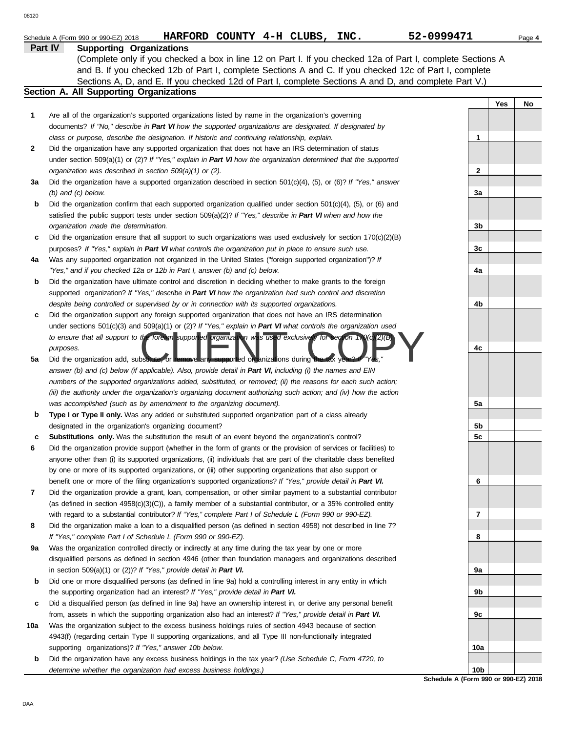|              | HARFORD COUNTY 4-H CLUBS, INC.<br>Schedule A (Form 990 or 990-EZ) 2018                                              | 52-0999471      | Page 4 |
|--------------|---------------------------------------------------------------------------------------------------------------------|-----------------|--------|
|              | Part IV<br><b>Supporting Organizations</b>                                                                          |                 |        |
|              | (Complete only if you checked a box in line 12 on Part I. If you checked 12a of Part I, complete Sections A         |                 |        |
|              | and B. If you checked 12b of Part I, complete Sections A and C. If you checked 12c of Part I, complete              |                 |        |
|              | Sections A, D, and E. If you checked 12d of Part I, complete Sections A and D, and complete Part V.)                |                 |        |
|              | Section A. All Supporting Organizations                                                                             |                 |        |
|              |                                                                                                                     | Yes             | No     |
| 1            | Are all of the organization's supported organizations listed by name in the organization's governing                |                 |        |
|              | documents? If "No," describe in Part VI how the supported organizations are designated. If designated by            |                 |        |
|              | class or purpose, describe the designation. If historic and continuing relationship, explain.                       | 1               |        |
| $\mathbf{2}$ | Did the organization have any supported organization that does not have an IRS determination of status              |                 |        |
|              | under section $509(a)(1)$ or (2)? If "Yes," explain in Part VI how the organization determined that the supported   |                 |        |
|              |                                                                                                                     | $\mathbf{2}$    |        |
|              | organization was described in section 509(a)(1) or (2).                                                             |                 |        |
| За           | Did the organization have a supported organization described in section 501(c)(4), (5), or (6)? If "Yes," answer    |                 |        |
|              | $(b)$ and $(c)$ below.                                                                                              | 3a              |        |
| b            | Did the organization confirm that each supported organization qualified under section 501(c)(4), (5), or (6) and    |                 |        |
|              | satisfied the public support tests under section $509(a)(2)?$ If "Yes," describe in Part VI when and how the        |                 |        |
|              | organization made the determination.                                                                                | 3b              |        |
| c            | Did the organization ensure that all support to such organizations was used exclusively for section $170(c)(2)(B)$  |                 |        |
|              | purposes? If "Yes," explain in Part VI what controls the organization put in place to ensure such use.              | 3c              |        |
| 4a           | Was any supported organization not organized in the United States ("foreign supported organization")? If            |                 |        |
|              | "Yes," and if you checked 12a or 12b in Part I, answer (b) and (c) below.                                           | 4a              |        |
| b            | Did the organization have ultimate control and discretion in deciding whether to make grants to the foreign         |                 |        |
|              | supported organization? If "Yes," describe in Part VI how the organization had such control and discretion          |                 |        |
|              | despite being controlled or supervised by or in connection with its supported organizations.                        | 4b              |        |
| c            | Did the organization support any foreign supported organization that does not have an IRS determination             |                 |        |
|              | under sections 501(c)(3) and 509(a)(1) or (2)? If "Yes," explain in Part VI what controls the organization used     |                 |        |
|              | to ensure that all support to the foreign supported prganization was used exclusively for section 1.0(c 2)(b)       |                 |        |
|              | purposes.                                                                                                           | 4c              |        |
| 5a           | Did the organization add, substitute, or remove any supported organizations during the tax year?                    |                 |        |
|              | answer (b) and (c) below (if applicable). Also, provide detail in Part VI, including (i) the names and EIN          |                 |        |
|              | numbers of the supported organizations added, substituted, or removed; (ii) the reasons for each such action;       |                 |        |
|              | (iii) the authority under the organization's organizing document authorizing such action; and (iv) how the action   |                 |        |
|              | was accomplished (such as by amendment to the organizing document).                                                 | 5a              |        |
| b            | Type I or Type II only. Was any added or substituted supported organization part of a class already                 |                 |        |
|              | designated in the organization's organizing document?                                                               | 5b              |        |
| c            | Substitutions only. Was the substitution the result of an event beyond the organization's control?                  | 5c              |        |
| 6            | Did the organization provide support (whether in the form of grants or the provision of services or facilities) to  |                 |        |
|              | anyone other than (i) its supported organizations, (ii) individuals that are part of the charitable class benefited |                 |        |
|              | by one or more of its supported organizations, or (iii) other supporting organizations that also support or         |                 |        |
|              | benefit one or more of the filing organization's supported organizations? If "Yes," provide detail in Part VI.      | 6               |        |
| 7            | Did the organization provide a grant, loan, compensation, or other similar payment to a substantial contributor     |                 |        |
|              | (as defined in section $4958(c)(3)(C)$ ), a family member of a substantial contributor, or a 35% controlled entity  |                 |        |
|              | with regard to a substantial contributor? If "Yes," complete Part I of Schedule L (Form 990 or 990-EZ).             | 7               |        |
| 8            | Did the organization make a loan to a disqualified person (as defined in section 4958) not described in line 7?     |                 |        |
|              | If "Yes," complete Part I of Schedule L (Form 990 or 990-EZ).                                                       | 8               |        |
| 9a           | Was the organization controlled directly or indirectly at any time during the tax year by one or more               |                 |        |
|              | disqualified persons as defined in section 4946 (other than foundation managers and organizations described         |                 |        |
|              | in section 509(a)(1) or (2))? If "Yes," provide detail in Part VI.                                                  | 9а              |        |
| b            | Did one or more disqualified persons (as defined in line 9a) hold a controlling interest in any entity in which     |                 |        |
|              | the supporting organization had an interest? If "Yes," provide detail in Part VI.                                   | 9b              |        |
|              | Did a disqualified person (as defined in line 9a) have an ownership interest in, or derive any personal benefit     |                 |        |
| c            |                                                                                                                     |                 |        |
|              | from, assets in which the supporting organization also had an interest? If "Yes," provide detail in Part VI.        | 9c              |        |
| 10a          | Was the organization subject to the excess business holdings rules of section 4943 because of section               |                 |        |
|              | 4943(f) (regarding certain Type II supporting organizations, and all Type III non-functionally integrated           |                 |        |
|              | supporting organizations)? If "Yes," answer 10b below.                                                              | 10a             |        |
| b            | Did the organization have any excess business holdings in the tax year? (Use Schedule C, Form 4720, to              |                 |        |
|              | determine whether the organization had excess business holdings.)                                                   | 10 <sub>b</sub> |        |

**Schedule A (Form 990 or 990-EZ) 2018**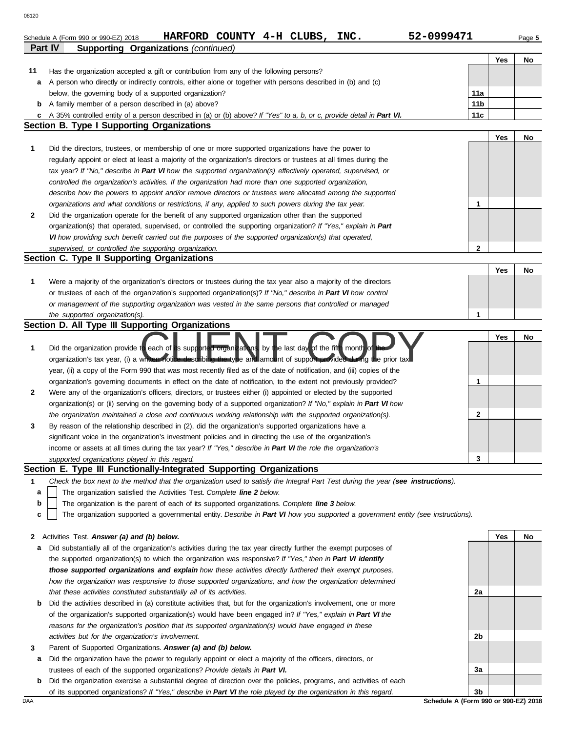| 08120        |                                                                                                                                                                                                                                    |                 |     |        |
|--------------|------------------------------------------------------------------------------------------------------------------------------------------------------------------------------------------------------------------------------------|-----------------|-----|--------|
|              | 52-0999471<br>HARFORD COUNTY 4-H CLUBS, INC.<br>Schedule A (Form 990 or 990-EZ) 2018<br>Part IV<br><b>Supporting Organizations (continued)</b>                                                                                     |                 |     | Page 5 |
|              |                                                                                                                                                                                                                                    |                 | Yes | No     |
| 11           | Has the organization accepted a gift or contribution from any of the following persons?                                                                                                                                            |                 |     |        |
| a            | A person who directly or indirectly controls, either alone or together with persons described in (b) and (c)                                                                                                                       |                 |     |        |
|              | below, the governing body of a supported organization?                                                                                                                                                                             | 11a             |     |        |
| b            | A family member of a person described in (a) above?                                                                                                                                                                                | 11 <sub>b</sub> |     |        |
|              | c A 35% controlled entity of a person described in (a) or (b) above? If "Yes" to a, b, or c, provide detail in Part VI.                                                                                                            | 11 <sub>c</sub> |     |        |
|              | <b>Section B. Type I Supporting Organizations</b>                                                                                                                                                                                  |                 |     |        |
|              |                                                                                                                                                                                                                                    |                 | Yes | No     |
| 1            | Did the directors, trustees, or membership of one or more supported organizations have the power to                                                                                                                                |                 |     |        |
|              | regularly appoint or elect at least a majority of the organization's directors or trustees at all times during the                                                                                                                 |                 |     |        |
|              | tax year? If "No," describe in Part VI how the supported organization(s) effectively operated, supervised, or                                                                                                                      |                 |     |        |
|              | controlled the organization's activities. If the organization had more than one supported organization,                                                                                                                            |                 |     |        |
|              | describe how the powers to appoint and/or remove directors or trustees were allocated among the supported                                                                                                                          |                 |     |        |
|              | organizations and what conditions or restrictions, if any, applied to such powers during the tax year.                                                                                                                             | 1               |     |        |
| $\mathbf{2}$ | Did the organization operate for the benefit of any supported organization other than the supported                                                                                                                                |                 |     |        |
|              | organization(s) that operated, supervised, or controlled the supporting organization? If "Yes," explain in Part                                                                                                                    |                 |     |        |
|              | VI how providing such benefit carried out the purposes of the supported organization(s) that operated,                                                                                                                             |                 |     |        |
|              | supervised, or controlled the supporting organization.                                                                                                                                                                             | $\mathbf{2}$    |     |        |
|              | Section C. Type II Supporting Organizations                                                                                                                                                                                        |                 |     |        |
|              |                                                                                                                                                                                                                                    |                 | Yes | No     |
| 1            | Were a majority of the organization's directors or trustees during the tax year also a majority of the directors                                                                                                                   |                 |     |        |
|              | or trustees of each of the organization's supported organization(s)? If "No," describe in Part VI how control                                                                                                                      |                 |     |        |
|              | or management of the supporting organization was vested in the same persons that controlled or managed                                                                                                                             |                 |     |        |
|              | the supported organization(s).                                                                                                                                                                                                     | 1               |     |        |
|              | Section D. All Type III Supporting Organizations                                                                                                                                                                                   |                 |     |        |
|              |                                                                                                                                                                                                                                    |                 | Yes | No     |
| 1            | Did the organization provide to each of its supported organizations, by the last day of the fifth month of<br>organization's tax year, (i) a whiten notice describing the type and amount of support provided during the prior tax |                 |     |        |
|              | year, (ii) a copy of the Form 990 that was most recently filed as of the date of notification, and (iii) copies of the                                                                                                             |                 |     |        |
|              | organization's governing documents in effect on the date of notification, to the extent not previously provided?                                                                                                                   | 1               |     |        |
| 2            | Were any of the organization's officers, directors, or trustees either (i) appointed or elected by the supported                                                                                                                   |                 |     |        |
|              | organization(s) or (ii) serving on the governing body of a supported organization? If "No," explain in Part VI how                                                                                                                 |                 |     |        |
|              | the organization maintained a close and continuous working relationship with the supported organization(s).                                                                                                                        | 2               |     |        |
| 3            | By reason of the relationship described in (2), did the organization's supported organizations have a                                                                                                                              |                 |     |        |
|              | significant voice in the organization's investment policies and in directing the use of the organization's                                                                                                                         |                 |     |        |
|              | income or assets at all times during the tax year? If "Yes," describe in Part VI the role the organization's                                                                                                                       |                 |     |        |
|              | supported organizations played in this regard.                                                                                                                                                                                     | 3               |     |        |
|              | Section E. Type III Functionally-Integrated Supporting Organizations                                                                                                                                                               |                 |     |        |
| 1            | Check the box next to the method that the organization used to satisfy the Integral Part Test during the year (see instructions).                                                                                                  |                 |     |        |
| a            | The organization satisfied the Activities Test. Complete line 2 below.                                                                                                                                                             |                 |     |        |
| b            | The organization is the parent of each of its supported organizations. Complete line 3 below.                                                                                                                                      |                 |     |        |
| c            | The organization supported a governmental entity. Describe in Part VI how you supported a government entity (see instructions).                                                                                                    |                 |     |        |
|              |                                                                                                                                                                                                                                    |                 |     |        |
| 2            | Activities Test. Answer (a) and (b) below.                                                                                                                                                                                         |                 | Yes | No     |
|              |                                                                                                                                                                                                                                    |                 |     |        |

- **a** Did substantially all of the organization's activities during the tax year directly further the exempt purposes of the supported organization(s) to which the organization was responsive? *If "Yes," then in Part VI identify those supported organizations and explain how these activities directly furthered their exempt purposes, how the organization was responsive to those supported organizations, and how the organization determined that these activities constituted substantially all of its activities.*
- **b** Did the activities described in (a) constitute activities that, but for the organization's involvement, one or more of the organization's supported organization(s) would have been engaged in? *If "Yes," explain in Part VI the reasons for the organization's position that its supported organization(s) would have engaged in these activities but for the organization's involvement.*
- **3** Parent of Supported Organizations. *Answer (a) and (b) below.*
- **a** Did the organization have the power to regularly appoint or elect a majority of the officers, directors, or trustees of each of the supported organizations? *Provide details in Part VI.*
- **b** Did the organization exercise a substantial degree of direction over the policies, programs, and activities of each of its supported organizations? *If "Yes," describe in Part VI the role played by the organization in this regard.*

**2a 2b 3a 3b**

DAA **Schedule A (Form 990 or 990-EZ) 2018**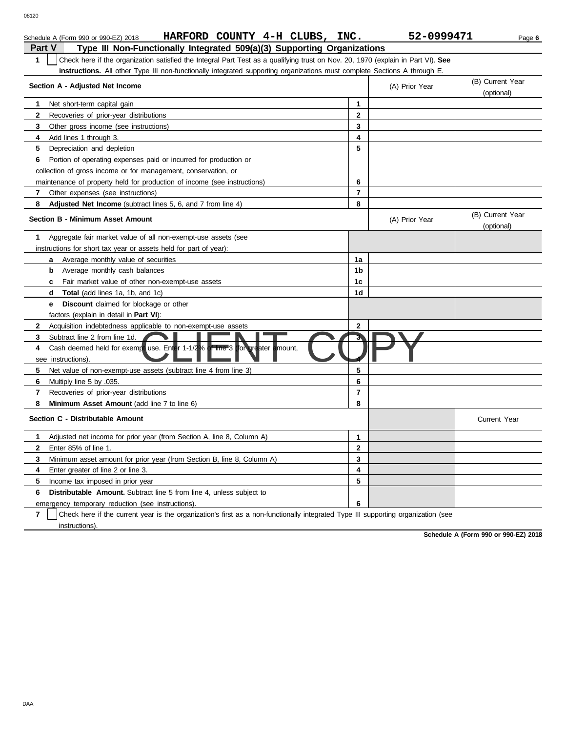|               | HARFORD COUNTY 4-H CLUBS,<br>Schedule A (Form 990 or 990-EZ) 2018                                                                | INC.                    | 52-0999471     | Page 6                         |
|---------------|----------------------------------------------------------------------------------------------------------------------------------|-------------------------|----------------|--------------------------------|
| <b>Part V</b> | Type III Non-Functionally Integrated 509(a)(3) Supporting Organizations                                                          |                         |                |                                |
| $\mathbf{1}$  | Check here if the organization satisfied the Integral Part Test as a qualifying trust on Nov. 20, 1970 (explain in Part VI). See |                         |                |                                |
|               | <b>instructions.</b> All other Type III non-functionally integrated supporting organizations must complete Sections A through E. |                         |                |                                |
|               | Section A - Adjusted Net Income                                                                                                  |                         | (A) Prior Year | (B) Current Year<br>(optional) |
| 1             | Net short-term capital gain                                                                                                      | $\mathbf 1$             |                |                                |
| 2             | Recoveries of prior-year distributions                                                                                           | $\mathbf 2$             |                |                                |
| 3             | Other gross income (see instructions)                                                                                            | 3                       |                |                                |
| 4             | Add lines 1 through 3.                                                                                                           | 4                       |                |                                |
| 5             | Depreciation and depletion                                                                                                       | 5                       |                |                                |
| 6             | Portion of operating expenses paid or incurred for production or                                                                 |                         |                |                                |
|               | collection of gross income or for management, conservation, or                                                                   |                         |                |                                |
|               | maintenance of property held for production of income (see instructions)                                                         | 6                       |                |                                |
| 7             | Other expenses (see instructions)                                                                                                | $\overline{\mathbf{r}}$ |                |                                |
| 8             | <b>Adjusted Net Income</b> (subtract lines 5, 6, and 7 from line 4)                                                              | 8                       |                |                                |
|               | <b>Section B - Minimum Asset Amount</b>                                                                                          |                         | (A) Prior Year | (B) Current Year<br>(optional) |
| 1.            | Aggregate fair market value of all non-exempt-use assets (see                                                                    |                         |                |                                |
|               | instructions for short tax year or assets held for part of year):                                                                |                         |                |                                |
|               | Average monthly value of securities<br>a                                                                                         | 1a                      |                |                                |
|               | b<br>Average monthly cash balances                                                                                               | 1b                      |                |                                |
|               | Fair market value of other non-exempt-use assets<br>C                                                                            | 1c                      |                |                                |
|               | <b>Total</b> (add lines 1a, 1b, and 1c)<br>d                                                                                     | 1d                      |                |                                |
|               | Discount claimed for blockage or other<br>e                                                                                      |                         |                |                                |
|               | factors (explain in detail in <b>Part VI</b> ):                                                                                  |                         |                |                                |
| $\mathbf{2}$  | Acquisition indebtedness applicable to non-exempt-use assets                                                                     | $\mathbf{2}$            |                |                                |
| 3             | Subtract line 2 from line 1d.                                                                                                    |                         |                |                                |
| 4             | t use. Enter 1-1/2% of line 3 (for greater amount,<br>Cash deemed held for exempt<br>see instructions).                          |                         |                |                                |
| 5             | Net value of non-exempt-use assets (subtract line 4 from line 3)                                                                 | 5                       |                |                                |
| 6             | Multiply line 5 by .035.                                                                                                         | 6                       |                |                                |
| 7             | Recoveries of prior-year distributions                                                                                           | $\overline{7}$          |                |                                |
| 8             | Minimum Asset Amount (add line 7 to line 6)                                                                                      | 8                       |                |                                |
|               | Section C - Distributable Amount                                                                                                 |                         |                | <b>Current Year</b>            |
| 1.            | Adjusted net income for prior year (from Section A, line 8, Column A)                                                            | 1                       |                |                                |
| $\mathbf{2}$  | Enter 85% of line 1.                                                                                                             | $\mathbf{2}$            |                |                                |
| 3             | Minimum asset amount for prior year (from Section B, line 8, Column A)                                                           | 3                       |                |                                |
| 4             | Enter greater of line 2 or line 3.                                                                                               | 4                       |                |                                |
| 5             | Income tax imposed in prior year                                                                                                 | 5                       |                |                                |
| 6             | <b>Distributable Amount.</b> Subtract line 5 from line 4, unless subject to                                                      |                         |                |                                |
|               | emergency temporary reduction (see instructions).                                                                                | 6                       |                |                                |
|               |                                                                                                                                  |                         |                |                                |

**7** | Check here if the current year is the organization's first as a non-functionally integrated Type III supporting organization (see instructions).

**Schedule A (Form 990 or 990-EZ) 2018**

DAA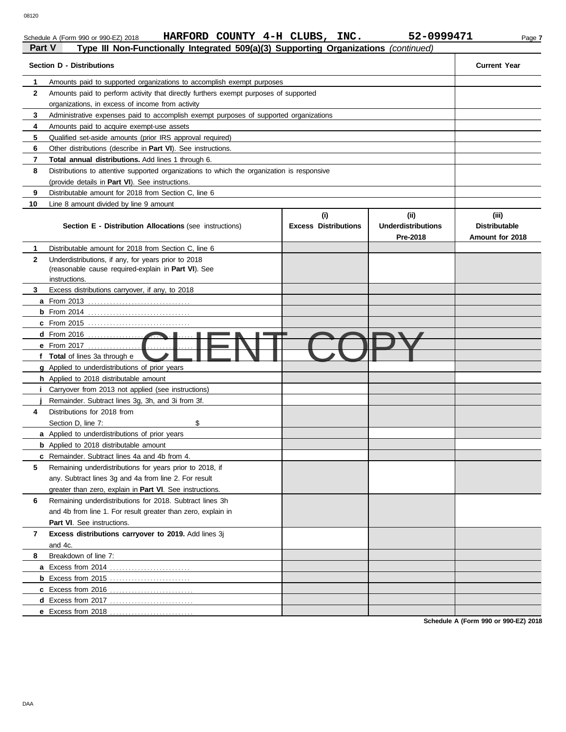Schedule A (Form 990 or 990-EZ) 2018 **HARFORD COUNTY 4-H CLUBS, INC.** 52-0999471 Page 7

| Part V       | Type III Non-Functionally Integrated 509(a)(3) Supporting Organizations (continued)                                         |                                    |                                               |                                                  |  |  |  |  |  |
|--------------|-----------------------------------------------------------------------------------------------------------------------------|------------------------------------|-----------------------------------------------|--------------------------------------------------|--|--|--|--|--|
|              | Section D - Distributions                                                                                                   |                                    |                                               | <b>Current Year</b>                              |  |  |  |  |  |
| 1            | Amounts paid to supported organizations to accomplish exempt purposes                                                       |                                    |                                               |                                                  |  |  |  |  |  |
| $\mathbf{2}$ | Amounts paid to perform activity that directly furthers exempt purposes of supported                                        |                                    |                                               |                                                  |  |  |  |  |  |
|              | organizations, in excess of income from activity                                                                            |                                    |                                               |                                                  |  |  |  |  |  |
| 3            | Administrative expenses paid to accomplish exempt purposes of supported organizations                                       |                                    |                                               |                                                  |  |  |  |  |  |
| 4            | Amounts paid to acquire exempt-use assets                                                                                   |                                    |                                               |                                                  |  |  |  |  |  |
| 5            | Qualified set-aside amounts (prior IRS approval required)                                                                   |                                    |                                               |                                                  |  |  |  |  |  |
| 6            | Other distributions (describe in Part VI). See instructions.                                                                |                                    |                                               |                                                  |  |  |  |  |  |
| 7            | <b>Total annual distributions.</b> Add lines 1 through 6.                                                                   |                                    |                                               |                                                  |  |  |  |  |  |
| 8            | Distributions to attentive supported organizations to which the organization is responsive                                  |                                    |                                               |                                                  |  |  |  |  |  |
|              | (provide details in <b>Part VI</b> ). See instructions.                                                                     |                                    |                                               |                                                  |  |  |  |  |  |
| 9            | Distributable amount for 2018 from Section C, line 6                                                                        |                                    |                                               |                                                  |  |  |  |  |  |
| 10           | Line 8 amount divided by line 9 amount                                                                                      |                                    |                                               |                                                  |  |  |  |  |  |
|              | <b>Section E - Distribution Allocations (see instructions)</b>                                                              | (i)<br><b>Excess Distributions</b> | (ii)<br><b>Underdistributions</b><br>Pre-2018 | (iii)<br><b>Distributable</b><br>Amount for 2018 |  |  |  |  |  |
| 1            | Distributable amount for 2018 from Section C, line 6                                                                        |                                    |                                               |                                                  |  |  |  |  |  |
| $\mathbf{2}$ | Underdistributions, if any, for years prior to 2018<br>(reasonable cause required-explain in Part VI). See<br>instructions. |                                    |                                               |                                                  |  |  |  |  |  |
| 3            | Excess distributions carryover, if any, to 2018                                                                             |                                    |                                               |                                                  |  |  |  |  |  |
|              | <b>a</b> From 2013                                                                                                          |                                    |                                               |                                                  |  |  |  |  |  |
|              | $b$ From 2014                                                                                                               |                                    |                                               |                                                  |  |  |  |  |  |
|              |                                                                                                                             |                                    |                                               |                                                  |  |  |  |  |  |
|              | $d$ From 2016<br>.                                                                                                          |                                    |                                               |                                                  |  |  |  |  |  |
|              | e From 2017<br>f Total of lines 3a through e                                                                                |                                    |                                               |                                                  |  |  |  |  |  |
|              | g Applied to underdistributions of prior years                                                                              |                                    |                                               |                                                  |  |  |  |  |  |
|              | h Applied to 2018 distributable amount                                                                                      |                                    |                                               |                                                  |  |  |  |  |  |
|              | Carryover from 2013 not applied (see instructions)                                                                          |                                    |                                               |                                                  |  |  |  |  |  |
|              | Remainder. Subtract lines 3g, 3h, and 3i from 3f.                                                                           |                                    |                                               |                                                  |  |  |  |  |  |
| 4            | Distributions for 2018 from                                                                                                 |                                    |                                               |                                                  |  |  |  |  |  |
|              | \$<br>Section D, line 7:                                                                                                    |                                    |                                               |                                                  |  |  |  |  |  |
|              | a Applied to underdistributions of prior years                                                                              |                                    |                                               |                                                  |  |  |  |  |  |
|              | <b>b</b> Applied to 2018 distributable amount                                                                               |                                    |                                               |                                                  |  |  |  |  |  |
|              | <b>c</b> Remainder. Subtract lines 4a and 4b from 4.                                                                        |                                    |                                               |                                                  |  |  |  |  |  |
| 5            | Remaining underdistributions for years prior to 2018, if                                                                    |                                    |                                               |                                                  |  |  |  |  |  |
|              | any. Subtract lines 3g and 4a from line 2. For result                                                                       |                                    |                                               |                                                  |  |  |  |  |  |
|              | greater than zero, explain in Part VI. See instructions.                                                                    |                                    |                                               |                                                  |  |  |  |  |  |
| 6            | Remaining underdistributions for 2018. Subtract lines 3h                                                                    |                                    |                                               |                                                  |  |  |  |  |  |
|              | and 4b from line 1. For result greater than zero, explain in                                                                |                                    |                                               |                                                  |  |  |  |  |  |
|              | Part VI. See instructions.                                                                                                  |                                    |                                               |                                                  |  |  |  |  |  |
| 7            | Excess distributions carryover to 2019. Add lines 3j<br>and 4c.                                                             |                                    |                                               |                                                  |  |  |  |  |  |
| 8            | Breakdown of line 7:                                                                                                        |                                    |                                               |                                                  |  |  |  |  |  |
|              | a Excess from 2014                                                                                                          |                                    |                                               |                                                  |  |  |  |  |  |
|              |                                                                                                                             |                                    |                                               |                                                  |  |  |  |  |  |
|              | c Excess from 2016                                                                                                          |                                    |                                               |                                                  |  |  |  |  |  |
|              |                                                                                                                             |                                    |                                               |                                                  |  |  |  |  |  |
|              | e Excess from 2018                                                                                                          |                                    |                                               |                                                  |  |  |  |  |  |
|              |                                                                                                                             |                                    |                                               |                                                  |  |  |  |  |  |

**Schedule A (Form 990 or 990-EZ) 2018**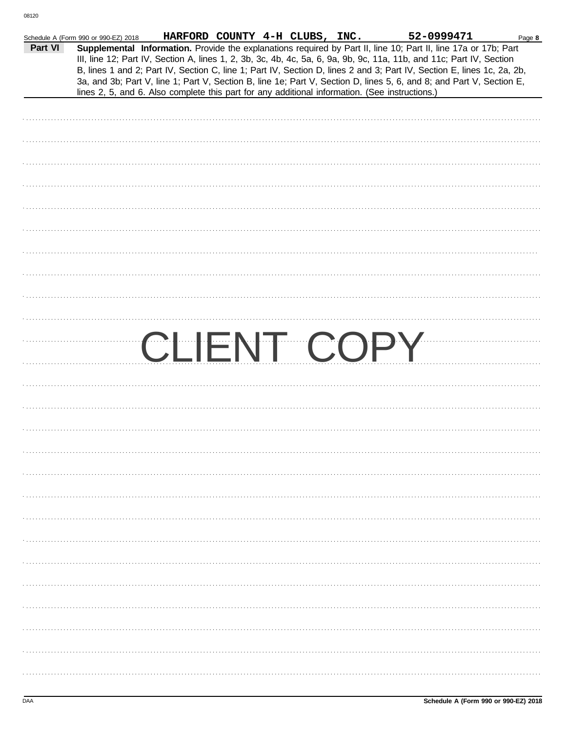|         | Schedule A (Form 990 or 990-EZ) 2018 | HARFORD COUNTY 4-H CLUBS, INC.                                                                 |  |  | 52-0999471                                                                                                                                                                                                                                                                                                                                                                                                                                                                                | Page 8 |
|---------|--------------------------------------|------------------------------------------------------------------------------------------------|--|--|-------------------------------------------------------------------------------------------------------------------------------------------------------------------------------------------------------------------------------------------------------------------------------------------------------------------------------------------------------------------------------------------------------------------------------------------------------------------------------------------|--------|
| Part VI |                                      | lines 2, 5, and 6. Also complete this part for any additional information. (See instructions.) |  |  | Supplemental Information. Provide the explanations required by Part II, line 10; Part II, line 17a or 17b; Part<br>III, line 12; Part IV, Section A, lines 1, 2, 3b, 3c, 4b, 4c, 5a, 6, 9a, 9b, 9c, 11a, 11b, and 11c; Part IV, Section<br>B, lines 1 and 2; Part IV, Section C, line 1; Part IV, Section D, lines 2 and 3; Part IV, Section E, lines 1c, 2a, 2b,<br>3a, and 3b; Part V, line 1; Part V, Section B, line 1e; Part V, Section D, lines 5, 6, and 8; and Part V, Section E, |        |
|         |                                      |                                                                                                |  |  |                                                                                                                                                                                                                                                                                                                                                                                                                                                                                           |        |
|         |                                      |                                                                                                |  |  |                                                                                                                                                                                                                                                                                                                                                                                                                                                                                           |        |
|         |                                      |                                                                                                |  |  |                                                                                                                                                                                                                                                                                                                                                                                                                                                                                           |        |
|         |                                      |                                                                                                |  |  |                                                                                                                                                                                                                                                                                                                                                                                                                                                                                           |        |
|         |                                      |                                                                                                |  |  |                                                                                                                                                                                                                                                                                                                                                                                                                                                                                           |        |
|         |                                      |                                                                                                |  |  |                                                                                                                                                                                                                                                                                                                                                                                                                                                                                           |        |
|         |                                      |                                                                                                |  |  |                                                                                                                                                                                                                                                                                                                                                                                                                                                                                           |        |
|         |                                      |                                                                                                |  |  |                                                                                                                                                                                                                                                                                                                                                                                                                                                                                           |        |
|         |                                      |                                                                                                |  |  |                                                                                                                                                                                                                                                                                                                                                                                                                                                                                           |        |
|         |                                      |                                                                                                |  |  |                                                                                                                                                                                                                                                                                                                                                                                                                                                                                           |        |
|         |                                      |                                                                                                |  |  |                                                                                                                                                                                                                                                                                                                                                                                                                                                                                           |        |
|         |                                      | CLIENT COPY                                                                                    |  |  |                                                                                                                                                                                                                                                                                                                                                                                                                                                                                           |        |
|         |                                      |                                                                                                |  |  |                                                                                                                                                                                                                                                                                                                                                                                                                                                                                           |        |
|         |                                      |                                                                                                |  |  |                                                                                                                                                                                                                                                                                                                                                                                                                                                                                           |        |
|         |                                      |                                                                                                |  |  |                                                                                                                                                                                                                                                                                                                                                                                                                                                                                           |        |
|         |                                      |                                                                                                |  |  |                                                                                                                                                                                                                                                                                                                                                                                                                                                                                           |        |
|         |                                      |                                                                                                |  |  |                                                                                                                                                                                                                                                                                                                                                                                                                                                                                           |        |
|         |                                      |                                                                                                |  |  |                                                                                                                                                                                                                                                                                                                                                                                                                                                                                           |        |
|         |                                      |                                                                                                |  |  |                                                                                                                                                                                                                                                                                                                                                                                                                                                                                           |        |
|         |                                      |                                                                                                |  |  |                                                                                                                                                                                                                                                                                                                                                                                                                                                                                           |        |
|         |                                      |                                                                                                |  |  |                                                                                                                                                                                                                                                                                                                                                                                                                                                                                           |        |
|         |                                      |                                                                                                |  |  |                                                                                                                                                                                                                                                                                                                                                                                                                                                                                           |        |
|         |                                      |                                                                                                |  |  |                                                                                                                                                                                                                                                                                                                                                                                                                                                                                           |        |
|         |                                      |                                                                                                |  |  |                                                                                                                                                                                                                                                                                                                                                                                                                                                                                           |        |
|         |                                      |                                                                                                |  |  |                                                                                                                                                                                                                                                                                                                                                                                                                                                                                           |        |
|         |                                      |                                                                                                |  |  |                                                                                                                                                                                                                                                                                                                                                                                                                                                                                           |        |
|         |                                      |                                                                                                |  |  |                                                                                                                                                                                                                                                                                                                                                                                                                                                                                           |        |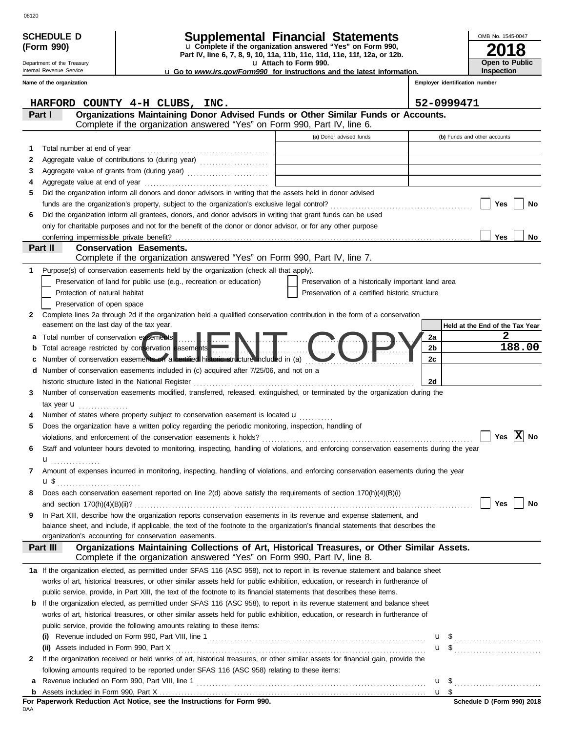|              | <b>SCHEDULE D</b>                                                                                                                                                 | <b>Supplemental Financial Statements</b>                                                                                                                                                                                                                              |    | OMB No. 1545-0047                 |  |  |  |  |  |
|--------------|-------------------------------------------------------------------------------------------------------------------------------------------------------------------|-----------------------------------------------------------------------------------------------------------------------------------------------------------------------------------------------------------------------------------------------------------------------|----|-----------------------------------|--|--|--|--|--|
|              | (Form 990)                                                                                                                                                        | u Complete if the organization answered "Yes" on Form 990,<br>Part IV, line 6, 7, 8, 9, 10, 11a, 11b, 11c, 11d, 11e, 11f, 12a, or 12b.                                                                                                                                |    |                                   |  |  |  |  |  |
|              | Department of the Treasury                                                                                                                                        | u Attach to Form 990.                                                                                                                                                                                                                                                 |    | Open to Public                    |  |  |  |  |  |
|              | Internal Revenue Service                                                                                                                                          | <b>u</b> Go to www.irs.gov/Form990 for instructions and the latest information.                                                                                                                                                                                       |    | Inspection                        |  |  |  |  |  |
|              | Name of the organization                                                                                                                                          |                                                                                                                                                                                                                                                                       |    | Employer identification number    |  |  |  |  |  |
|              |                                                                                                                                                                   | HARFORD COUNTY 4-H CLUBS, INC.                                                                                                                                                                                                                                        |    | 52-0999471                        |  |  |  |  |  |
|              | Part I                                                                                                                                                            | Organizations Maintaining Donor Advised Funds or Other Similar Funds or Accounts.                                                                                                                                                                                     |    |                                   |  |  |  |  |  |
|              |                                                                                                                                                                   | Complete if the organization answered "Yes" on Form 990, Part IV, line 6.                                                                                                                                                                                             |    |                                   |  |  |  |  |  |
|              |                                                                                                                                                                   | (a) Donor advised funds                                                                                                                                                                                                                                               |    | (b) Funds and other accounts      |  |  |  |  |  |
| 1.           |                                                                                                                                                                   |                                                                                                                                                                                                                                                                       |    |                                   |  |  |  |  |  |
| 2            |                                                                                                                                                                   |                                                                                                                                                                                                                                                                       |    |                                   |  |  |  |  |  |
| 3            |                                                                                                                                                                   |                                                                                                                                                                                                                                                                       |    |                                   |  |  |  |  |  |
| 4            |                                                                                                                                                                   |                                                                                                                                                                                                                                                                       |    |                                   |  |  |  |  |  |
| 5            |                                                                                                                                                                   | Did the organization inform all donors and donor advisors in writing that the assets held in donor advised                                                                                                                                                            |    | Yes<br>No                         |  |  |  |  |  |
| 6            |                                                                                                                                                                   | Did the organization inform all grantees, donors, and donor advisors in writing that grant funds can be used                                                                                                                                                          |    |                                   |  |  |  |  |  |
|              |                                                                                                                                                                   | only for charitable purposes and not for the benefit of the donor or donor advisor, or for any other purpose                                                                                                                                                          |    |                                   |  |  |  |  |  |
|              | conferring impermissible private benefit?                                                                                                                         |                                                                                                                                                                                                                                                                       |    | Yes<br>No.                        |  |  |  |  |  |
|              | Part II                                                                                                                                                           | <b>Conservation Easements.</b>                                                                                                                                                                                                                                        |    |                                   |  |  |  |  |  |
|              |                                                                                                                                                                   | Complete if the organization answered "Yes" on Form 990, Part IV, line 7.                                                                                                                                                                                             |    |                                   |  |  |  |  |  |
| 1            |                                                                                                                                                                   | Purpose(s) of conservation easements held by the organization (check all that apply).                                                                                                                                                                                 |    |                                   |  |  |  |  |  |
|              |                                                                                                                                                                   | Preservation of land for public use (e.g., recreation or education)<br>Preservation of a historically important land area                                                                                                                                             |    |                                   |  |  |  |  |  |
|              | Protection of natural habitat                                                                                                                                     | Preservation of a certified historic structure                                                                                                                                                                                                                        |    |                                   |  |  |  |  |  |
|              | Preservation of open space                                                                                                                                        |                                                                                                                                                                                                                                                                       |    |                                   |  |  |  |  |  |
| $\mathbf{2}$ | easement on the last day of the tax year.                                                                                                                         | Complete lines 2a through 2d if the organization held a qualified conservation contribution in the form of a conservation                                                                                                                                             |    | Held at the End of the Tax Year   |  |  |  |  |  |
| a            |                                                                                                                                                                   |                                                                                                                                                                                                                                                                       | 2a | 2                                 |  |  |  |  |  |
| b            | Total number of conservation exements<br>Total acreage restricted by conservation easements<br>Total acreage restricted by conservation easements<br>188.00<br>2b |                                                                                                                                                                                                                                                                       |    |                                   |  |  |  |  |  |
| c            |                                                                                                                                                                   | Number of conservation easements on a certified historic structure included in (a)                                                                                                                                                                                    | 2c |                                   |  |  |  |  |  |
| d            | Number of conservation easements included in (c) acquired after 7/25/06, and not on a                                                                             |                                                                                                                                                                                                                                                                       |    |                                   |  |  |  |  |  |
|              |                                                                                                                                                                   | historic structure listed in the National Register [11] contained a structure of the National Register [11] contained a structure of the National Register [11] contained a structure of the National Register [11] contained                                         | 2d |                                   |  |  |  |  |  |
| 3            |                                                                                                                                                                   | Number of conservation easements modified, transferred, released, extinguished, or terminated by the organization during the                                                                                                                                          |    |                                   |  |  |  |  |  |
|              | tax year $\mathbf{u}$                                                                                                                                             |                                                                                                                                                                                                                                                                       |    |                                   |  |  |  |  |  |
|              |                                                                                                                                                                   | Number of states where property subject to conservation easement is located <b>u</b>                                                                                                                                                                                  |    |                                   |  |  |  |  |  |
| 5            |                                                                                                                                                                   | Does the organization have a written policy regarding the periodic monitoring, inspection, handling of                                                                                                                                                                |    |                                   |  |  |  |  |  |
|              |                                                                                                                                                                   |                                                                                                                                                                                                                                                                       |    | Yes $ \overline{X} $<br><b>No</b> |  |  |  |  |  |
| 6            |                                                                                                                                                                   | Staff and volunteer hours devoted to monitoring, inspecting, handling of violations, and enforcing conservation easements during the year                                                                                                                             |    |                                   |  |  |  |  |  |
| 7            | $\mathbf{u}_{\ldots\ldots\ldots\ldots\ldots}$                                                                                                                     | Amount of expenses incurred in monitoring, inspecting, handling of violations, and enforcing conservation easements during the year                                                                                                                                   |    |                                   |  |  |  |  |  |
|              |                                                                                                                                                                   |                                                                                                                                                                                                                                                                       |    |                                   |  |  |  |  |  |
| 8            |                                                                                                                                                                   | Does each conservation easement reported on line 2(d) above satisfy the requirements of section 170(h)(4)(B)(i)                                                                                                                                                       |    |                                   |  |  |  |  |  |
|              |                                                                                                                                                                   |                                                                                                                                                                                                                                                                       |    | Yes<br>No                         |  |  |  |  |  |
| 9            |                                                                                                                                                                   | In Part XIII, describe how the organization reports conservation easements in its revenue and expense statement, and                                                                                                                                                  |    |                                   |  |  |  |  |  |
|              |                                                                                                                                                                   | balance sheet, and include, if applicable, the text of the footnote to the organization's financial statements that describes the                                                                                                                                     |    |                                   |  |  |  |  |  |
|              |                                                                                                                                                                   | organization's accounting for conservation easements.                                                                                                                                                                                                                 |    |                                   |  |  |  |  |  |
|              | Part III                                                                                                                                                          | Organizations Maintaining Collections of Art, Historical Treasures, or Other Similar Assets.<br>Complete if the organization answered "Yes" on Form 990, Part IV, line 8.                                                                                             |    |                                   |  |  |  |  |  |
|              |                                                                                                                                                                   | 1a If the organization elected, as permitted under SFAS 116 (ASC 958), not to report in its revenue statement and balance sheet                                                                                                                                       |    |                                   |  |  |  |  |  |
|              |                                                                                                                                                                   | works of art, historical treasures, or other similar assets held for public exhibition, education, or research in furtherance of                                                                                                                                      |    |                                   |  |  |  |  |  |
|              |                                                                                                                                                                   | public service, provide, in Part XIII, the text of the footnote to its financial statements that describes these items.                                                                                                                                               |    |                                   |  |  |  |  |  |
|              |                                                                                                                                                                   | <b>b</b> If the organization elected, as permitted under SFAS 116 (ASC 958), to report in its revenue statement and balance sheet<br>works of art, historical treasures, or other similar assets held for public exhibition, education, or research in furtherance of |    |                                   |  |  |  |  |  |
|              |                                                                                                                                                                   | public service, provide the following amounts relating to these items:                                                                                                                                                                                                |    |                                   |  |  |  |  |  |
|              | (i)                                                                                                                                                               |                                                                                                                                                                                                                                                                       |    |                                   |  |  |  |  |  |
|              |                                                                                                                                                                   |                                                                                                                                                                                                                                                                       |    | $\mathbf{u}$ \$                   |  |  |  |  |  |
| 2            |                                                                                                                                                                   | If the organization received or held works of art, historical treasures, or other similar assets for financial gain, provide the                                                                                                                                      |    |                                   |  |  |  |  |  |
|              |                                                                                                                                                                   | following amounts required to be reported under SFAS 116 (ASC 958) relating to these items:                                                                                                                                                                           |    |                                   |  |  |  |  |  |
| a            |                                                                                                                                                                   |                                                                                                                                                                                                                                                                       |    |                                   |  |  |  |  |  |
|              |                                                                                                                                                                   | $\mathbf{r}$ and $\mathbf{r}$ and $\mathbf{r}$ and $\mathbf{r}$ and $\mathbf{r}$                                                                                                                                                                                      |    | $\frac{11 \text{ } $}$            |  |  |  |  |  |

| <b>Supplemental Financial Statement</b> |  |
|-----------------------------------------|--|
|-----------------------------------------|--|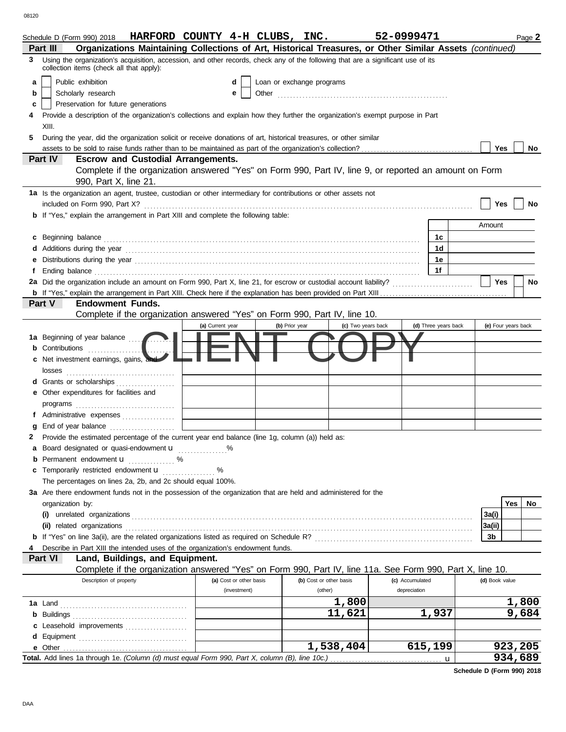|    | Schedule D (Form 990) 2018 HARFORD COUNTY 4-H CLUBS, INC.                                                                                                                                                                           |                         |                |                           | 52-0999471         |                      |                | Page 2              |
|----|-------------------------------------------------------------------------------------------------------------------------------------------------------------------------------------------------------------------------------------|-------------------------|----------------|---------------------------|--------------------|----------------------|----------------|---------------------|
|    | Organizations Maintaining Collections of Art, Historical Treasures, or Other Similar Assets (continued)<br>Part III                                                                                                                 |                         |                |                           |                    |                      |                |                     |
| 3. | Using the organization's acquisition, accession, and other records, check any of the following that are a significant use of its<br>collection items (check all that apply):                                                        |                         |                |                           |                    |                      |                |                     |
| a  | Public exhibition                                                                                                                                                                                                                   | d                       |                | Loan or exchange programs |                    |                      |                |                     |
| b  | Scholarly research                                                                                                                                                                                                                  | е                       |                |                           |                    |                      |                |                     |
| c  | Preservation for future generations                                                                                                                                                                                                 |                         |                |                           |                    |                      |                |                     |
|    | Provide a description of the organization's collections and explain how they further the organization's exempt purpose in Part                                                                                                      |                         |                |                           |                    |                      |                |                     |
|    | XIII.                                                                                                                                                                                                                               |                         |                |                           |                    |                      |                |                     |
| 5  | During the year, did the organization solicit or receive donations of art, historical treasures, or other similar                                                                                                                   |                         |                |                           |                    |                      |                |                     |
|    |                                                                                                                                                                                                                                     |                         |                |                           |                    |                      | Yes            | No                  |
|    | Part IV<br><b>Escrow and Custodial Arrangements.</b>                                                                                                                                                                                |                         |                |                           |                    |                      |                |                     |
|    | Complete if the organization answered "Yes" on Form 990, Part IV, line 9, or reported an amount on Form                                                                                                                             |                         |                |                           |                    |                      |                |                     |
|    | 990, Part X, line 21.                                                                                                                                                                                                               |                         |                |                           |                    |                      |                |                     |
|    |                                                                                                                                                                                                                                     |                         |                |                           |                    |                      |                |                     |
|    | 1a Is the organization an agent, trustee, custodian or other intermediary for contributions or other assets not                                                                                                                     |                         |                |                           |                    |                      |                |                     |
|    |                                                                                                                                                                                                                                     |                         |                |                           |                    |                      | Yes            | No.                 |
|    | <b>b</b> If "Yes," explain the arrangement in Part XIII and complete the following table:                                                                                                                                           |                         |                |                           |                    |                      |                |                     |
|    |                                                                                                                                                                                                                                     |                         |                |                           |                    |                      | Amount         |                     |
| C  | Beginning balance                                                                                                                                                                                                                   |                         |                |                           |                    | 1c                   |                |                     |
|    | Additions during the year contained and according to the year contained and year and year and year and year and year and year and year and year and year and year and year and year and year and year and year and year and ye      |                         |                |                           |                    | 1 <sub>d</sub>       |                |                     |
|    |                                                                                                                                                                                                                                     |                         |                |                           |                    | 1e                   |                |                     |
|    | Ending balance <b>constructs</b> and constructs and constructs and constructs and constructs and constructs and constructs and constructs and constructs and constructs and constructs and constructs and constructs and constructs |                         |                |                           |                    | 1f                   |                |                     |
|    |                                                                                                                                                                                                                                     |                         |                |                           |                    |                      | Yes            | No                  |
|    |                                                                                                                                                                                                                                     |                         |                |                           |                    |                      |                |                     |
|    | Part V<br><b>Endowment Funds.</b>                                                                                                                                                                                                   |                         |                |                           |                    |                      |                |                     |
|    | Complete if the organization answered "Yes" on Form 990, Part IV, line 10.                                                                                                                                                          |                         |                |                           |                    |                      |                |                     |
|    |                                                                                                                                                                                                                                     | (a) Current year        | (b) Prior year |                           | (c) Two years back | (d) Three years back |                | (e) Four years back |
|    |                                                                                                                                                                                                                                     |                         |                |                           |                    |                      |                |                     |
|    | 1a Beginning of year balance                                                                                                                                                                                                        |                         |                |                           |                    |                      |                |                     |
|    | Net investment earnings, gains, and                                                                                                                                                                                                 |                         |                |                           |                    |                      |                |                     |
|    | losses                                                                                                                                                                                                                              |                         |                |                           |                    |                      |                |                     |
|    | d Grants or scholarships<br>.                                                                                                                                                                                                       |                         |                |                           |                    |                      |                |                     |
| е  | Other expenditures for facilities and                                                                                                                                                                                               |                         |                |                           |                    |                      |                |                     |
|    |                                                                                                                                                                                                                                     |                         |                |                           |                    |                      |                |                     |
|    | f Administrative expenses                                                                                                                                                                                                           |                         |                |                           |                    |                      |                |                     |
|    | End of year balance                                                                                                                                                                                                                 |                         |                |                           |                    |                      |                |                     |
|    | Provide the estimated percentage of the current year end balance (line 1g, column (a)) held as:                                                                                                                                     |                         |                |                           |                    |                      |                |                     |
|    | Board designated or quasi-endowment <b>u</b> %                                                                                                                                                                                      |                         |                |                           |                    |                      |                |                     |
|    | <b>b</b> Permanent endowment $\mathbf{u}$ %                                                                                                                                                                                         |                         |                |                           |                    |                      |                |                     |
| c  | Temporarily restricted endowment <b>u</b> %                                                                                                                                                                                         |                         |                |                           |                    |                      |                |                     |
|    | The percentages on lines 2a, 2b, and 2c should equal 100%.                                                                                                                                                                          |                         |                |                           |                    |                      |                |                     |
|    |                                                                                                                                                                                                                                     |                         |                |                           |                    |                      |                |                     |
|    | 3a Are there endowment funds not in the possession of the organization that are held and administered for the                                                                                                                       |                         |                |                           |                    |                      |                |                     |
|    | organization by:                                                                                                                                                                                                                    |                         |                |                           |                    |                      |                | <b>Yes</b><br>No    |
|    | (i) unrelated organizations entertainment and an intervention of the contract of the contract or the contract or the contract of the contract of the contract of the contract of the contract of the contract of the contract       |                         |                |                           |                    |                      | 3a(i)          |                     |
|    | (ii) related organizations                                                                                                                                                                                                          |                         |                |                           |                    |                      | 3a(ii)         |                     |
|    |                                                                                                                                                                                                                                     |                         |                |                           |                    |                      | 3b             |                     |
|    | Describe in Part XIII the intended uses of the organization's endowment funds.                                                                                                                                                      |                         |                |                           |                    |                      |                |                     |
|    | Part VI<br>Land, Buildings, and Equipment.                                                                                                                                                                                          |                         |                |                           |                    |                      |                |                     |
|    | Complete if the organization answered "Yes" on Form 990, Part IV, line 11a. See Form 990, Part X, line 10.                                                                                                                          |                         |                |                           |                    |                      |                |                     |
|    | Description of property                                                                                                                                                                                                             | (a) Cost or other basis |                | (b) Cost or other basis   | (c) Accumulated    |                      | (d) Book value |                     |
|    |                                                                                                                                                                                                                                     | (investment)            |                | (other)                   | depreciation       |                      |                |                     |
|    | <b>1a</b> Land                                                                                                                                                                                                                      |                         |                | 1,800                     |                    |                      |                | 1,800               |
|    |                                                                                                                                                                                                                                     |                         |                | 11,621                    |                    | 1,937                |                | 9,684               |
|    | c Leasehold improvements                                                                                                                                                                                                            |                         |                |                           |                    |                      |                |                     |
|    |                                                                                                                                                                                                                                     |                         |                |                           |                    |                      |                |                     |
|    |                                                                                                                                                                                                                                     |                         |                | 1,538,404                 |                    | 615,199              |                | 923,205             |
|    |                                                                                                                                                                                                                                     |                         |                |                           |                    |                      |                | 934,689             |
|    |                                                                                                                                                                                                                                     |                         |                |                           |                    |                      |                |                     |

**Schedule D (Form 990) 2018**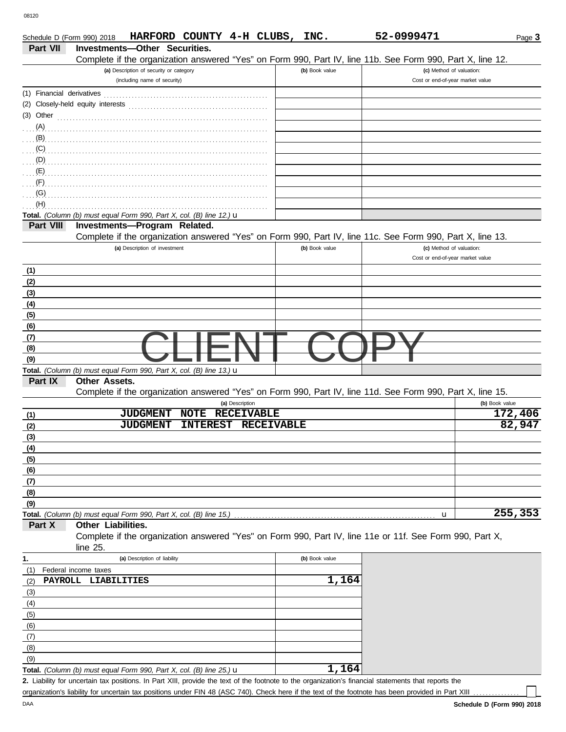| Schedule D (Form 990) 2018 |                                                                                | HARFORD COUNTY 4-H CLUBS, INC. |                 |                   |                |       | 52-0999471                                                                                                 |                | Page 3  |
|----------------------------|--------------------------------------------------------------------------------|--------------------------------|-----------------|-------------------|----------------|-------|------------------------------------------------------------------------------------------------------------|----------------|---------|
| Part VII                   | Investments-Other Securities.                                                  |                                |                 |                   |                |       |                                                                                                            |                |         |
|                            |                                                                                |                                |                 |                   |                |       | Complete if the organization answered "Yes" on Form 990, Part IV, line 11b. See Form 990, Part X, line 12. |                |         |
|                            | (a) Description of security or category<br>(including name of security)        |                                |                 |                   | (b) Book value |       | (c) Method of valuation:<br>Cost or end-of-year market value                                               |                |         |
|                            |                                                                                |                                |                 |                   |                |       |                                                                                                            |                |         |
| (1) Financial derivatives  |                                                                                |                                |                 |                   |                |       |                                                                                                            |                |         |
|                            |                                                                                |                                |                 |                   |                |       |                                                                                                            |                |         |
| $(3)$ Other                |                                                                                |                                |                 |                   |                |       |                                                                                                            |                |         |
| $(A)$ .                    |                                                                                |                                |                 |                   |                |       |                                                                                                            |                |         |
| (B)<br>(C)                 |                                                                                |                                |                 |                   |                |       |                                                                                                            |                |         |
| (D)                        |                                                                                |                                |                 |                   |                |       |                                                                                                            |                |         |
| (E)                        |                                                                                |                                |                 |                   |                |       |                                                                                                            |                |         |
| (F)                        |                                                                                |                                |                 |                   |                |       |                                                                                                            |                |         |
| (G)                        |                                                                                |                                |                 |                   |                |       |                                                                                                            |                |         |
| (H)                        |                                                                                |                                |                 |                   |                |       |                                                                                                            |                |         |
|                            | Total. (Column (b) must equal Form 990, Part X, col. (B) line 12.) u           |                                |                 |                   |                |       |                                                                                                            |                |         |
| Part VIII                  | Investments-Program Related.                                                   |                                |                 |                   |                |       |                                                                                                            |                |         |
|                            |                                                                                |                                |                 |                   |                |       | Complete if the organization answered "Yes" on Form 990, Part IV, line 11c. See Form 990, Part X, line 13. |                |         |
|                            | (a) Description of investment                                                  |                                |                 |                   | (b) Book value |       | (c) Method of valuation:                                                                                   |                |         |
|                            |                                                                                |                                |                 |                   |                |       | Cost or end-of-year market value                                                                           |                |         |
| (1)                        |                                                                                |                                |                 |                   |                |       |                                                                                                            |                |         |
| (2)                        |                                                                                |                                |                 |                   |                |       |                                                                                                            |                |         |
| (3)                        |                                                                                |                                |                 |                   |                |       |                                                                                                            |                |         |
| (4)                        |                                                                                |                                |                 |                   |                |       |                                                                                                            |                |         |
| (5)                        |                                                                                |                                |                 |                   |                |       |                                                                                                            |                |         |
| (6)                        |                                                                                |                                |                 |                   |                |       |                                                                                                            |                |         |
| (7)                        |                                                                                |                                |                 |                   |                |       |                                                                                                            |                |         |
| (8)                        |                                                                                |                                |                 |                   |                |       |                                                                                                            |                |         |
| (9)                        |                                                                                |                                |                 |                   |                |       |                                                                                                            |                |         |
|                            | Total. (Column (b) must equal Form 990, Part X, col. (B) line 13.) $\mathbf u$ |                                |                 |                   |                |       |                                                                                                            |                |         |
| Part IX                    | <b>Other Assets.</b>                                                           |                                |                 |                   |                |       |                                                                                                            |                |         |
|                            |                                                                                |                                |                 |                   |                |       | Complete if the organization answered "Yes" on Form 990, Part IV, line 11d. See Form 990, Part X, line 15. |                |         |
|                            |                                                                                |                                | (a) Description |                   |                |       |                                                                                                            | (b) Book value |         |
| (1)                        | <b>JUDGMENT</b>                                                                | <b>NOTE</b>                    |                 | <b>RECEIVABLE</b> |                |       |                                                                                                            |                | 172,406 |
| (2)                        | <b>JUDGMENT</b>                                                                | <b>INTEREST</b>                |                 | <b>RECEIVABLE</b> |                |       |                                                                                                            |                | 82,947  |
| (3)                        |                                                                                |                                |                 |                   |                |       |                                                                                                            |                |         |
| (4)                        |                                                                                |                                |                 |                   |                |       |                                                                                                            |                |         |
| (5)                        |                                                                                |                                |                 |                   |                |       |                                                                                                            |                |         |
| (6)                        |                                                                                |                                |                 |                   |                |       |                                                                                                            |                |         |
| (7)                        |                                                                                |                                |                 |                   |                |       |                                                                                                            |                |         |
| (8)                        |                                                                                |                                |                 |                   |                |       |                                                                                                            |                |         |
| (9)                        | Total. (Column (b) must equal Form 990, Part X, col. (B) line 15.)             |                                |                 |                   |                |       |                                                                                                            |                | 255,353 |
| Part X                     | Other Liabilities.                                                             |                                |                 |                   |                |       | u                                                                                                          |                |         |
|                            |                                                                                |                                |                 |                   |                |       | Complete if the organization answered "Yes" on Form 990, Part IV, line 11e or 11f. See Form 990, Part X,   |                |         |
|                            | line 25.                                                                       |                                |                 |                   |                |       |                                                                                                            |                |         |
| 1.                         | (a) Description of liability                                                   |                                |                 |                   | (b) Book value |       |                                                                                                            |                |         |
| (1)                        | Federal income taxes                                                           |                                |                 |                   |                |       |                                                                                                            |                |         |
| (2)                        | PAYROLL LIABILITIES                                                            |                                |                 |                   |                | 1,164 |                                                                                                            |                |         |
| (3)                        |                                                                                |                                |                 |                   |                |       |                                                                                                            |                |         |
| (4)                        |                                                                                |                                |                 |                   |                |       |                                                                                                            |                |         |
| (5)                        |                                                                                |                                |                 |                   |                |       |                                                                                                            |                |         |
| (6)                        |                                                                                |                                |                 |                   |                |       |                                                                                                            |                |         |
| (7)                        |                                                                                |                                |                 |                   |                |       |                                                                                                            |                |         |
| (8)                        |                                                                                |                                |                 |                   |                |       |                                                                                                            |                |         |
| (9)                        |                                                                                |                                |                 |                   |                |       |                                                                                                            |                |         |
|                            | Total. (Column (b) must equal Form 990, Part X, col. (B) line 25.) $\mathbf u$ |                                |                 |                   |                | 1,164 |                                                                                                            |                |         |

Liability for uncertain tax positions. In Part XIII, provide the text of the footnote to the organization's financial statements that reports the **2.** organization's liability for uncertain tax positions under FIN 48 (ASC 740). Check here if the text of the footnote has been provided in Part XIII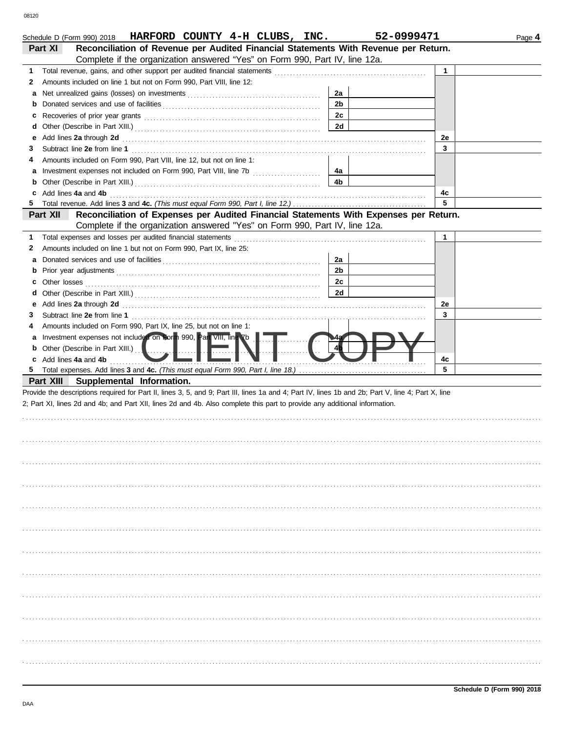|   | Schedule D (Form 990) 2018 HARFORD COUNTY 4-H CLUBS, INC.                                                                                                                                                                      | 52-0999471     |             | Page 4 |
|---|--------------------------------------------------------------------------------------------------------------------------------------------------------------------------------------------------------------------------------|----------------|-------------|--------|
|   | Reconciliation of Revenue per Audited Financial Statements With Revenue per Return.<br><b>Part XI</b>                                                                                                                          |                |             |        |
|   | Complete if the organization answered "Yes" on Form 990, Part IV, line 12a.                                                                                                                                                    |                |             |        |
| 1 |                                                                                                                                                                                                                                |                | 1           |        |
| 2 | Amounts included on line 1 but not on Form 990, Part VIII, line 12:                                                                                                                                                            |                |             |        |
| a |                                                                                                                                                                                                                                | 2a             |             |        |
| b |                                                                                                                                                                                                                                | 2 <sub>b</sub> |             |        |
| c |                                                                                                                                                                                                                                | 2c             |             |        |
| d |                                                                                                                                                                                                                                | 2d             |             |        |
| е | Add lines 2a through 2d [11] March 20 [11] March 20 [11] March 20 [11] March 20 [11] March 20 [11] March 20 [11] March 20 [11] March 20 [11] March 20 [11] March 20 [11] March 20 [11] March 20 [11] March 20 [11] March 20 [1 |                | 2e          |        |
| З |                                                                                                                                                                                                                                |                | 3           |        |
| 4 | Amounts included on Form 990, Part VIII, line 12, but not on line 1:                                                                                                                                                           |                |             |        |
| а |                                                                                                                                                                                                                                | 4а             |             |        |
| b |                                                                                                                                                                                                                                | 4b             |             |        |
|   | c Add lines 4a and 4b                                                                                                                                                                                                          |                | 4c          |        |
| 5 |                                                                                                                                                                                                                                |                | 5           |        |
|   | Reconciliation of Expenses per Audited Financial Statements With Expenses per Return.<br>Part XII                                                                                                                              |                |             |        |
|   | Complete if the organization answered "Yes" on Form 990, Part IV, line 12a.                                                                                                                                                    |                |             |        |
| 1 | Total expenses and losses per audited financial statements                                                                                                                                                                     |                | $\mathbf 1$ |        |
| 2 | Amounts included on line 1 but not on Form 990, Part IX, line 25:                                                                                                                                                              |                |             |        |
| а |                                                                                                                                                                                                                                | 2a             |             |        |
| b |                                                                                                                                                                                                                                | 2 <sub>b</sub> |             |        |
| c |                                                                                                                                                                                                                                | 2c             |             |        |
| d |                                                                                                                                                                                                                                | 2d             |             |        |
| е | Add lines 2a through 2d [11] Martin Martin Martin Martin Martin Martin Martin Martin Martin Martin Martin Martin Martin Martin Martin Martin Martin Martin Martin Martin Martin Martin Martin Martin Martin Martin Martin Mart |                | 2e          |        |
| З |                                                                                                                                                                                                                                |                | 3           |        |
| 4 | Amounts included on Form 990, Part IX, line 25, but not on line 1:                                                                                                                                                             |                |             |        |
| а | Investment expenses not included on Form 990, Part VIII, line Xb                                                                                                                                                               |                |             |        |
| b | Other (Describe in Part XIII.)                                                                                                                                                                                                 |                |             |        |
|   | c Add lines 4a and 4b                                                                                                                                                                                                          |                | 4c          |        |
|   |                                                                                                                                                                                                                                |                | 5           |        |
|   | Part XIII Supplemental Information.                                                                                                                                                                                            |                |             |        |
|   | Provide the descriptions required for Part II, lines 3, 5, and 9; Part III, lines 1a and 4; Part IV, lines 1b and 2b; Part V, line 4; Part X, line                                                                             |                |             |        |
|   | 2; Part XI, lines 2d and 4b; and Part XII, lines 2d and 4b. Also complete this part to provide any additional information.                                                                                                     |                |             |        |
|   |                                                                                                                                                                                                                                |                |             |        |
|   |                                                                                                                                                                                                                                |                |             |        |
|   |                                                                                                                                                                                                                                |                |             |        |
|   |                                                                                                                                                                                                                                |                |             |        |
|   |                                                                                                                                                                                                                                |                |             |        |
|   |                                                                                                                                                                                                                                |                |             |        |
|   |                                                                                                                                                                                                                                |                |             |        |
|   |                                                                                                                                                                                                                                |                |             |        |
|   |                                                                                                                                                                                                                                |                |             |        |
|   |                                                                                                                                                                                                                                |                |             |        |
|   |                                                                                                                                                                                                                                |                |             |        |
|   |                                                                                                                                                                                                                                |                |             |        |
|   |                                                                                                                                                                                                                                |                |             |        |
|   |                                                                                                                                                                                                                                |                |             |        |
|   |                                                                                                                                                                                                                                |                |             |        |
|   |                                                                                                                                                                                                                                |                |             |        |
|   |                                                                                                                                                                                                                                |                |             |        |
|   |                                                                                                                                                                                                                                |                |             |        |
|   |                                                                                                                                                                                                                                |                |             |        |
|   |                                                                                                                                                                                                                                |                |             |        |
|   |                                                                                                                                                                                                                                |                |             |        |
|   |                                                                                                                                                                                                                                |                |             |        |
|   |                                                                                                                                                                                                                                |                |             |        |
|   |                                                                                                                                                                                                                                |                |             |        |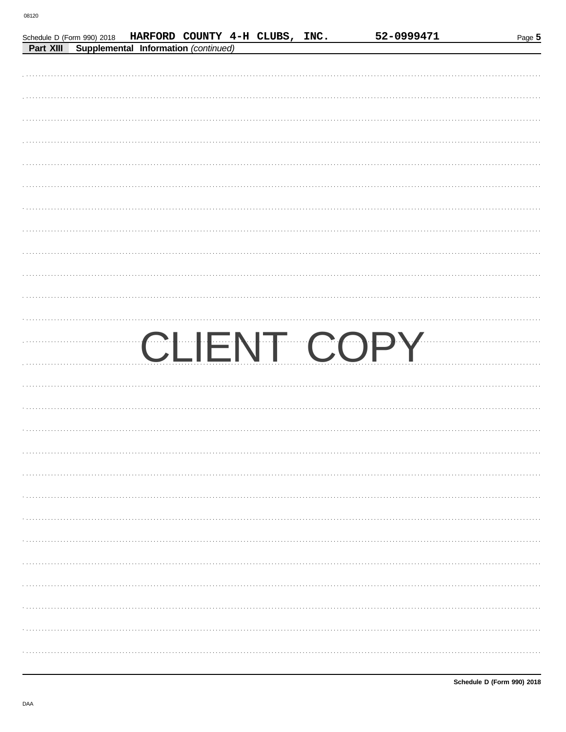|  | Schedule D (Form 990) 2018 HARFORD COUNTY 4-H CLUBS, INC. |  | 52-0999471  | Page 5 |
|--|-----------------------------------------------------------|--|-------------|--------|
|  | Part XIII Supplemental Information (continued)            |  |             |        |
|  |                                                           |  |             |        |
|  |                                                           |  |             |        |
|  |                                                           |  |             |        |
|  |                                                           |  |             |        |
|  |                                                           |  |             |        |
|  |                                                           |  |             |        |
|  |                                                           |  |             |        |
|  |                                                           |  |             |        |
|  |                                                           |  |             |        |
|  |                                                           |  |             |        |
|  |                                                           |  |             |        |
|  |                                                           |  |             |        |
|  |                                                           |  |             |        |
|  |                                                           |  |             |        |
|  |                                                           |  |             |        |
|  |                                                           |  |             |        |
|  |                                                           |  |             |        |
|  |                                                           |  |             |        |
|  |                                                           |  | CLIENT COPY |        |
|  |                                                           |  |             |        |
|  |                                                           |  |             |        |
|  |                                                           |  |             |        |
|  |                                                           |  |             |        |
|  |                                                           |  |             |        |
|  |                                                           |  |             |        |
|  |                                                           |  |             |        |
|  |                                                           |  |             |        |
|  |                                                           |  |             |        |
|  |                                                           |  |             |        |
|  |                                                           |  |             |        |
|  |                                                           |  |             |        |
|  |                                                           |  |             |        |
|  |                                                           |  |             |        |
|  |                                                           |  |             |        |
|  |                                                           |  |             |        |
|  |                                                           |  |             |        |
|  |                                                           |  |             |        |
|  |                                                           |  |             |        |
|  |                                                           |  |             |        |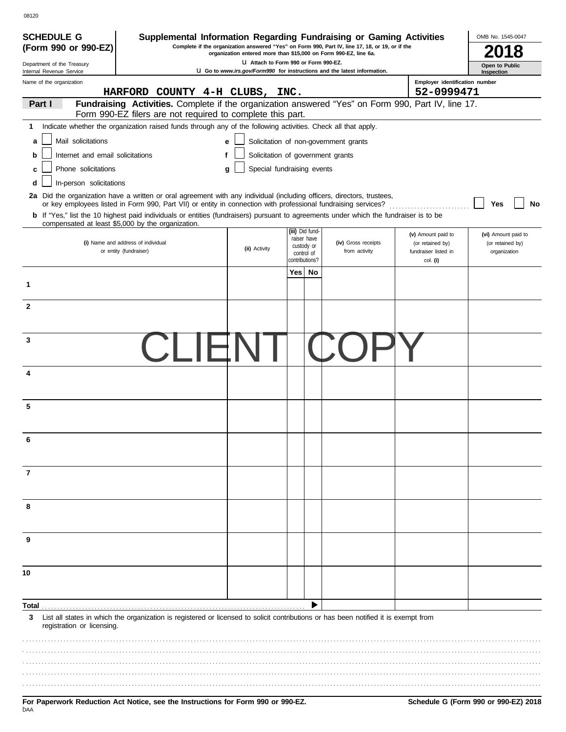| <b>SCHEDULE G</b><br>(Form 990 or 990-EZ)                                                                              |                                                                                                                                                                                                   | Supplemental Information Regarding Fundraising or Gaming Activities<br>Complete if the organization answered "Yes" on Form 990, Part IV, line 17, 18, or 19, or if the |                                       |                     |                                              | OMB No. 1545-0047            |
|------------------------------------------------------------------------------------------------------------------------|---------------------------------------------------------------------------------------------------------------------------------------------------------------------------------------------------|------------------------------------------------------------------------------------------------------------------------------------------------------------------------|---------------------------------------|---------------------|----------------------------------------------|------------------------------|
|                                                                                                                        |                                                                                                                                                                                                   | organization entered more than \$15,000 on Form 990-EZ, line 6a.                                                                                                       |                                       |                     |                                              |                              |
| Department of the Treasury<br>Internal Revenue Service                                                                 |                                                                                                                                                                                                   | U Go to www.irs.gov/Form990 for instructions and the latest information.                                                                                               | LI Attach to Form 990 or Form 990-EZ. |                     |                                              | Open to Public<br>Inspection |
| Name of the organization                                                                                               | HARFORD COUNTY 4-H CLUBS, INC.                                                                                                                                                                    |                                                                                                                                                                        |                                       |                     | Employer identification number<br>52-0999471 |                              |
| Part I                                                                                                                 | Fundraising Activities. Complete if the organization answered "Yes" on Form 990, Part IV, line 17.<br>Form 990-EZ filers are not required to complete this part.                                  |                                                                                                                                                                        |                                       |                     |                                              |                              |
| 1                                                                                                                      | Indicate whether the organization raised funds through any of the following activities. Check all that apply.                                                                                     |                                                                                                                                                                        |                                       |                     |                                              |                              |
| Mail solicitations<br>a                                                                                                |                                                                                                                                                                                                   | е                                                                                                                                                                      | Solicitation of non-government grants |                     |                                              |                              |
|                                                                                                                        |                                                                                                                                                                                                   |                                                                                                                                                                        |                                       |                     |                                              |                              |
| Internet and email solicitations<br>b                                                                                  |                                                                                                                                                                                                   | f                                                                                                                                                                      | Solicitation of government grants     |                     |                                              |                              |
| Phone solicitations<br>c                                                                                               |                                                                                                                                                                                                   | g                                                                                                                                                                      | Special fundraising events            |                     |                                              |                              |
| In-person solicitations<br>d                                                                                           |                                                                                                                                                                                                   |                                                                                                                                                                        |                                       |                     |                                              |                              |
| 2a Did the organization have a written or oral agreement with any individual (including officers, directors, trustees, | or key employees listed in Form 990, Part VII) or entity in connection with professional fundraising services?                                                                                    |                                                                                                                                                                        |                                       |                     |                                              | Yes<br>No                    |
|                                                                                                                        | <b>b</b> If "Yes," list the 10 highest paid individuals or entities (fundraisers) pursuant to agreements under which the fundraiser is to be<br>compensated at least \$5,000 by the organization. |                                                                                                                                                                        |                                       |                     |                                              |                              |
|                                                                                                                        |                                                                                                                                                                                                   |                                                                                                                                                                        | (iii) Did fund-                       |                     | (v) Amount paid to                           | (vi) Amount paid to          |
|                                                                                                                        | (i) Name and address of individual                                                                                                                                                                | (ii) Activity                                                                                                                                                          | raiser have<br>custody or             | (iv) Gross receipts | (or retained by)                             | (or retained by)             |
|                                                                                                                        | or entity (fundraiser)                                                                                                                                                                            |                                                                                                                                                                        | control of<br>contributions?          | from activity       | fundraiser listed in<br>col. (i)             | organization                 |
|                                                                                                                        |                                                                                                                                                                                                   |                                                                                                                                                                        | Yes   No                              |                     |                                              |                              |
| 1                                                                                                                      |                                                                                                                                                                                                   |                                                                                                                                                                        |                                       |                     |                                              |                              |
| $\mathbf{2}$                                                                                                           |                                                                                                                                                                                                   |                                                                                                                                                                        |                                       |                     |                                              |                              |
|                                                                                                                        |                                                                                                                                                                                                   |                                                                                                                                                                        |                                       |                     |                                              |                              |
| 3                                                                                                                      |                                                                                                                                                                                                   |                                                                                                                                                                        |                                       |                     |                                              |                              |
|                                                                                                                        |                                                                                                                                                                                                   |                                                                                                                                                                        |                                       |                     |                                              |                              |
| 4                                                                                                                      |                                                                                                                                                                                                   |                                                                                                                                                                        |                                       |                     |                                              |                              |
|                                                                                                                        |                                                                                                                                                                                                   |                                                                                                                                                                        |                                       |                     |                                              |                              |
| 5                                                                                                                      |                                                                                                                                                                                                   |                                                                                                                                                                        |                                       |                     |                                              |                              |
|                                                                                                                        |                                                                                                                                                                                                   |                                                                                                                                                                        |                                       |                     |                                              |                              |
|                                                                                                                        |                                                                                                                                                                                                   |                                                                                                                                                                        |                                       |                     |                                              |                              |
|                                                                                                                        |                                                                                                                                                                                                   |                                                                                                                                                                        |                                       |                     |                                              |                              |
| 7                                                                                                                      |                                                                                                                                                                                                   |                                                                                                                                                                        |                                       |                     |                                              |                              |
|                                                                                                                        |                                                                                                                                                                                                   |                                                                                                                                                                        |                                       |                     |                                              |                              |
| 8                                                                                                                      |                                                                                                                                                                                                   |                                                                                                                                                                        |                                       |                     |                                              |                              |
|                                                                                                                        |                                                                                                                                                                                                   |                                                                                                                                                                        |                                       |                     |                                              |                              |
| 9                                                                                                                      |                                                                                                                                                                                                   |                                                                                                                                                                        |                                       |                     |                                              |                              |
|                                                                                                                        |                                                                                                                                                                                                   |                                                                                                                                                                        |                                       |                     |                                              |                              |
| 10                                                                                                                     |                                                                                                                                                                                                   |                                                                                                                                                                        |                                       |                     |                                              |                              |
|                                                                                                                        |                                                                                                                                                                                                   |                                                                                                                                                                        |                                       |                     |                                              |                              |
| Total                                                                                                                  |                                                                                                                                                                                                   |                                                                                                                                                                        | ▶                                     |                     |                                              |                              |
| 3<br>registration or licensing.                                                                                        | List all states in which the organization is registered or licensed to solicit contributions or has been notified it is exempt from                                                               |                                                                                                                                                                        |                                       |                     |                                              |                              |
|                                                                                                                        |                                                                                                                                                                                                   |                                                                                                                                                                        |                                       |                     |                                              |                              |
|                                                                                                                        |                                                                                                                                                                                                   |                                                                                                                                                                        |                                       |                     |                                              |                              |
|                                                                                                                        |                                                                                                                                                                                                   |                                                                                                                                                                        |                                       |                     |                                              |                              |
|                                                                                                                        |                                                                                                                                                                                                   |                                                                                                                                                                        |                                       |                     |                                              |                              |
|                                                                                                                        |                                                                                                                                                                                                   |                                                                                                                                                                        |                                       |                     |                                              |                              |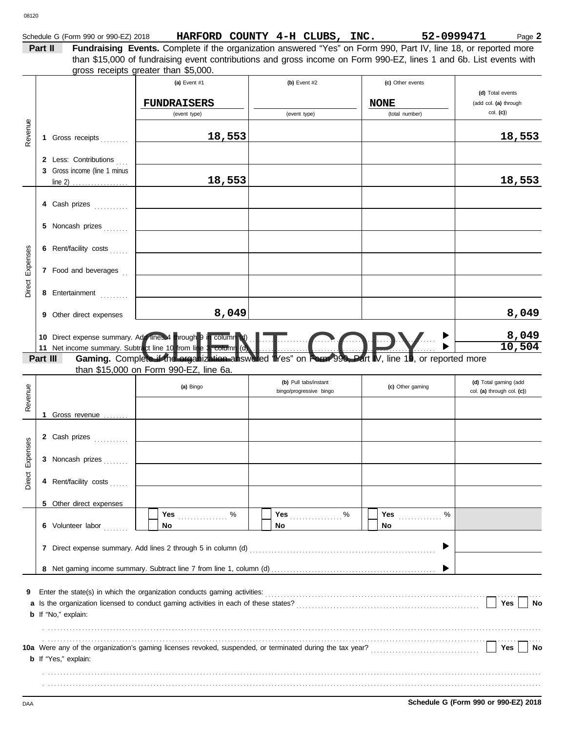|  | Schedule G (Form 990 or 990-EZ) 2018 | <b>HARFORD</b> | <b>COUNTY</b> | 4-н | CLUBS. | INC. | 52-0999471 | $P$ age $\blacktriangle$ |
|--|--------------------------------------|----------------|---------------|-----|--------|------|------------|--------------------------|
|--|--------------------------------------|----------------|---------------|-----|--------|------|------------|--------------------------|

**Part II Fundraising Events.** Complete if the organization answered "Yes" on Form 990, Part IV, line 18, or reported more gross receipts greater than \$5,000. than \$15,000 of fundraising event contributions and gross income on Form 990-EZ, lines 1 and 6b. List events with

| Revenue         |          | 1 Gross receipts                                      | (a) Event #1<br><b>FUNDRAISERS</b><br>(event type)<br>18,553                                                                                  | (b) Event $#2$<br>(event type)                   | (c) Other events<br><b>NONE</b><br>(total number) | (d) Total events<br>(add col. (a) through<br>$col.$ (c))<br>18,553 |
|-----------------|----------|-------------------------------------------------------|-----------------------------------------------------------------------------------------------------------------------------------------------|--------------------------------------------------|---------------------------------------------------|--------------------------------------------------------------------|
|                 |          | 2 Less: Contributions<br>3 Gross income (line 1 minus | 18,553                                                                                                                                        |                                                  |                                                   | 18,553                                                             |
|                 |          | 4 Cash prizes<br>5 Noncash prizes                     |                                                                                                                                               |                                                  |                                                   |                                                                    |
|                 |          | 6 Rent/facility costs                                 |                                                                                                                                               |                                                  |                                                   |                                                                    |
| Direct Expenses |          | 7 Food and beverages                                  |                                                                                                                                               |                                                  |                                                   |                                                                    |
|                 |          | 8 Entertainment<br>9 Other direct expenses            | 8,049                                                                                                                                         |                                                  |                                                   | 8,049                                                              |
|                 |          |                                                       |                                                                                                                                               |                                                  |                                                   | $\frac{8,049}{10,504}$                                             |
|                 | Part III |                                                       | Gaming. Complete if the organization answered "Yes" on Form 990, Part IV, line 19, or reported more<br>than \$15,000 on Form 990-EZ, line 6a. |                                                  |                                                   |                                                                    |
| Revenue         |          |                                                       | (a) Bingo                                                                                                                                     | (b) Pull tabs/instant<br>bingo/progressive bingo | (c) Other gaming                                  | (d) Total gaming (add<br>col. (a) through col. (c))                |
|                 |          | 1 Gross revenue                                       |                                                                                                                                               |                                                  |                                                   |                                                                    |
|                 |          | 2 Cash prizes                                         |                                                                                                                                               |                                                  |                                                   |                                                                    |
| Direct Expenses |          | 3 Noncash prizes                                      |                                                                                                                                               |                                                  |                                                   |                                                                    |
|                 |          | 4 Rent/facility costs                                 |                                                                                                                                               |                                                  |                                                   |                                                                    |
|                 |          | 5 Other direct expenses                               |                                                                                                                                               | Yes $%$                                          |                                                   |                                                                    |
|                 |          | 6 Volunteer labor                                     | Yes $\ldots$ %<br>No                                                                                                                          | No.                                              | No.                                               |                                                                    |
|                 |          |                                                       |                                                                                                                                               |                                                  |                                                   |                                                                    |
|                 |          |                                                       |                                                                                                                                               |                                                  |                                                   |                                                                    |
| 9               |          | <b>b</b> If "No," explain:                            |                                                                                                                                               |                                                  |                                                   | Yes<br>No                                                          |
|                 |          | <b>b</b> If "Yes," explain:                           |                                                                                                                                               |                                                  |                                                   | Yes<br>No                                                          |
|                 |          |                                                       |                                                                                                                                               |                                                  |                                                   |                                                                    |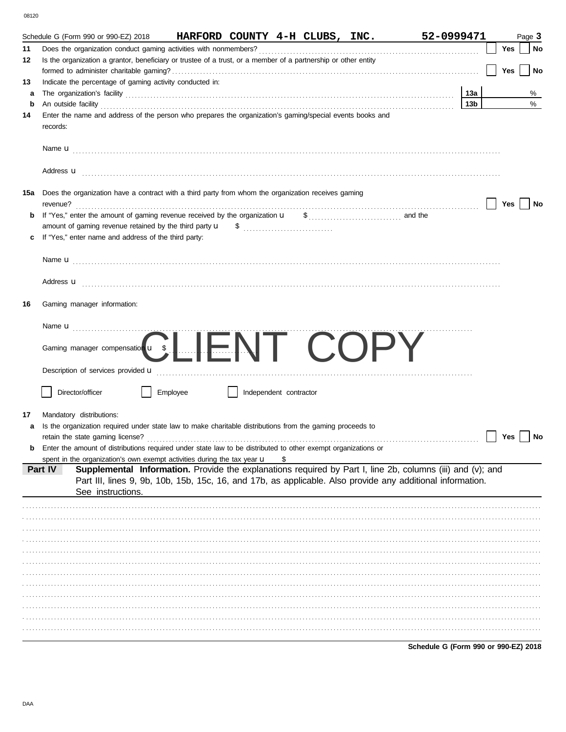| ۰.<br><br>۰.<br>× |  |
|-------------------|--|

|     | Schedule G (Form 990 or 990-EZ) 2018                                                                                                                                                                                                                     | HARFORD COUNTY 4-H CLUBS, INC. |                        |  | 52-0999471 |                 |     | Page 3    |
|-----|----------------------------------------------------------------------------------------------------------------------------------------------------------------------------------------------------------------------------------------------------------|--------------------------------|------------------------|--|------------|-----------------|-----|-----------|
| 11  |                                                                                                                                                                                                                                                          |                                |                        |  |            |                 | Yes | No        |
| 12  | Is the organization a grantor, beneficiary or trustee of a trust, or a member of a partnership or other entity                                                                                                                                           |                                |                        |  |            |                 |     |           |
|     |                                                                                                                                                                                                                                                          |                                |                        |  |            |                 | Yes | No        |
| 13  | Indicate the percentage of gaming activity conducted in:                                                                                                                                                                                                 |                                |                        |  |            |                 |     |           |
| a   |                                                                                                                                                                                                                                                          |                                |                        |  |            | 13a             |     | %         |
| b   | An outside facility <b>contained an activity of the facility contained an activity of the contained and activity of the contained and activity of the contained and contained activity of the contained activity of the contai</b>                       |                                |                        |  |            | 13 <sub>b</sub> |     | $\%$      |
| 14  | Enter the name and address of the person who prepares the organization's gaming/special events books and<br>records:                                                                                                                                     |                                |                        |  |            |                 |     |           |
|     |                                                                                                                                                                                                                                                          |                                |                        |  |            |                 |     |           |
|     | Address <b>u</b>                                                                                                                                                                                                                                         |                                |                        |  |            |                 |     |           |
| 15a | Does the organization have a contract with a third party from whom the organization receives gaming                                                                                                                                                      |                                |                        |  |            |                 | Yes | <b>No</b> |
| b   |                                                                                                                                                                                                                                                          |                                |                        |  |            |                 |     |           |
|     |                                                                                                                                                                                                                                                          |                                |                        |  |            |                 |     |           |
|     | If "Yes," enter name and address of the third party:                                                                                                                                                                                                     |                                |                        |  |            |                 |     |           |
|     |                                                                                                                                                                                                                                                          |                                |                        |  |            |                 |     |           |
|     | Address <b>u</b>                                                                                                                                                                                                                                         |                                |                        |  |            |                 |     |           |
| 16  | Gaming manager information:                                                                                                                                                                                                                              |                                |                        |  |            |                 |     |           |
|     |                                                                                                                                                                                                                                                          |                                |                        |  |            |                 |     |           |
|     | Gaming manager compensation u s LIENT COPY                                                                                                                                                                                                               |                                |                        |  |            |                 |     |           |
|     |                                                                                                                                                                                                                                                          |                                |                        |  |            |                 |     |           |
|     | Director/officer                                                                                                                                                                                                                                         | Employee                       | Independent contractor |  |            |                 |     |           |
| 17  |                                                                                                                                                                                                                                                          |                                |                        |  |            |                 |     |           |
| a   | Mandatory distributions:<br>Is the organization required under state law to make charitable distributions from the gaming proceeds to                                                                                                                    |                                |                        |  |            |                 |     |           |
|     |                                                                                                                                                                                                                                                          |                                |                        |  |            |                 | Yes | No        |
| b   | Enter the amount of distributions required under state law to be distributed to other exempt organizations or                                                                                                                                            |                                |                        |  |            |                 |     |           |
|     | spent in the organization's own exempt activities during the tax year $\mathbf u$                                                                                                                                                                        |                                |                        |  |            |                 |     |           |
|     | Supplemental Information. Provide the explanations required by Part I, line 2b, columns (iii) and (v); and<br>Part IV<br>Part III, lines 9, 9b, 10b, 15b, 15c, 16, and 17b, as applicable. Also provide any additional information.<br>See instructions. |                                |                        |  |            |                 |     |           |
|     |                                                                                                                                                                                                                                                          |                                |                        |  |            |                 |     |           |
|     |                                                                                                                                                                                                                                                          |                                |                        |  |            |                 |     |           |
|     |                                                                                                                                                                                                                                                          |                                |                        |  |            |                 |     |           |
|     |                                                                                                                                                                                                                                                          |                                |                        |  |            |                 |     |           |
|     |                                                                                                                                                                                                                                                          |                                |                        |  |            |                 |     |           |
|     |                                                                                                                                                                                                                                                          |                                |                        |  |            |                 |     |           |
|     |                                                                                                                                                                                                                                                          |                                |                        |  |            |                 |     |           |
|     |                                                                                                                                                                                                                                                          |                                |                        |  |            |                 |     |           |
|     |                                                                                                                                                                                                                                                          |                                |                        |  |            |                 |     |           |
|     |                                                                                                                                                                                                                                                          |                                |                        |  |            |                 |     |           |
|     |                                                                                                                                                                                                                                                          |                                |                        |  |            |                 |     |           |
|     |                                                                                                                                                                                                                                                          |                                |                        |  |            |                 |     |           |

Schedule G (Form 990 or 990-EZ) 2018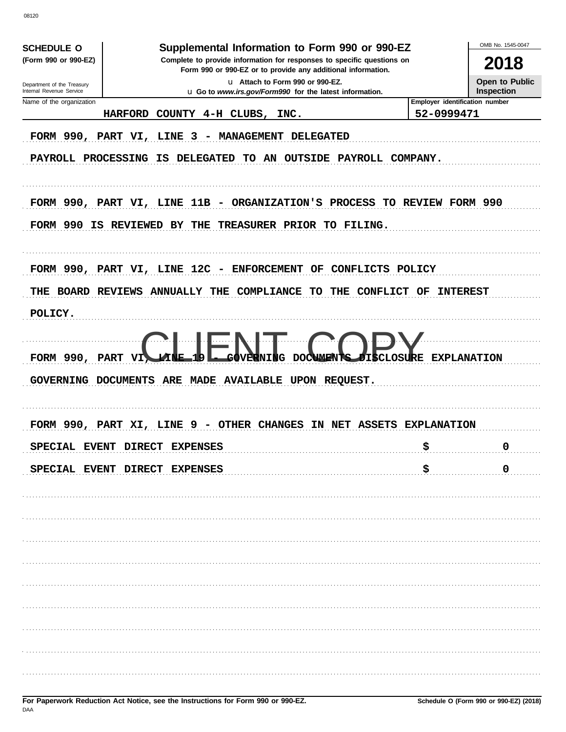OMB No 1545-0047 Supplemental Information to Form 990 or 990-EZ **SCHEDULE O** (Form 990 or 990-EZ) Complete to provide information for responses to specific questions on 2018 Form 990 or 990-EZ or to provide any additional information. u Attach to Form 990 or 990-EZ. Open to Public Department of the Treasury<br>Internal Revenue Service Inspection u Go to www.irs.gov/Form990 for the latest information. Name of the organization Employer identification number HARFORD COUNTY 4-H CLUBS, 52-0999471 INC. FORM 990, PART VI, LINE 3 - MANAGEMENT DELEGATED PAYROLL PROCESSING IS DELEGATED TO AN OUTSIDE PAYROLL COMPANY. FORM 990, PART VI, LINE 11B - ORGANIZATION'S PROCESS TO REVIEW FORM 990 FORM 990 IS REVIEWED BY THE TREASURER PRIOR TO FILING. FORM 990, PART VI, LINE 12C - ENFORCEMENT OF CONFLICTS POLICY THE BOARD REVIEWS ANNUALLY THE COMPLIANCE TO THE CONFLICT OF INTEREST POLICY. **TRE EXPLANATION** FORM 990, PART GOVERNING DOCUMENTS ARE MADE AVAILABLE UPON REQUEST. FORM 990, PART XI, LINE 9 - OTHER CHANGES IN NET ASSETS EXPLANATION SPECIAL EVENT DIRECT EXPENSES \$  $\Omega$ \$  $\mathbf 0$ SPECIAL EVENT DIRECT EXPENSES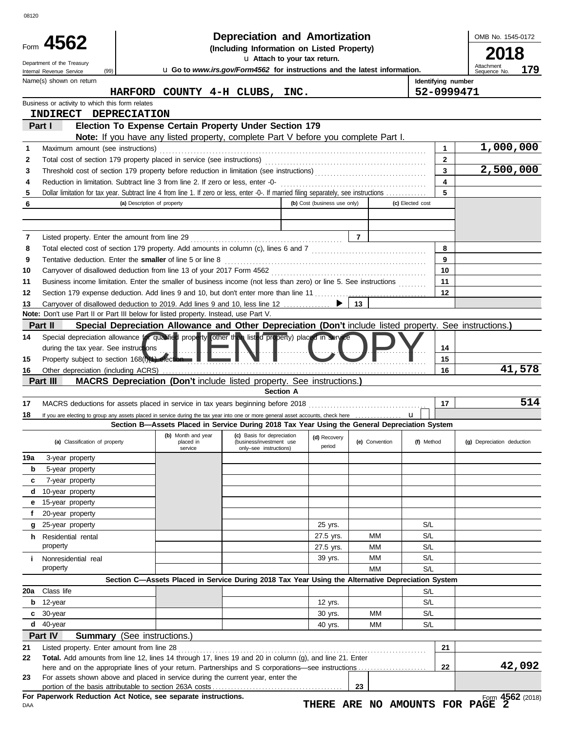|                | Depreciation and Amortization<br>Form 4562                                                                                              |                             |                                                                                                                                              |                              |                |                    |                         | OMB No. 1545-0172                 |
|----------------|-----------------------------------------------------------------------------------------------------------------------------------------|-----------------------------|----------------------------------------------------------------------------------------------------------------------------------------------|------------------------------|----------------|--------------------|-------------------------|-----------------------------------|
|                | (Including Information on Listed Property)<br>u Attach to your tax return.                                                              |                             |                                                                                                                                              |                              |                |                    |                         | 2018                              |
|                | Department of the Treasury<br>(99)<br>Internal Revenue Service                                                                          |                             | u Go to www.irs.gov/Form4562 for instructions and the latest information.                                                                    |                              |                |                    |                         | Attachment<br>179<br>Sequence No. |
|                | Name(s) shown on return                                                                                                                 |                             |                                                                                                                                              |                              |                | Identifying number |                         |                                   |
|                |                                                                                                                                         |                             | HARFORD COUNTY 4-H CLUBS, INC.                                                                                                               |                              |                | 52-0999471         |                         |                                   |
|                | Business or activity to which this form relates                                                                                         |                             |                                                                                                                                              |                              |                |                    |                         |                                   |
|                | INDIRECT DEPRECIATION                                                                                                                   |                             |                                                                                                                                              |                              |                |                    |                         |                                   |
|                | Part I                                                                                                                                  |                             | Election To Expense Certain Property Under Section 179<br>Note: If you have any listed property, complete Part V before you complete Part I. |                              |                |                    |                         |                                   |
| 1              | Maximum amount (see instructions)                                                                                                       |                             |                                                                                                                                              |                              |                |                    | 1                       | 1,000,000                         |
| 2              |                                                                                                                                         |                             |                                                                                                                                              |                              |                |                    | $\mathbf{2}$            |                                   |
| 3              |                                                                                                                                         |                             |                                                                                                                                              |                              |                |                    | $\overline{\mathbf{3}}$ | 2,500,000                         |
| 4              | Reduction in limitation. Subtract line 3 from line 2. If zero or less, enter -0-                                                        |                             |                                                                                                                                              |                              |                |                    | $\overline{\mathbf{4}}$ |                                   |
| 5              | Dollar limitation for tax year. Subtract line 4 from line 1. If zero or less, enter -0-. If married filing separately, see instructions |                             |                                                                                                                                              |                              |                |                    | 5                       |                                   |
| 6              |                                                                                                                                         | (a) Description of property |                                                                                                                                              | (b) Cost (business use only) |                | (c) Elected cost   |                         |                                   |
|                |                                                                                                                                         |                             |                                                                                                                                              |                              |                |                    |                         |                                   |
|                |                                                                                                                                         |                             |                                                                                                                                              |                              |                |                    |                         |                                   |
| 7              |                                                                                                                                         |                             |                                                                                                                                              |                              | $\overline{7}$ |                    | 8                       |                                   |
| 8<br>9         | Tentative deduction. Enter the smaller of line 5 or line 8                                                                              |                             |                                                                                                                                              |                              |                |                    | 9                       |                                   |
| 10             |                                                                                                                                         |                             |                                                                                                                                              |                              |                |                    | 10                      |                                   |
| 11             | Business income limitation. Enter the smaller of business income (not less than zero) or line 5. See instructions                       |                             |                                                                                                                                              |                              |                |                    | 11                      |                                   |
| 12             | Section 179 expense deduction. Add lines 9 and 10, but don't enter more than line 11                                                    |                             |                                                                                                                                              |                              |                |                    | 12                      |                                   |
| 13             | Carryover of disallowed deduction to 2019. Add lines 9 and 10, less line 12                                                             |                             |                                                                                                                                              |                              | 13             |                    |                         |                                   |
|                | Note: Don't use Part II or Part III below for listed property. Instead, use Part V.                                                     |                             |                                                                                                                                              |                              |                |                    |                         |                                   |
|                | Part II                                                                                                                                 |                             | Special Depreciation Allowance and Other Depreciation (Don't include listed property. See instructions.)                                     |                              |                |                    |                         |                                   |
| 14             | Special depreciation allowance for qualified property other than listed property) placed in service                                     |                             |                                                                                                                                              |                              |                |                    |                         |                                   |
|                | during the tax year. See instructions                                                                                                   |                             |                                                                                                                                              |                              |                |                    | 14<br>15                |                                   |
| 15             | Property subject to section 168(1)(1) election                                                                                          |                             |                                                                                                                                              |                              |                |                    | 16                      | 41,578                            |
| 16             | Part III                                                                                                                                |                             | <b>MACRS Depreciation (Don't include listed property. See instructions.)</b>                                                                 |                              |                |                    |                         |                                   |
|                |                                                                                                                                         |                             | Section A                                                                                                                                    |                              |                |                    |                         |                                   |
| 17             |                                                                                                                                         |                             |                                                                                                                                              |                              |                |                    |                         |                                   |
| 18             |                                                                                                                                         |                             |                                                                                                                                              |                              |                |                    | 17                      | 514                               |
|                |                                                                                                                                         |                             | If you are electing to group any assets placed in service during the tax year into one or more general asset accounts, check here            |                              |                | <b>u</b>           |                         |                                   |
|                |                                                                                                                                         |                             | Section B-Assets Placed in Service During 2018 Tax Year Using the General Depreciation System                                                |                              |                |                    |                         |                                   |
|                | (a) Classification of property                                                                                                          | placed in<br>service        | (b) Month and year (c) Basis for depreciation (d) Recovery (c) Connection<br>(business/investment use<br>only-see instructions)              | period                       | (e) Convention | (f) Method         |                         | (g) Depreciation deduction        |
|                | 3-year property                                                                                                                         |                             |                                                                                                                                              |                              |                |                    |                         |                                   |
| b              | 5-year property                                                                                                                         |                             |                                                                                                                                              |                              |                |                    |                         |                                   |
| 19a<br>c       | 7-year property                                                                                                                         |                             |                                                                                                                                              |                              |                |                    |                         |                                   |
| d              | 10-year property                                                                                                                        |                             |                                                                                                                                              |                              |                |                    |                         |                                   |
| е              | 15-year property                                                                                                                        |                             |                                                                                                                                              |                              |                |                    |                         |                                   |
| f              | 20-year property                                                                                                                        |                             |                                                                                                                                              |                              |                |                    |                         |                                   |
| g              | 25-year property                                                                                                                        |                             |                                                                                                                                              | 25 yrs.                      | MМ             | S/L<br>S/L         |                         |                                   |
| h.             | Residential rental<br>property                                                                                                          |                             |                                                                                                                                              | 27.5 yrs.<br>27.5 yrs.       | <b>MM</b>      | S/L                |                         |                                   |
| i.             | Nonresidential real                                                                                                                     |                             |                                                                                                                                              | 39 yrs.                      | <b>MM</b>      | S/L                |                         |                                   |
|                | property                                                                                                                                |                             |                                                                                                                                              |                              | MM             | S/L                |                         |                                   |
|                |                                                                                                                                         |                             | Section C-Assets Placed in Service During 2018 Tax Year Using the Alternative Depreciation System                                            |                              |                |                    |                         |                                   |
| 20a            | Class life                                                                                                                              |                             |                                                                                                                                              |                              |                | S/L                |                         |                                   |
| b              | 12-year                                                                                                                                 |                             |                                                                                                                                              | 12 yrs.                      |                | S/L                |                         |                                   |
| c              | 30-year                                                                                                                                 |                             |                                                                                                                                              | 30 yrs.                      | МM             | S/L                |                         |                                   |
|                | $d$ 40-year                                                                                                                             |                             |                                                                                                                                              | 40 yrs.                      | МM             | S/L                |                         |                                   |
|                | Part IV<br><b>Summary</b> (See instructions.)                                                                                           |                             |                                                                                                                                              |                              |                |                    |                         |                                   |
|                | Listed property. Enter amount from line 28                                                                                              |                             |                                                                                                                                              |                              |                |                    | 21                      |                                   |
|                | Total. Add amounts from line 12, lines 14 through 17, lines 19 and 20 in column (g), and line 21. Enter                                 |                             |                                                                                                                                              |                              |                |                    | 22                      | 42,092                            |
| 21<br>22<br>23 | For assets shown above and placed in service during the current year, enter the                                                         |                             |                                                                                                                                              |                              | 23             |                    |                         |                                   |

**THERE ARE NO AMOUNTS FOR PAGE 2**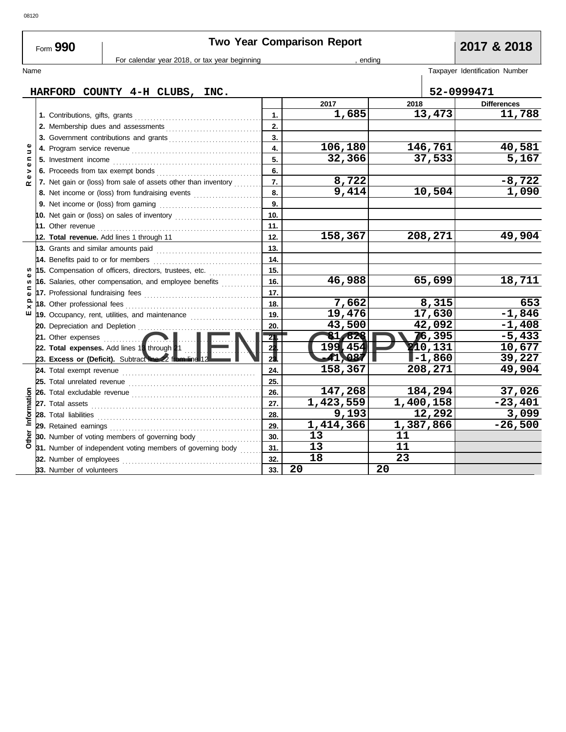| For calendar year 2018, or tax year beginning<br>, ending<br>Name<br>HARFORD COUNTY 4-H CLUBS, INC.<br>2017<br>2018<br>1,685<br>13,473<br>1.<br>2.<br>2. Membership dues and assessments<br>3.                                              | Taxpayer Identification Number<br>52-0999471<br><b>Differences</b><br>11,788<br>40,581<br>5,167 |
|---------------------------------------------------------------------------------------------------------------------------------------------------------------------------------------------------------------------------------------------|-------------------------------------------------------------------------------------------------|
|                                                                                                                                                                                                                                             |                                                                                                 |
|                                                                                                                                                                                                                                             |                                                                                                 |
|                                                                                                                                                                                                                                             |                                                                                                 |
|                                                                                                                                                                                                                                             |                                                                                                 |
|                                                                                                                                                                                                                                             |                                                                                                 |
|                                                                                                                                                                                                                                             |                                                                                                 |
|                                                                                                                                                                                                                                             |                                                                                                 |
| 106,180<br>146,761<br>Φ<br>$\overline{\mathbf{4}}$ .<br>$\Rightarrow$                                                                                                                                                                       |                                                                                                 |
| 32,366<br>37,533<br>$\blacksquare$<br>5.                                                                                                                                                                                                    |                                                                                                 |
| $\mathbf{Q}$<br>6.<br>>                                                                                                                                                                                                                     |                                                                                                 |
| $\mathbf{Q}$<br>8,722<br>7.<br>7. Net gain or (loss) from sale of assets other than inventory<br>$\sim$                                                                                                                                     | $-8,722$                                                                                        |
| 10,504<br>8.<br>9,414<br>8. Net income or (loss) from fundraising events                                                                                                                                                                    | 1,090                                                                                           |
| $\overline{9}$ .                                                                                                                                                                                                                            |                                                                                                 |
| 10.                                                                                                                                                                                                                                         |                                                                                                 |
| 11.<br>11. Other revenue <b>constant of the constant of the constant of the constant of the constant of the constant of the constant of the constant of the constant of the constant of the constant of the constant of the constant of</b> |                                                                                                 |
| 158,367<br>208,271<br>12.<br>12. Total revenue. Add lines 1 through 11                                                                                                                                                                      | 49,904                                                                                          |
| 13.<br>13. Grants and similar amounts paid                                                                                                                                                                                                  |                                                                                                 |
| 14. Benefits paid to or for members<br>14.<br><u> 1986 - Johann Stoff, martin a</u>                                                                                                                                                         |                                                                                                 |
| 15.<br>s<br>15. Compensation of officers, directors, trustees, etc.<br>Φ                                                                                                                                                                    |                                                                                                 |
| 46,988<br>65,699<br>16.<br>16. Salaries, other compensation, and employee benefits<br>s,<br>⊆                                                                                                                                               | 18,711                                                                                          |
| 17.<br>17. Professional fundraising fees<br>$\mathbf{\omega}$                                                                                                                                                                               |                                                                                                 |
| $\Omega$<br>7,662<br>8,315<br>18.<br>18. Other professional fees<br>$\times$                                                                                                                                                                | 653                                                                                             |
| 19,476<br>17,630<br>ш<br>19.<br>19. Occupancy, rent, utilities, and maintenance                                                                                                                                                             | $-1,846$                                                                                        |
| 43,500<br>42,092<br>20.<br>20. Depreciation and Depletion                                                                                                                                                                                   | $-1,408$                                                                                        |
| 76,395<br>81,828<br><b>21.</b> Other expenses $\ldots$<br><u>21</u>                                                                                                                                                                         | $-5,433$                                                                                        |
| 199,454<br>210,131<br>2 <sup>1</sup><br>22. Total expenses. Add lines 13 through 21                                                                                                                                                         | 10,677                                                                                          |
| 2 <sub>3</sub><br>41,087<br>$I - 1,860$<br>23. Excess or (Deficit). Subtract line 22 from line 12                                                                                                                                           | 39,227                                                                                          |
| 158,367<br>208,271<br>24.<br>24. Total exempt revenue                                                                                                                                                                                       | 49,904                                                                                          |
| 25.<br>25. Total unrelated revenue<br>147,268<br>184,294<br>26.                                                                                                                                                                             | 37,026                                                                                          |
| 1,423,559<br>1,400,158                                                                                                                                                                                                                      | $-23,401$                                                                                       |
| 27.<br>12,292<br>9,193                                                                                                                                                                                                                      | 3,099                                                                                           |
| Information<br>28.<br>28. Total liabilities<br>1,414,366<br>1,387,866<br>29.                                                                                                                                                                | $-26,500$                                                                                       |
| 13<br>11<br>30.<br>30. Number of voting members of governing body <i>minimizon</i> .                                                                                                                                                        |                                                                                                 |
| 13<br>11<br>31. Number of independent voting members of governing body<br>31.                                                                                                                                                               |                                                                                                 |
| 18<br>23<br>32.<br>32. Number of employees                                                                                                                                                                                                  |                                                                                                 |
| 20<br>20<br>33.<br>33. Number of volunteers                                                                                                                                                                                                 |                                                                                                 |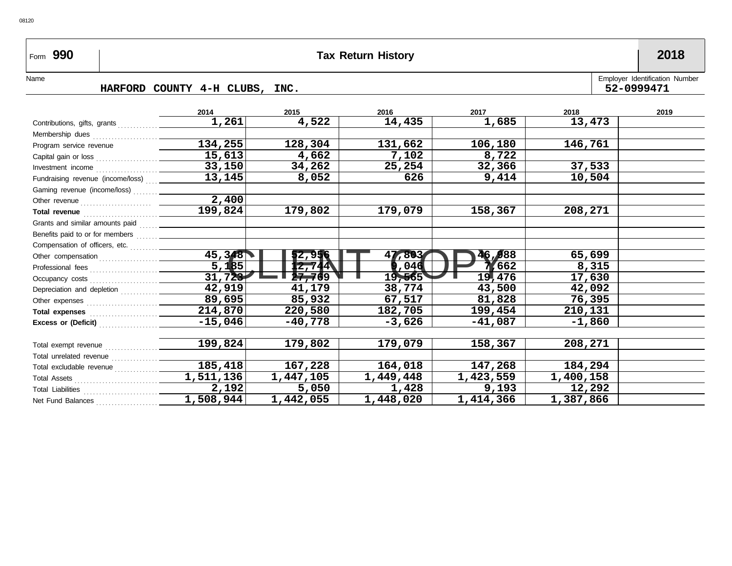# Form **990 Tax Return History 2018**

## Name HARFORD COUNTY 4-H CLUBS, INC. **HARFORD COUNTY 4-H CLUBS, INC. 52-0999471**

|                                                                                                                                                                                                                                     | 2014                | 2015      | 2016      | 2017        | 2018      | 2019 |
|-------------------------------------------------------------------------------------------------------------------------------------------------------------------------------------------------------------------------------------|---------------------|-----------|-----------|-------------|-----------|------|
| Contributions, gifts, grants                                                                                                                                                                                                        | 1,261               | 4,522     | 14,435    | 1,685       | 13,473    |      |
| Membership dues                                                                                                                                                                                                                     |                     |           |           |             |           |      |
| Program service revenue                                                                                                                                                                                                             | 134,255             | 128,304   | 131,662   | 106,180     | 146,761   |      |
| Capital gain or loss                                                                                                                                                                                                                | 15,613              | 4,662     | 7,102     | 8,722       |           |      |
| Investment income $\ldots$                                                                                                                                                                                                          | 33,150              | 34,262    | 25,254    | 32,366      | 37,533    |      |
| Fundraising revenue (income/loss)                                                                                                                                                                                                   | 13, 145             | 8,052     | 626       | 9,414       | 10,504    |      |
| Gaming revenue (income/loss)                                                                                                                                                                                                        |                     |           |           |             |           |      |
|                                                                                                                                                                                                                                     | 2,400               |           |           |             |           |      |
| Total revenue <i>manual</i> contract to the contract of the contract of the contract of the contract of the contract of the contract of the contract of the contract of the contract of the contract of the contract of the contrac | 199,824             | 179,802   | 179,079   | 158,367     | 208,271   |      |
|                                                                                                                                                                                                                                     |                     |           |           |             |           |      |
|                                                                                                                                                                                                                                     |                     |           |           |             |           |      |
| Compensation of officers, etc.                                                                                                                                                                                                      |                     |           |           |             |           |      |
|                                                                                                                                                                                                                                     | 45,348              | 52,956    | 47,803    | 46,988      | 65,699    |      |
|                                                                                                                                                                                                                                     | 5,185               | 12,744    | ,046      | 7,662       | 8,315     |      |
| Occupancy costs                                                                                                                                                                                                                     | 31,723              | 27769     | 19,565    | 19,476      | 17,630    |      |
| Depreciation and depletion                                                                                                                                                                                                          | $\overline{42,919}$ | 41,179    | 38,774    | 43,500      | 42,092    |      |
|                                                                                                                                                                                                                                     | 89,695              | 85,932    | 67,517    | 81,828      | 76,395    |      |
|                                                                                                                                                                                                                                     | 214,870             | 220,580   | 182,705   | 199,454     | 210,131   |      |
| Excess or (Deficit)                                                                                                                                                                                                                 | $-15,046$           | $-40,778$ | $-3,626$  | $-41,087$   | $-1,860$  |      |
|                                                                                                                                                                                                                                     |                     |           |           |             |           |      |
| Total exempt revenue                                                                                                                                                                                                                | 199,824             | 179,802   | 179,079   | 158,367     | 208,271   |      |
| Total unrelated revenue                                                                                                                                                                                                             |                     |           |           |             |           |      |
| Total excludable revenue                                                                                                                                                                                                            | 185,418             | 167,228   | 164,018   | 147,268     | 184,294   |      |
|                                                                                                                                                                                                                                     | 1,511,136           | 1,447,105 | 1,449,448 | 1,423,559   | 1,400,158 |      |
|                                                                                                                                                                                                                                     | 2,192               | 5,050     | 1,428     | 9,193       | 12,292    |      |
| Net Fund Balances                                                                                                                                                                                                                   | 1,508,944           | 1,442,055 | 1,448,020 | 1, 414, 366 | 1,387,866 |      |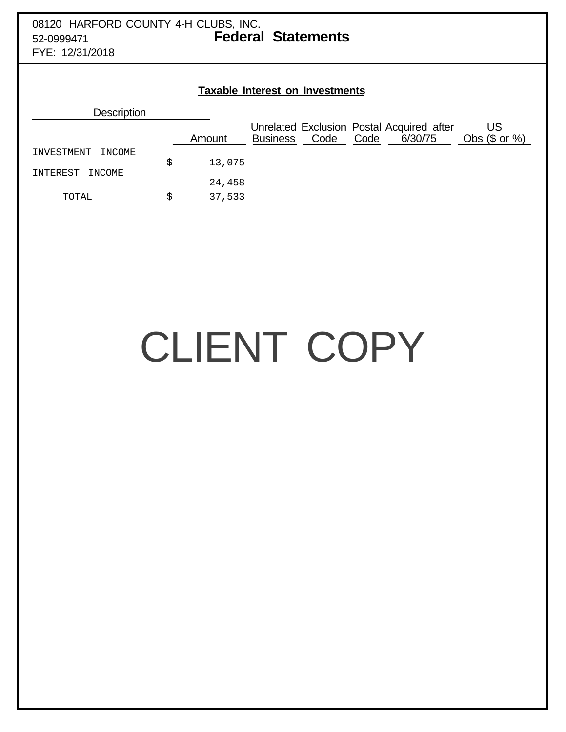# 08120 HARFORD COUNTY 4-H CLUBS, INC. 52-0999471 **Federal Statements**

FYE: 12/31/2018

| <b>Taxable Interest on Investments</b> |   |        |                 |      |      |                                                      |                        |
|----------------------------------------|---|--------|-----------------|------|------|------------------------------------------------------|------------------------|
| <b>Description</b>                     |   |        |                 |      |      |                                                      |                        |
|                                        |   | Amount | <b>Business</b> | Code | Code | Unrelated Exclusion Postal Acquired after<br>6/30/75 | US<br>Obs $(\$$ or $%$ |
| INVESTMENT<br>INCOME                   | S | 13,075 |                 |      |      |                                                      |                        |
| INTEREST<br>INCOME                     |   | 24,458 |                 |      |      |                                                      |                        |
| TOTAL                                  | ċ | 37,533 |                 |      |      |                                                      |                        |

# CLIENT COPY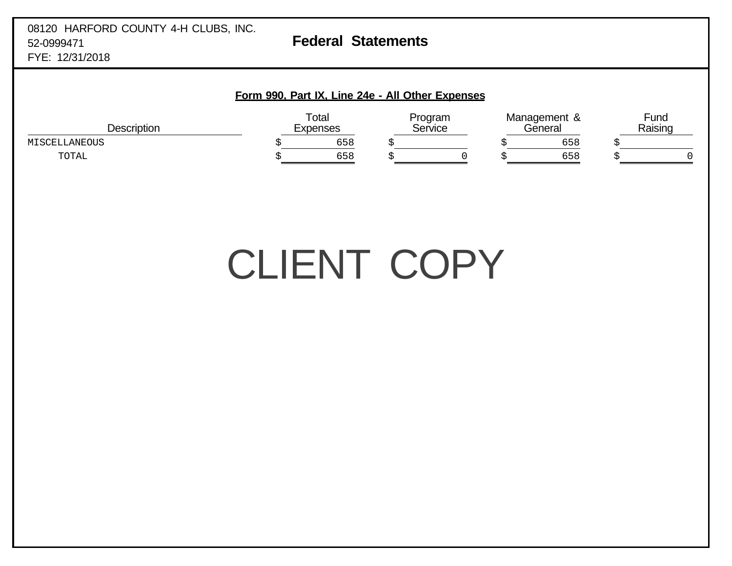## **Form 990, Part IX, Line 24e - All Other Expenses**

| Description   | Total<br>Expenses |     | Program<br>Service |  | Management &<br>'General |     | Fund<br>Raising |  |
|---------------|-------------------|-----|--------------------|--|--------------------------|-----|-----------------|--|
| MISCELLANEOUS |                   | 658 |                    |  |                          | 658 |                 |  |
| TOTAL         |                   | 658 |                    |  |                          | 658 |                 |  |

# CLIENT COPY